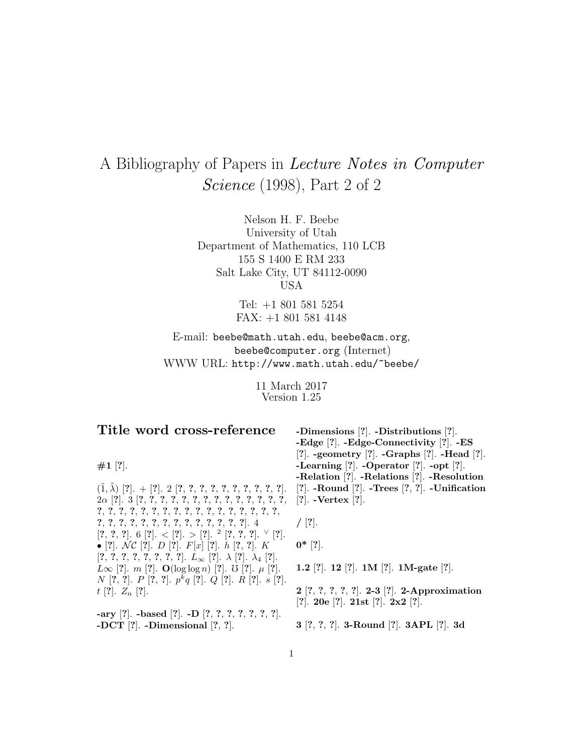## A Bibliography of Papers in Lecture Notes in Computer Science (1998), Part 2 of 2

Nelson H. F. Beebe University of Utah Department of Mathematics, 110 LCB 155 S 1400 E RM 233 Salt Lake City, UT 84112-0090 USA

> Tel: +1 801 581 5254 FAX: +1 801 581 4148

E-mail: beebe@math.utah.edu, beebe@acm.org, beebe@computer.org (Internet) WWW URL: http://www.math.utah.edu/~beebe/

> 11 March 2017 Version 1.25

## **Title word cross-reference**

**#1** [**?**].

 $(\tilde{1}, \tilde{\lambda})$  [?]. + [?]. 2 [?, ?, ?, ?, ?, ?, ?, ?, ?, ?, ?]. 2α [**?**]. 3 [**?**, **?**, **?**, **?**, **?**, **?**, **?**, **?**, **?**, **?**, **?**, **?**, **?**, **?**, **?**, **?**, **?**, **?**, **?**, **?**, **?**, **?**, **?**, **?**, **?**, **?**, **?**, **?**, **?**, **?**, **?**, **?**, **?**, **?**, **?**, **?**, **?**, **?**, **?**, **?**, **?**, **?**, **?**, **?**, **?**]. 4 [**?**, **?**, **?**]. 6 [**?**]. < [**?**]. > [**?**]. <sup>2</sup> [**?**, **?**, **?**]. <sup>∨</sup> [**?**]. • [**?**]. N C [**?**]. D [**?**]. F[x] [**?**]. h [**?**, **?**]. K [**?**, **?**, **?**, **?**, **?**, **?**, **?**, **?**]. L<sup>∞</sup> [**?**]. λ [**?**]. λ<sup>4</sup> [**?**].  $L\infty$  [?]. *m* [?]. **O**(log log *n*) [?]. *U* [?]. *μ* [?]. N [**?**, **?**]. P [**?**, **?**]. p<sup>k</sup>q [**?**]. Q [**?**]. R [**?**]. s [**?**]. t [**?**]. Z<sup>n</sup> [**?**].

**-ary** [**?**]. **-based** [**?**]. **-D** [**?**, **?**, **?**, **?**, **?**, **?**, **?**]. **-DCT** [**?**]. **-Dimensional** [**?**, **?**].

**-Dimensions** [**?**]. **-Distributions** [**?**]. **-Edge** [**?**]. **-Edge-Connectivity** [**?**]. **-ES** [**?**]. **-geometry** [**?**]. **-Graphs** [**?**]. **-Head** [**?**]. **-Learning** [**?**]. **-Operator** [**?**]. **-opt** [**?**]. **-Relation** [**?**]. **-Relations** [**?**]. **-Resolution** [**?**]. **-Round** [**?**]. **-Trees** [**?**, **?**]. **-Unification** [**?**]. **-Vertex** [**?**].

**/** [**?**].

**0\*** [**?**].

**1.2** [**?**]. **12** [**?**]. **1M** [**?**]. **1M-gate** [**?**].

**2** [**?**, **?**, **?**, **?**, **?**]. **2-3** [**?**]. **2-Approximation** [**?**]. **20e** [**?**]. **21st** [**?**]. **2x2** [**?**].

**3** [**?**, **?**, **?**]. **3-Round** [**?**]. **3APL** [**?**]. **3d**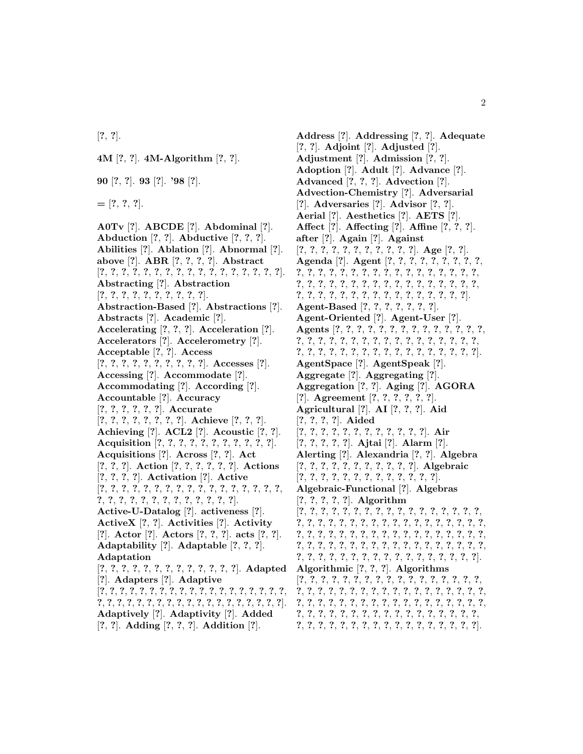[**?**, **?**].

**4M** [**?**, **?**]. **4M-Algorithm** [**?**, **?**].

**90** [**?**, **?**]. **93** [**?**]. **'98** [**?**].

**=** [**?**, **?**, **?**].

**A0Tv** [**?**]. **ABCDE** [**?**]. **Abdominal** [**?**]. **Abduction** [**?**, **?**]. **Abductive** [**?**, **?**, **?**]. **Abilities** [**?**]. **Ablation** [**?**]. **Abnormal** [**?**]. **above** [**?**]. **ABR** [**?**, **?**, **?**, **?**]. **Abstract** [**?**, **?**, **?**, **?**, **?**, **?**, **?**, **?**, **?**, **?**, **?**, **?**, **?**, **?**, **?**, **?**, **?**]. **Abstracting** [**?**]. **Abstraction** [**?**, **?**, **?**, **?**, **?**, **?**, **?**, **?**, **?**, **?**]. **Abstraction-Based** [**?**]. **Abstractions** [**?**]. **Abstracts** [**?**]. **Academic** [**?**]. **Accelerating** [**?**, **?**, **?**]. **Acceleration** [**?**]. **Accelerators** [**?**]. **Accelerometry** [**?**]. **Acceptable** [**?**, **?**]. **Access** [**?**, **?**, **?**, **?**, **?**, **?**, **?**, **?**, **?**, **?**]. **Accesses** [**?**]. **Accessing** [**?**]. **Accommodate** [**?**]. **Accommodating** [**?**]. **According** [**?**]. **Accountable** [**?**]. **Accuracy** [**?**, **?**, **?**, **?**, **?**, **?**]. **Accurate** [**?**, **?**, **?**, **?**, **?**, **?**, **?**, **?**]. **Achieve** [**?**, **?**, **?**]. **Achieving** [**?**]. **ACL2** [**?**]. **Acoustic** [**?**, **?**]. **Acquisition** [**?**, **?**, **?**, **?**, **?**, **?**, **?**, **?**, **?**, **?**, **?**]. **Acquisitions** [**?**]. **Across** [**?**, **?**]. **Act** [**?**, **?**, **?**]. **Action** [**?**, **?**, **?**, **?**, **?**, **?**]. **Actions** [**?**, **?**, **?**, **?**]. **Activation** [**?**]. **Active** [**?**, **?**, **?**, **?**, **?**, **?**, **?**, **?**, **?**, **?**, **?**, **?**, **?**, **?**, **?**, **?**, **?**, **?**, **?**, **?**, **?**, **?**, **?**, **?**, **?**, **?**, **?**, **?**, **?**, **?**]. **Active-U-Datalog** [**?**]. **activeness** [**?**]. **ActiveX** [**?**, **?**]. **Activities** [**?**]. **Activity** [**?**]. **Actor** [**?**]. **Actors** [**?**, **?**, **?**]. **acts** [**?**, **?**]. **Adaptability** [**?**]. **Adaptable** [**?**, **?**, **?**]. **Adaptation** [**?**, **?**, **?**, **?**, **?**, **?**, **?**, **?**, **?**, **?**, **?**, **?**, **?**]. **Adapted** [**?**]. **Adapters** [**?**]. **Adaptive** [**?**, **?**, **?**, **?**, **?**, **?**, **?**, **?**, **?**, **?**, **?**, **?**, **?**, **?**, **?**, **?**, **?**, **?**, **?**, **?**, **?**, **?**, **?**, **?**, **?**, **?**, **?**, **?**, **?**, **?**, **?**, **?**, **?**, **?**, **?**, **?**, **?**, **?**]. **Adaptively** [**?**]. **Adaptivity** [**?**]. **Added** [**?**, **?**]. **Adding** [**?**, **?**, **?**]. **Addition** [**?**].

**Address** [**?**]. **Addressing** [**?**, **?**]. **Adequate** [**?**, **?**]. **Adjoint** [**?**]. **Adjusted** [**?**]. **Adjustment** [**?**]. **Admission** [**?**, **?**]. **Adoption** [**?**]. **Adult** [**?**]. **Advance** [**?**]. **Advanced** [**?**, **?**, **?**]. **Advection** [**?**]. **Advection-Chemistry** [**?**]. **Adversarial** [**?**]. **Adversaries** [**?**]. **Advisor** [**?**, **?**]. **Aerial** [**?**]. **Aesthetics** [**?**]. **AETS** [**?**]. **Affect** [**?**]. **Affecting** [**?**]. **Affine** [**?**, **?**, **?**]. **after** [**?**]. **Again** [**?**]. **Against** [**?**, **?**, **?**, **?**, **?**, **?**, **?**, **?**, **?**, **?**, **?**]. **Age** [**?**, **?**]. **Agenda** [**?**]. **Agent** [**?**, **?**, **?**, **?**, **?**, **?**, **?**, **?**, **?**, **?**, **?**, **?**, **?**, **?**, **?**, **?**, **?**, **?**, **?**, **?**, **?**, **?**, **?**, **?**, **?**, **?**, **?**, **?**, **?**, **?**, **?**, **?**, **?**, **?**, **?**, **?**, **?**, **?**, **?**, **?**, **?**, **?**, **?**, **?**, **?**, **?**, **?**, **?**, **?**, **?**, **?**, **?**, **?**, **?**, **?**, **?**, **?**, **?**, **?**]. **Agent-Based** [**?**, **?**, **?**, **?**, **?**, **?**, **?**]. **Agent-Oriented** [**?**]. **Agent-User** [**?**]. **Agents** [**?**, **?**, **?**, **?**, **?**, **?**, **?**, **?**, **?**, **?**, **?**, **?**, **?**, **?**, **?**, **?**, **?**, **?**, **?**, **?**, **?**, **?**, **?**, **?**, **?**, **?**, **?**, **?**, **?**, **?**, **?**, **?**, **?**, **?**, **?**, **?**, **?**, **?**, **?**, **?**, **?**, **?**, **?**, **?**, **?**, **?**, **?**, **?**]. **AgentSpace** [**?**]. **AgentSpeak** [**?**]. **Aggregate** [**?**]. **Aggregating** [**?**]. **Aggregation** [**?**, **?**]. **Aging** [**?**]. **AGORA** [**?**]. **Agreement** [**?**, **?**, **?**, **?**, **?**, **?**]. **Agricultural** [**?**]. **AI** [**?**, **?**, **?**]. **Aid** [**?**, **?**, **?**, **?**]. **Aided** [**?**, **?**, **?**, **?**, **?**, **?**, **?**, **?**, **?**, **?**, **?**, **?**]. **Air** [**?**, **?**, **?**, **?**, **?**]. **Ajtai** [**?**]. **Alarm** [**?**]. **Alerting** [**?**]. **Alexandria** [**?**, **?**]. **Algebra** [**?**, **?**, **?**, **?**, **?**, **?**, **?**, **?**, **?**, **?**, **?**]. **Algebraic** [**?**, **?**, **?**, **?**, **?**, **?**, **?**, **?**, **?**, **?**, **?**, **?**, **?**]. **Algebraic-Functional** [**?**]. **Algebras** [**?**, **?**, **?**, **?**, **?**]. **Algorithm** [**?**, **?**, **?**, **?**, **?**, **?**, **?**, **?**, **?**, **?**, **?**, **?**, **?**, **?**, **?**, **?**, **?**, **?**, **?**, **?**, **?**, **?**, **?**, **?**, **?**, **?**, **?**, **?**, **?**, **?**, **?**, **?**, **?**, **?**, **?**, **?**, **?**, **?**, **?**, **?**, **?**, **?**, **?**, **?**, **?**, **?**, **?**, **?**, **?**, **?**, **?**, **?**, **?**, **?**, **?**, **?**, **?**, **?**, **?**, **?**, **?**, **?**, **?**, **?**, **?**, **?**, **?**, **?**, **?**, **?**, **?**, **?**, **?**, **?**, **?**, **?**, **?**, **?**, **?**, **?**, **?**, **?**, **?**, **?**, **?**, **?**, **?**, **?**]. **Algorithmic** [**?**, **?**, **?**]. **Algorithms** [**?**, **?**, **?**, **?**, **?**, **?**, **?**, **?**, **?**, **?**, **?**, **?**, **?**, **?**, **?**, **?**, **?**, **?**, **?**, **?**, **?**, **?**, **?**, **?**, **?**, **?**, **?**, **?**, **?**, **?**, **?**, **?**, **?**, **?**, **?**, **?**, **?**, **?**, **?**, **?**, **?**, **?**, **?**, **?**, **?**, **?**, **?**, **?**, **?**, **?**, **?**, **?**, **?**, **?**, **?**, **?**, **?**, **?**, **?**, **?**, **?**, **?**, **?**, **?**, **?**, **?**, **?**, **?**, **?**, **?**, **?**, **?**, **?**, **?**, **?**, **?**, **?**, **?**, **?**, **?**, **?**, **?**, **?**, **?**, **?**, **?**, **?**].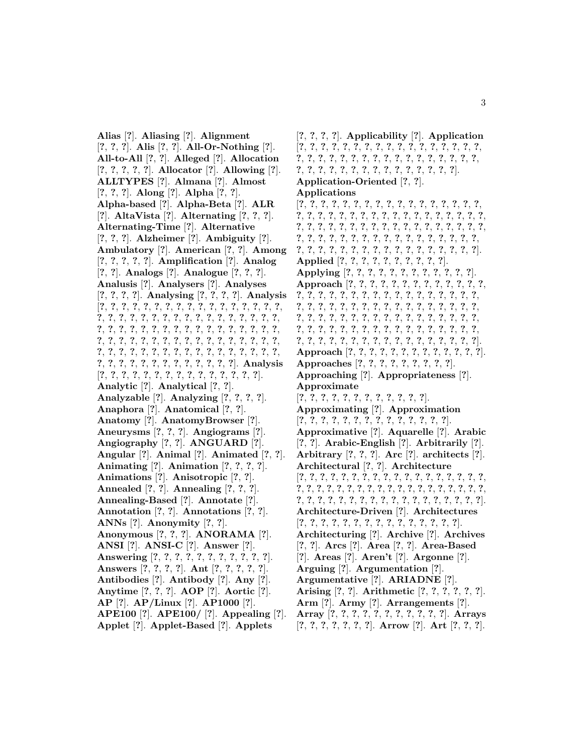**Alias** [**?**]. **Aliasing** [**?**]. **Alignment** [**?**, **?**, **?**]. **Alis** [**?**, **?**]. **All-Or-Nothing** [**?**]. **All-to-All** [**?**, **?**]. **Alleged** [**?**]. **Allocation** [**?**, **?**, **?**, **?**, **?**]. **Allocator** [**?**]. **Allowing** [**?**]. **ALLTYPES** [**?**]. **Almana** [**?**]. **Almost** [**?**, **?**, **?**]. **Along** [**?**]. **Alpha** [**?**, **?**]. **Alpha-based** [**?**]. **Alpha-Beta** [**?**]. **ALR** [**?**]. **AltaVista** [**?**]. **Alternating** [**?**, **?**, **?**]. **Alternating-Time** [**?**]. **Alternative** [**?**, **?**, **?**]. **Alzheimer** [**?**]. **Ambiguity** [**?**]. **Ambulatory** [**?**]. **American** [**?**, **?**]. **Among** [**?**, **?**, **?**, **?**, **?**]. **Amplification** [**?**]. **Analog** [**?**, **?**]. **Analogs** [**?**]. **Analogue** [**?**, **?**, **?**]. **Analusis** [**?**]. **Analysers** [**?**]. **Analyses** [**?**, **?**, **?**, **?**]. **Analysing** [**?**, **?**, **?**, **?**]. **Analysis** [**?**, **?**, **?**, **?**, **?**, **?**, **?**, **?**, **?**, **?**, **?**, **?**, **?**, **?**, **?**, **?**, **?**, **?**, **?**, **?**, **?**, **?**, **?**, **?**, **?**, **?**, **?**, **?**, **?**, **?**, **?**, **?**, **?**, **?**, **?**, **?**, **?**, **?**, **?**, **?**, **?**, **?**, **?**, **?**, **?**, **?**, **?**, **?**, **?**, **?**, **?**, **?**, **?**, **?**, **?**, **?**, **?**, **?**, **?**, **?**, **?**, **?**, **?**, **?**, **?**, **?**, **?**, **?**, **?**, **?**, **?**, **?**, **?**, **?**, **?**, **?**, **?**, **?**, **?**, **?**, **?**, **?**, **?**, **?**, **?**, **?**, **?**, **?**, **?**, **?**, **?**, **?**, **?**, **?**, **?**, **?**, **?**, **?**]. **Analysis** [**?**, **?**, **?**, **?**, **?**, **?**, **?**, **?**, **?**, **?**, **?**, **?**, **?**, **?**, **?**]. **Analytic** [**?**]. **Analytical** [**?**, **?**]. **Analyzable** [**?**]. **Analyzing** [**?**, **?**, **?**, **?**]. **Anaphora** [**?**]. **Anatomical** [**?**, **?**]. **Anatomy** [**?**]. **AnatomyBrowser** [**?**]. **Aneurysms** [**?**, **?**, **?**]. **Angiograms** [**?**]. **Angiography** [**?**, **?**]. **ANGUARD** [**?**]. **Angular** [**?**]. **Animal** [**?**]. **Animated** [**?**, **?**]. **Animating** [**?**]. **Animation** [**?**, **?**, **?**, **?**]. **Animations** [**?**]. **Anisotropic** [**?**, **?**]. **Annealed** [**?**, **?**]. **Annealing** [**?**, **?**, **?**]. **Annealing-Based** [**?**]. **Annotate** [**?**]. **Annotation** [**?**, **?**]. **Annotations** [**?**, **?**]. **ANNs** [**?**]. **Anonymity** [**?**, **?**]. **Anonymous** [**?**, **?**, **?**]. **ANORAMA** [**?**]. **ANSI** [**?**]. **ANSI-C** [**?**]. **Answer** [**?**]. **Answering** [**?**, **?**, **?**, **?**, **?**, **?**, **?**, **?**, **?**, **?**, **?**]. **Answers** [**?**, **?**, **?**, **?**]. **Ant** [**?**, **?**, **?**, **?**, **?**]. **Antibodies** [**?**]. **Antibody** [**?**]. **Any** [**?**]. **Anytime** [**?**, **?**, **?**]. **AOP** [**?**]. **Aortic** [**?**]. **AP** [**?**]. **AP/Linux** [**?**]. **AP1000** [**?**]. **APE100** [**?**]. **APE100/** [**?**]. **Appealing** [**?**]. **Applet** [**?**]. **Applet-Based** [**?**]. **Applets**

[**?**, **?**, **?**, **?**]. **Applicability** [**?**]. **Application** [**?**, **?**, **?**, **?**, **?**, **?**, **?**, **?**, **?**, **?**, **?**, **?**, **?**, **?**, **?**, **?**, **?**, **?**, **?**, **?**, **?**, **?**, **?**, **?**, **?**, **?**, **?**, **?**, **?**, **?**, **?**, **?**, **?**, **?**, **?**, **?**, **?**, **?**, **?**, **?**, **?**, **?**, **?**, **?**, **?**, **?**, **?**, **?**, **?**]. **Application-Oriented** [**?**, **?**]. **Applications** [**?**, **?**, **?**, **?**, **?**, **?**, **?**, **?**, **?**, **?**, **?**, **?**, **?**, **?**, **?**, **?**, **?**, **?**, **?**, **?**, **?**, **?**, **?**, **?**, **?**, **?**, **?**, **?**, **?**, **?**, **?**, **?**, **?**, **?**, **?**, **?**, **?**, **?**, **?**, **?**, **?**, **?**, **?**, **?**, **?**, **?**, **?**, **?**, **?**, **?**, **?**, **?**, **?**, **?**, **?**, **?**, **?**, **?**, **?**, **?**, **?**, **?**, **?**, **?**, **?**, **?**, **?**, **?**, **?**, **?**, **?**, **?**, **?**, **?**, **?**, **?**, **?**, **?**, **?**, **?**, **?**, **?**, **?**, **?**, **?**, **?**, **?**]. **Applied** [**?**, **?**, **?**, **?**, **?**, **?**, **?**, **?**, **?**, **?**]. **Applying** [**?**, **?**, **?**, **?**, **?**, **?**, **?**, **?**, **?**, **?**, **?**, **?**]. **Approach** [**?**, **?**, **?**, **?**, **?**, **?**, **?**, **?**, **?**, **?**, **?**, **?**, **?**, **?**, **?**, **?**, **?**, **?**, **?**, **?**, **?**, **?**, **?**, **?**, **?**, **?**, **?**, **?**, **?**, **?**, **?**, **?**, **?**, **?**, **?**, **?**, **?**, **?**, **?**, **?**, **?**, **?**, **?**, **?**, **?**, **?**, **?**, **?**, **?**, **?**, **?**, **?**, **?**, **?**, **?**, **?**, **?**, **?**, **?**, **?**, **?**, **?**, **?**, **?**, **?**, **?**, **?**, **?**, **?**, **?**, **?**, **?**, **?**, **?**, **?**, **?**, **?**, **?**, **?**, **?**, **?**, **?**, **?**, **?**, **?**, **?**, **?**, **?**, **?**, **?**, **?**, **?**, **?**, **?**, **?**, **?**, **?**, **?**]. **Approach** [**?**, **?**, **?**, **?**, **?**, **?**, **?**, **?**, **?**, **?**, **?**, **?**, **?**]. **Approaches** [**?**, **?**, **?**, **?**, **?**, **?**, **?**, **?**, **?**]. **Approaching** [**?**]. **Appropriateness** [**?**]. **Approximate** [**?**, **?**, **?**, **?**, **?**, **?**, **?**, **?**, **?**, **?**, **?**, **?**]. **Approximating** [**?**]. **Approximation** [**?**, **?**, **?**, **?**, **?**, **?**, **?**, **?**, **?**, **?**, **?**, **?**, **?**, **?**]. **Approximative** [**?**]. **Aquarelle** [**?**]. **Arabic** [**?**, **?**]. **Arabic-English** [**?**]. **Arbitrarily** [**?**]. **Arbitrary** [**?**, **?**, **?**]. **Arc** [**?**]. **architects** [**?**]. **Architectural** [**?**, **?**]. **Architecture** [**?**, **?**, **?**, **?**, **?**, **?**, **?**, **?**, **?**, **?**, **?**, **?**, **?**, **?**, **?**, **?**, **?**, **?**, **?**, **?**, **?**, **?**, **?**, **?**, **?**, **?**, **?**, **?**, **?**, **?**, **?**, **?**, **?**, **?**, **?**, **?**, **?**, **?**, **?**, **?**, **?**, **?**, **?**, **?**, **?**, **?**, **?**, **?**, **?**, **?**, **?**, **?**, **?**, **?**, **?**]. **Architecture-Driven** [**?**]. **Architectures** [**?**, **?**, **?**, **?**, **?**, **?**, **?**, **?**, **?**, **?**, **?**, **?**, **?**, **?**, **?**]. **Architecturing** [**?**]. **Archive** [**?**]. **Archives** [**?**, **?**]. **Arcs** [**?**]. **Area** [**?**, **?**]. **Area-Based** [**?**]. **Areas** [**?**]. **Aren't** [**?**]. **Argonne** [**?**]. **Arguing** [**?**]. **Argumentation** [**?**]. **Argumentative** [**?**]. **ARIADNE** [**?**]. **Arising** [**?**, **?**]. **Arithmetic** [**?**, **?**, **?**, **?**, **?**, **?**]. **Arm** [**?**]. **Army** [**?**]. **Arrangements** [**?**]. **Array** [**?**, **?**, **?**, **?**, **?**, **?**, **?**, **?**, **?**, **?**, **?**]. **Arrays**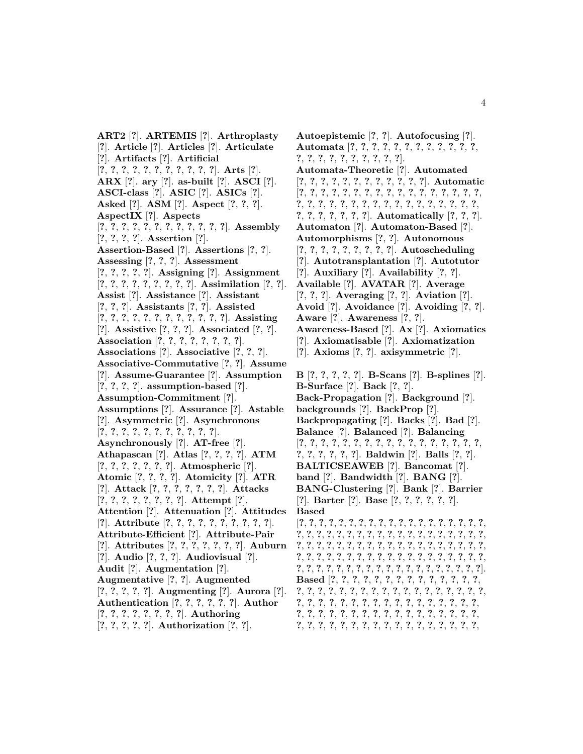**ART2** [**?**]. **ARTEMIS** [**?**]. **Arthroplasty** [**?**]. **Article** [**?**]. **Articles** [**?**]. **Articulate** [**?**]. **Artifacts** [**?**]. **Artificial** [**?**, **?**, **?**, **?**, **?**, **?**, **?**, **?**, **?**, **?**, **?**]. **Arts** [**?**]. **ARX** [**?**]. **ary** [**?**]. **as-built** [**?**]. **ASCI** [**?**]. **ASCI-class** [**?**]. **ASIC** [**?**]. **ASICs** [**?**]. **Asked** [**?**]. **ASM** [**?**]. **Aspect** [**?**, **?**, **?**]. **AspectIX** [**?**]. **Aspects** [**?**, **?**, **?**, **?**, **?**, **?**, **?**, **?**, **?**, **?**, **?**, **?**]. **Assembly** [**?**, **?**, **?**, **?**]. **Assertion** [**?**]. **Assertion-Based** [**?**]. **Assertions** [**?**, **?**]. **Assessing** [**?**, **?**, **?**]. **Assessment** [**?**, **?**, **?**, **?**, **?**]. **Assigning** [**?**]. **Assignment** [**?**, **?**, **?**, **?**, **?**, **?**, **?**, **?**, **?**]. **Assimilation** [**?**, **?**]. **Assist** [**?**]. **Assistance** [**?**]. **Assistant** [**?**, **?**, **?**]. **Assistants** [**?**, **?**]. **Assisted** [**?**, **?**, **?**, **?**, **?**, **?**, **?**, **?**, **?**, **?**, **?**, **?**]. **Assisting** [**?**]. **Assistive** [**?**, **?**, **?**]. **Associated** [**?**, **?**]. **Association** [**?**, **?**, **?**, **?**, **?**, **?**, **?**, **?**]. **Associations** [**?**]. **Associative** [**?**, **?**, **?**]. **Associative-Commutative** [**?**, **?**]. **Assume** [**?**]. **Assume-Guarantee** [**?**]. **Assumption** [**?**, **?**, **?**, **?**]. **assumption-based** [**?**]. **Assumption-Commitment** [**?**]. **Assumptions** [**?**]. **Assurance** [**?**]. **Astable** [**?**]. **Asymmetric** [**?**]. **Asynchronous** [**?**, **?**, **?**, **?**, **?**, **?**, **?**, **?**, **?**, **?**, **?**]. **Asynchronously** [**?**]. **AT-free** [**?**]. **Athapascan** [**?**]. **Atlas** [**?**, **?**, **?**, **?**]. **ATM** [**?**, **?**, **?**, **?**, **?**, **?**, **?**]. **Atmospheric** [**?**]. **Atomic** [**?**, **?**, **?**, **?**]. **Atomicity** [**?**]. **ATR** [**?**]. **Attack** [**?**, **?**, **?**, **?**, **?**, **?**, **?**]. **Attacks** [**?**, **?**, **?**, **?**, **?**, **?**, **?**, **?**]. **Attempt** [**?**]. **Attention** [**?**]. **Attenuation** [**?**]. **Attitudes** [**?**]. **Attribute** [**?**, **?**, **?**, **?**, **?**, **?**, **?**, **?**, **?**, **?**]. **Attribute-Efficient** [**?**]. **Attribute-Pair** [**?**]. **Attributes** [**?**, **?**, **?**, **?**, **?**, **?**, **?**]. **Auburn** [**?**]. **Audio** [**?**, **?**, **?**]. **Audiovisual** [**?**]. **Audit** [**?**]. **Augmentation** [**?**]. **Augmentative** [**?**, **?**]. **Augmented** [**?**, **?**, **?**, **?**, **?**]. **Augmenting** [**?**]. **Aurora** [**?**]. **Authentication** [**?**, **?**, **?**, **?**, **?**, **?**]. **Author** [**?**, **?**, **?**, **?**, **?**, **?**, **?**, **?**]. **Authoring** [**?**, **?**, **?**, **?**, **?**]. **Authorization** [**?**, **?**].

**Autoepistemic** [**?**, **?**]. **Autofocusing** [**?**]. **Automata** [**?**, **?**, **?**, **?**, **?**, **?**, **?**, **?**, **?**, **?**, **?**, **?**, **?**, **?**, **?**, **?**, **?**, **?**, **?**, **?**, **?**, **?**]. **Automata-Theoretic** [**?**]. **Automated** [**?**, **?**, **?**, **?**, **?**, **?**, **?**, **?**, **?**, **?**, **?**, **?**]. **Automatic** [**?**, **?**, **?**, **?**, **?**, **?**, **?**, **?**, **?**, **?**, **?**, **?**, **?**, **?**, **?**, **?**, **?**, **?**, **?**, **?**, **?**, **?**, **?**, **?**, **?**, **?**, **?**, **?**, **?**, **?**, **?**, **?**, **?**, **?**, **?**, **?**, **?**, **?**, **?**, **?**, **?**]. **Automatically** [**?**, **?**, **?**]. **Automaton** [**?**]. **Automaton-Based** [**?**]. **Automorphisms** [**?**, **?**]. **Autonomous** [**?**, **?**, **?**, **?**, **?**, **?**, **?**, **?**, **?**]. **Autoscheduling** [**?**]. **Autotransplantation** [**?**]. **Autotutor** [**?**]. **Auxiliary** [**?**]. **Availability** [**?**, **?**]. **Available** [**?**]. **AVATAR** [**?**]. **Average** [**?**, **?**, **?**]. **Averaging** [**?**, **?**]. **Aviation** [**?**]. **Avoid** [**?**]. **Avoidance** [**?**]. **Avoiding** [**?**, **?**]. **Aware** [**?**]. **Awareness** [**?**, **?**]. **Awareness-Based** [**?**]. **Ax** [**?**]. **Axiomatics** [**?**]. **Axiomatisable** [**?**]. **Axiomatization** [**?**]. **Axioms** [**?**, **?**]. **axisymmetric** [**?**]. **B** [**?**, **?**, **?**, **?**, **?**]. **B-Scans** [**?**]. **B-splines** [**?**]. **B-Surface** [**?**]. **Back** [**?**, **?**]. **Back-Propagation** [**?**]. **Background** [**?**]. **backgrounds** [**?**]. **BackProp** [**?**]. **Backpropagating** [**?**]. **Backs** [**?**]. **Bad** [**?**]. **Balance** [**?**]. **Balanced** [**?**]. **Balancing** [**?**, **?**, **?**, **?**, **?**, **?**, **?**, **?**, **?**, **?**, **?**, **?**, **?**, **?**, **?**, **?**, **?**, **?**, **?**, **?**, **?**, **?**, **?**]. **Baldwin** [**?**]. **Balls** [**?**, **?**]. **BALTICSEAWEB** [**?**]. **Bancomat** [**?**]. **band** [**?**]. **Bandwidth** [**?**]. **BANG** [**?**]. **BANG-Clustering** [**?**]. **Bank** [**?**]. **Barrier** [**?**]. **Barter** [**?**]. **Base** [**?**, **?**, **?**, **?**, **?**, **?**]. **Based** [**?**, **?**, **?**, **?**, **?**, **?**, **?**, **?**, **?**, **?**, **?**, **?**, **?**, **?**, **?**, **?**, **?**, **?**, **?**, **?**, **?**, **?**, **?**, **?**, **?**, **?**, **?**, **?**, **?**, **?**, **?**, **?**, **?**, **?**, **?**, **?**, **?**, **?**, **?**, **?**, **?**, **?**, **?**, **?**, **?**, **?**, **?**, **?**, **?**, **?**, **?**, **?**, **?**, **?**, **?**, **?**, **?**, **?**, **?**, **?**, **?**, **?**, **?**, **?**, **?**, **?**, **?**, **?**, **?**, **?**, **?**, **?**, **?**, **?**, **?**, **?**, **?**, **?**, **?**, **?**, **?**, **?**, **?**, **?**, **?**, **?**, **?**, **?**, **?**, **?**, **?**, **?**, **?**, **?**, **?**]. **Based** [**?**, **?**, **?**, **?**, **?**, **?**, **?**, **?**, **?**, **?**, **?**, **?**, **?**, **?**, **?**, **?**, **?**, **?**, **?**, **?**, **?**, **?**, **?**, **?**, **?**, **?**, **?**, **?**, **?**, **?**, **?**, **?**, **?**, **?**, **?**, **?**, **?**, **?**, **?**, **?**, **?**, **?**, **?**, **?**, **?**, **?**, **?**, **?**, **?**, **?**, **?**, **?**, **?**, **?**, **?**, **?**, **?**, **?**, **?**, **?**, **?**, **?**, **?**, **?**, **?**, **?**,

**?**, **?**, **?**, **?**, **?**, **?**, **?**, **?**, **?**, **?**, **?**, **?**, **?**, **?**, **?**, **?**, **?**,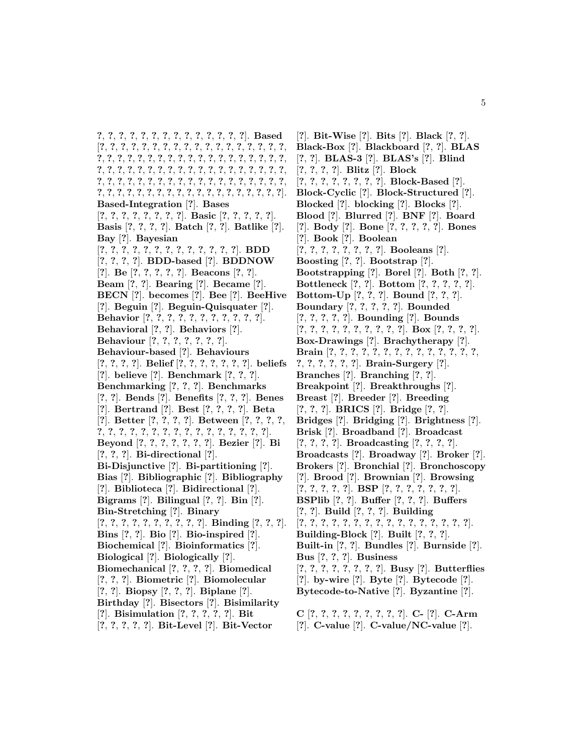**?**, **?**, **?**, **?**, **?**, **?**, **?**, **?**, **?**, **?**, **?**, **?**, **?**, **?**]. **Based** [**?**, **?**, **?**, **?**, **?**, **?**, **?**, **?**, **?**, **?**, **?**, **?**, **?**, **?**, **?**, **?**, **?**, **?**, **?**, **?**, **?**, **?**, **?**, **?**, **?**, **?**, **?**, **?**, **?**, **?**, **?**, **?**, **?**, **?**, **?**, **?**, **?**, **?**, **?**, **?**, **?**, **?**, **?**, **?**, **?**, **?**, **?**, **?**, **?**, **?**, **?**, **?**, **?**, **?**, **?**, **?**, **?**, **?**, **?**, **?**, **?**, **?**, **?**, **?**, **?**, **?**, **?**, **?**, **?**, **?**, **?**, **?**, **?**, **?**, **?**, **?**, **?**, **?**, **?**, **?**, **?**, **?**, **?**, **?**, **?**, **?**, **?**, **?**, **?**, **?**, **?**, **?**, **?**, **?**]. **Based-Integration** [**?**]. **Bases** [**?**, **?**, **?**, **?**, **?**, **?**, **?**, **?**]. **Basic** [**?**, **?**, **?**, **?**, **?**]. **Basis** [**?**, **?**, **?**, **?**]. **Batch** [**?**, **?**]. **Batlike** [**?**]. **Bay** [**?**]. **Bayesian** [**?**, **?**, **?**, **?**, **?**, **?**, **?**, **?**, **?**, **?**, **?**, **?**, **?**]. **BDD** [**?**, **?**, **?**, **?**]. **BDD-based** [**?**]. **BDDNOW** [**?**]. **Be** [**?**, **?**, **?**, **?**, **?**]. **Beacons** [**?**, **?**]. **Beam** [**?**, **?**]. **Bearing** [**?**]. **Became** [**?**]. **BECN** [**?**]. **becomes** [**?**]. **Bee** [**?**]. **BeeHive** [**?**]. **Beguin** [**?**]. **Beguin-Quisquater** [**?**]. **Behavior** [**?**, **?**, **?**, **?**, **?**, **?**, **?**, **?**, **?**, **?**, **?**]. **Behavioral** [**?**, **?**]. **Behaviors** [**?**]. **Behaviour** [**?**, **?**, **?**, **?**, **?**, **?**, **?**]. **Behaviour-based** [**?**]. **Behaviours** [**?**, **?**, **?**, **?**]. **Belief** [**?**, **?**, **?**, **?**, **?**, **?**, **?**]. **beliefs** [**?**]. **believe** [**?**]. **Benchmark** [**?**, **?**, **?**]. **Benchmarking** [**?**, **?**, **?**]. **Benchmarks** [**?**, **?**]. **Bends** [**?**]. **Benefits** [**?**, **?**, **?**]. **Benes** [**?**]. **Bertrand** [**?**]. **Best** [**?**, **?**, **?**, **?**]. **Beta** [**?**]. **Better** [**?**, **?**, **?**, **?**]. **Between** [**?**, **?**, **?**, **?**, **?**, **?**, **?**, **?**, **?**, **?**, **?**, **?**, **?**, **?**, **?**, **?**, **?**, **?**, **?**, **?**]. **Beyond** [**?**, **?**, **?**, **?**, **?**, **?**, **?**]. **Bezier** [**?**]. **Bi** [**?**, **?**, **?**]. **Bi-directional** [**?**]. **Bi-Disjunctive** [**?**]. **Bi-partitioning** [**?**]. **Bias** [**?**]. **Bibliographic** [**?**]. **Bibliography** [**?**]. **Biblioteca** [**?**]. **Bidirectional** [**?**]. **Bigrams** [**?**]. **Bilingual** [**?**, **?**]. **Bin** [**?**]. **Bin-Stretching** [**?**]. **Binary** [**?**, **?**, **?**, **?**, **?**, **?**, **?**, **?**, **?**, **?**]. **Binding** [**?**, **?**, **?**]. **Bins** [**?**, **?**]. **Bio** [**?**]. **Bio-inspired** [**?**]. **Biochemical** [**?**]. **Bioinformatics** [**?**]. **Biological** [**?**]. **Biologically** [**?**]. **Biomechanical** [**?**, **?**, **?**, **?**]. **Biomedical** [**?**, **?**, **?**]. **Biometric** [**?**]. **Biomolecular** [**?**, **?**]. **Biopsy** [**?**, **?**, **?**]. **Biplane** [**?**]. **Birthday** [**?**]. **Bisectors** [**?**]. **Bisimilarity** [**?**]. **Bisimulation** [**?**, **?**, **?**, **?**, **?**]. **Bit** [**?**, **?**, **?**, **?**, **?**]. **Bit-Level** [**?**]. **Bit-Vector**

[**?**]. **Bit-Wise** [**?**]. **Bits** [**?**]. **Black** [**?**, **?**]. **Black-Box** [**?**]. **Blackboard** [**?**, **?**]. **BLAS** [**?**, **?**]. **BLAS-3** [**?**]. **BLAS's** [**?**]. **Blind** [**?**, **?**, **?**, **?**]. **Blitz** [**?**]. **Block** [**?**, **?**, **?**, **?**, **?**, **?**, **?**, **?**]. **Block-Based** [**?**]. **Block-Cyclic** [**?**]. **Block-Structured** [**?**]. **Blocked** [**?**]. **blocking** [**?**]. **Blocks** [**?**]. **Blood** [**?**]. **Blurred** [**?**]. **BNF** [**?**]. **Board** [**?**]. **Body** [**?**]. **Bone** [**?**, **?**, **?**, **?**, **?**]. **Bones** [**?**]. **Book** [**?**]. **Boolean** [**?**, **?**, **?**, **?**, **?**, **?**, **?**, **?**]. **Booleans** [**?**]. **Boosting** [**?**, **?**]. **Bootstrap** [**?**]. **Bootstrapping** [**?**]. **Borel** [**?**]. **Both** [**?**, **?**]. **Bottleneck** [**?**, **?**]. **Bottom** [**?**, **?**, **?**, **?**, **?**]. **Bottom-Up** [**?**, **?**, **?**]. **Bound** [**?**, **?**, **?**]. **Boundary** [**?**, **?**, **?**, **?**, **?**]. **Bounded** [**?**, **?**, **?**, **?**, **?**]. **Bounding** [**?**]. **Bounds** [**?**, **?**, **?**, **?**, **?**, **?**, **?**, **?**, **?**, **?**]. **Box** [**?**, **?**, **?**, **?**]. **Box-Drawings** [**?**]. **Brachytherapy** [**?**]. **Brain** [**?**, **?**, **?**, **?**, **?**, **?**, **?**, **?**, **?**, **?**, **?**, **?**, **?**, **?**, **?**, **?**, **?**, **?**, **?**, **?**]. **Brain-Surgery** [**?**]. **Branches** [**?**]. **Branching** [**?**, **?**]. **Breakpoint** [**?**]. **Breakthroughs** [**?**]. **Breast** [**?**]. **Breeder** [**?**]. **Breeding** [**?**, **?**, **?**]. **BRICS** [**?**]. **Bridge** [**?**, **?**]. **Bridges** [**?**]. **Bridging** [**?**]. **Brightness** [**?**]. **Brisk** [**?**]. **Broadband** [**?**]. **Broadcast** [**?**, **?**, **?**, **?**]. **Broadcasting** [**?**, **?**, **?**, **?**]. **Broadcasts** [**?**]. **Broadway** [**?**]. **Broker** [**?**]. **Brokers** [**?**]. **Bronchial** [**?**]. **Bronchoscopy** [**?**]. **Brood** [**?**]. **Brownian** [**?**]. **Browsing** [**?**, **?**, **?**, **?**, **?**]. **BSP** [**?**, **?**, **?**, **?**, **?**, **?**, **?**]. **BSPlib** [**?**, **?**]. **Buffer** [**?**, **?**, **?**]. **Buffers** [**?**, **?**]. **Build** [**?**, **?**, **?**]. **Building** [**?**, **?**, **?**, **?**, **?**, **?**, **?**, **?**, **?**, **?**, **?**, **?**, **?**, **?**, **?**, **?**]. **Building-Block** [**?**]. **Built** [**?**, **?**, **?**]. **Built-in** [**?**, **?**]. **Bundles** [**?**]. **Burnside** [**?**]. **Bus** [**?**, **?**, **?**]. **Business** [**?**, **?**, **?**, **?**, **?**, **?**, **?**, **?**]. **Busy** [**?**]. **Butterflies** [**?**]. **by-wire** [**?**]. **Byte** [**?**]. **Bytecode** [**?**]. **Bytecode-to-Native** [**?**]. **Byzantine** [**?**].

**C** [**?**, **?**, **?**, **?**, **?**, **?**, **?**, **?**, **?**]. **C-** [**?**]. **C-Arm** [**?**]. **C-value** [**?**]. **C-value/NC-value** [**?**].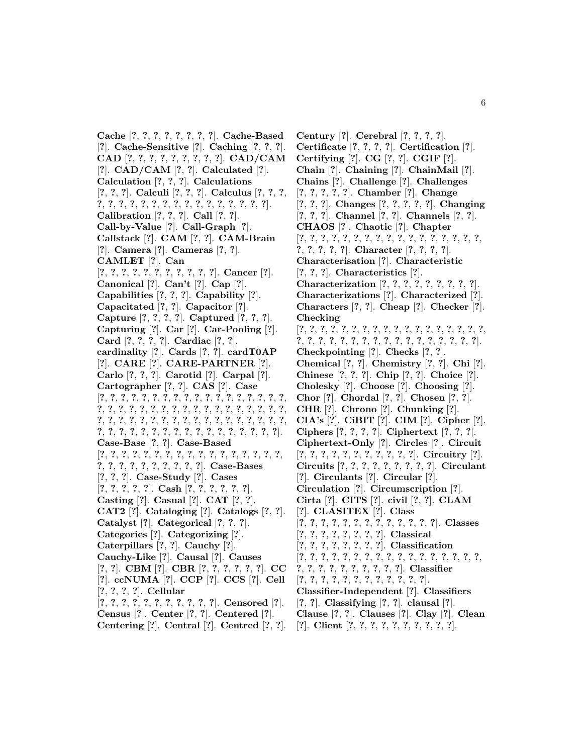**Cache** [**?**, **?**, **?**, **?**, **?**, **?**, **?**, **?**]. **Cache-Based** [**?**]. **Cache-Sensitive** [**?**]. **Caching** [**?**, **?**, **?**]. **CAD** [**?**, **?**, **?**, **?**, **?**, **?**, **?**, **?**, **?**]. **CAD/CAM** [**?**]. **CAD/CAM** [**?**, **?**]. **Calculated** [**?**]. **Calculation** [**?**, **?**, **?**]. **Calculations** [**?**, **?**, **?**]. **Calculi** [**?**, **?**, **?**]. **Calculus** [**?**, **?**, **?**, **?**, **?**, **?**, **?**, **?**, **?**, **?**, **?**, **?**, **?**, **?**, **?**, **?**, **?**, **?**, **?**]. **Calibration** [**?**, **?**, **?**]. **Call** [**?**, **?**]. **Call-by-Value** [**?**]. **Call-Graph** [**?**]. **Callstack** [**?**]. **CAM** [**?**, **?**]. **CAM-Brain** [**?**]. **Camera** [**?**]. **Cameras** [**?**, **?**]. **CAMLET** [**?**]. **Can** [**?**, **?**, **?**, **?**, **?**, **?**, **?**, **?**, **?**, **?**, **?**]. **Cancer** [**?**]. **Canonical** [**?**]. **Can't** [**?**]. **Cap** [**?**]. **Capabilities** [**?**, **?**, **?**]. **Capability** [**?**]. **Capacitated** [**?**, **?**]. **Capacitor** [**?**]. **Capture** [**?**, **?**, **?**, **?**]. **Captured** [**?**, **?**, **?**]. **Capturing** [**?**]. **Car** [**?**]. **Car-Pooling** [**?**]. **Card** [**?**, **?**, **?**, **?**]. **Cardiac** [**?**, **?**]. **cardinality** [**?**]. **Cards** [**?**, **?**]. **cardT0AP** [**?**]. **CARE** [**?**]. **CARE-PARTNER** [**?**]. **Carlo** [**?**, **?**, **?**]. **Carotid** [**?**]. **Carpal** [**?**]. **Cartographer** [**?**, **?**]. **CAS** [**?**]. **Case** [**?**, **?**, **?**, **?**, **?**, **?**, **?**, **?**, **?**, **?**, **?**, **?**, **?**, **?**, **?**, **?**, **?**, **?**, **?**, **?**, **?**, **?**, **?**, **?**, **?**, **?**, **?**, **?**, **?**, **?**, **?**, **?**, **?**, **?**, **?**, **?**, **?**, **?**, **?**, **?**, **?**, **?**, **?**, **?**, **?**, **?**, **?**, **?**, **?**, **?**, **?**, **?**, **?**, **?**, **?**, **?**, **?**, **?**, **?**, **?**, **?**, **?**, **?**, **?**, **?**, **?**, **?**, **?**, **?**, **?**, **?**]. **Case-Base** [**?**, **?**]. **Case-Based** [**?**, **?**, **?**, **?**, **?**, **?**, **?**, **?**, **?**, **?**, **?**, **?**, **?**, **?**, **?**, **?**, **?**, **?**, **?**, **?**, **?**, **?**, **?**, **?**, **?**, **?**, **?**]. **Case-Bases** [**?**, **?**, **?**]. **Case-Study** [**?**]. **Cases** [**?**, **?**, **?**, **?**, **?**]. **Cash** [**?**, **?**, **?**, **?**, **?**, **?**]. **Casting** [**?**]. **Casual** [**?**]. **CAT** [**?**, **?**]. **CAT2** [**?**]. **Cataloging** [**?**]. **Catalogs** [**?**, **?**]. **Catalyst** [**?**]. **Categorical** [**?**, **?**, **?**]. **Categories** [**?**]. **Categorizing** [**?**]. **Caterpillars** [**?**, **?**]. **Cauchy** [**?**]. **Cauchy-Like** [**?**]. **Causal** [**?**]. **Causes** [**?**, **?**]. **CBM** [**?**]. **CBR** [**?**, **?**, **?**, **?**, **?**, **?**]. **CC** [**?**]. **ccNUMA** [**?**]. **CCP** [**?**]. **CCS** [**?**]. **Cell** [**?**, **?**, **?**, **?**]. **Cellular** [**?**, **?**, **?**, **?**, **?**, **?**, **?**, **?**, **?**, **?**, **?**]. **Censored** [**?**]. **Census** [**?**]. **Center** [**?**, **?**]. **Centered** [**?**].

**Centering** [**?**]. **Central** [**?**]. **Centred** [**?**, **?**].

**Century** [**?**]. **Cerebral** [**?**, **?**, **?**, **?**]. **Certificate** [**?**, **?**, **?**, **?**]. **Certification** [**?**]. **Certifying** [**?**]. **CG** [**?**, **?**]. **CGIF** [**?**]. **Chain** [**?**]. **Chaining** [**?**]. **ChainMail** [**?**]. **Chains** [**?**]. **Challenge** [**?**]. **Challenges** [**?**, **?**, **?**, **?**, **?**]. **Chamber** [**?**]. **Change** [**?**, **?**, **?**]. **Changes** [**?**, **?**, **?**, **?**, **?**]. **Changing** [**?**, **?**, **?**]. **Channel** [**?**, **?**]. **Channels** [**?**, **?**]. **CHAOS** [**?**]. **Chaotic** [**?**]. **Chapter** [**?**, **?**, **?**, **?**, **?**, **?**, **?**, **?**, **?**, **?**, **?**, **?**, **?**, **?**, **?**, **?**, **?**, **?**, **?**, **?**, **?**, **?**]. **Character** [**?**, **?**, **?**, **?**]. **Characterisation** [**?**]. **Characteristic** [**?**, **?**, **?**]. **Characteristics** [**?**]. **Characterization** [**?**, **?**, **?**, **?**, **?**, **?**, **?**, **?**, **?**]. **Characterizations** [**?**]. **Characterized** [**?**]. **Characters** [**?**, **?**]. **Cheap** [**?**]. **Checker** [**?**]. **Checking** [**?**, **?**, **?**, **?**, **?**, **?**, **?**, **?**, **?**, **?**, **?**, **?**, **?**, **?**, **?**, **?**, **?**, **?**, **?**, **?**, **?**, **?**, **?**, **?**, **?**, **?**, **?**, **?**, **?**, **?**, **?**, **?**, **?**, **?**, **?**]. **Checkpointing** [**?**]. **Checks** [**?**, **?**]. **Chemical** [**?**, **?**]. **Chemistry** [**?**, **?**]. **Chi** [**?**]. **Chinese** [**?**, **?**, **?**]. **Chip** [**?**, **?**]. **Choice** [**?**]. **Cholesky** [**?**]. **Choose** [**?**]. **Choosing** [**?**]. **Chor** [**?**]. **Chordal** [**?**, **?**]. **Chosen** [**?**, **?**]. **CHR** [**?**]. **Chrono** [**?**]. **Chunking** [**?**]. **CIA's** [**?**]. **CiBIT** [**?**]. **CIM** [**?**]. **Cipher** [**?**]. **Ciphers** [**?**, **?**, **?**, **?**]. **Ciphertext** [**?**, **?**, **?**]. **Ciphertext-Only** [**?**]. **Circles** [**?**]. **Circuit** [**?**, **?**, **?**, **?**, **?**, **?**, **?**, **?**, **?**, **?**, **?**]. **Circuitry** [**?**]. **Circuits** [**?**, **?**, **?**, **?**, **?**, **?**, **?**, **?**, **?**]. **Circulant** [**?**]. **Circulants** [**?**]. **Circular** [**?**]. **Circulation** [**?**]. **Circumscription** [**?**]. **Cirta** [**?**]. **CITS** [**?**]. **civil** [**?**, **?**]. **CLAM** [**?**]. **CLASITEX** [**?**]. **Class** [**?**, **?**, **?**, **?**, **?**, **?**, **?**, **?**, **?**, **?**, **?**, **?**, **?**]. **Classes** [**?**, **?**, **?**, **?**, **?**, **?**, **?**, **?**]. **Classical** [**?**, **?**, **?**, **?**, **?**, **?**, **?**, **?**]. **Classification** [**?**, **?**, **?**, **?**, **?**, **?**, **?**, **?**, **?**, **?**, **?**, **?**, **?**, **?**, **?**, **?**, **?**, **?**, **?**, **?**, **?**, **?**, **?**, **?**, **?**, **?**, **?**]. **Classifier** [**?**, **?**, **?**, **?**, **?**, **?**, **?**, **?**, **?**, **?**, **?**, **?**]. **Classifier-Independent** [**?**]. **Classifiers** [**?**, **?**]. **Classifying** [**?**, **?**]. **clausal** [**?**].

- **Clause** [**?**, **?**]. **Clauses** [**?**]. **Clay** [**?**]. **Clean**
- [**?**]. **Client** [**?**, **?**, **?**, **?**, **?**, **?**, **?**, **?**, **?**, **?**].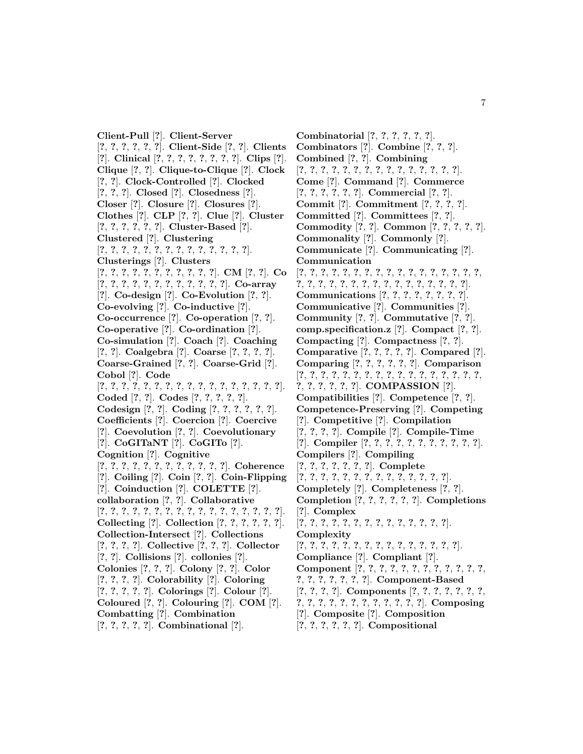**Client-Pull** [**?**]. **Client-Server** [**?**, **?**, **?**, **?**, **?**, **?**]. **Client-Side** [**?**, **?**]. **Clients** [**?**]. **Clinical** [**?**, **?**, **?**, **?**, **?**, **?**, **?**, **?**]. **Clips** [**?**]. **Clique** [**?**, **?**]. **Clique-to-Clique** [**?**]. **Clock** [**?**, **?**]. **Clock-Controlled** [**?**]. **Clocked** [**?**, **?**, **?**]. **Closed** [**?**]. **Closedness** [**?**]. **Closer** [**?**]. **Closure** [**?**]. **Closures** [**?**]. **Clothes** [**?**]. **CLP** [**?**, **?**]. **Clue** [**?**]. **Cluster** [**?**, **?**, **?**, **?**, **?**, **?**]. **Cluster-Based** [**?**]. **Clustered** [**?**]. **Clustering** [**?**, **?**, **?**, **?**, **?**, **?**, **?**, **?**, **?**, **?**, **?**, **?**, **?**, **?**]. **Clusterings** [**?**]. **Clusters** [**?**, **?**, **?**, **?**, **?**, **?**, **?**, **?**, **?**, **?**, **?**]. **CM** [**?**, **?**]. **Co** [**?**, **?**, **?**, **?**, **?**, **?**, **?**, **?**, **?**, **?**, **?**, **?**]. **Co-array** [**?**]. **Co-design** [**?**]. **Co-Evolution** [**?**, **?**]. **Co-evolving** [**?**]. **Co-inductive** [**?**]. **Co-occurrence** [**?**]. **Co-operation** [**?**, **?**]. **Co-operative** [**?**]. **Co-ordination** [**?**]. **Co-simulation** [**?**]. **Coach** [**?**]. **Coaching** [**?**, **?**]. **Coalgebra** [**?**]. **Coarse** [**?**, **?**, **?**, **?**]. **Coarse-Grained** [**?**, **?**]. **Coarse-Grid** [**?**]. **Cobol** [**?**]. **Code** [**?**, **?**, **?**, **?**, **?**, **?**, **?**, **?**, **?**, **?**, **?**, **?**, **?**, **?**, **?**, **?**, **?**]. **Coded** [**?**, **?**]. **Codes** [**?**, **?**, **?**, **?**, **?**]. **Codesign** [**?**, **?**]. **Coding** [**?**, **?**, **?**, **?**, **?**, **?**]. **Coefficients** [**?**]. **Coercion** [**?**]. **Coercive** [**?**]. **Coevolution** [**?**, **?**]. **Coevolutionary** [**?**]. **CoGITaNT** [**?**]. **CoGITo** [**?**]. **Cognition** [**?**]. **Cognitive** [**?**, **?**, **?**, **?**, **?**, **?**, **?**, **?**, **?**, **?**, **?**, **?**]. **Coherence** [**?**]. **Coiling** [**?**]. **Coin** [**?**, **?**]. **Coin-Flipping** [**?**]. **Coinduction** [**?**]. **COLETTE** [**?**]. **collaboration** [**?**, **?**]. **Collaborative** [**?**, **?**, **?**, **?**, **?**, **?**, **?**, **?**, **?**, **?**, **?**, **?**, **?**, **?**, **?**, **?**, **?**]. **Collecting** [**?**]. **Collection** [**?**, **?**, **?**, **?**, **?**, **?**]. **Collection-Intersect** [**?**]. **Collections** [**?**, **?**, **?**, **?**]. **Collective** [**?**, **?**, **?**]. **Collector** [**?**, **?**]. **Collisions** [**?**]. **collonies** [**?**]. **Colonies** [**?**, **?**, **?**]. **Colony** [**?**, **?**]. **Color** [**?**, **?**, **?**, **?**]. **Colorability** [**?**]. **Coloring** [**?**, **?**, **?**, **?**, **?**]. **Colorings** [**?**]. **Colour** [**?**]. **Coloured** [**?**, **?**]. **Colouring** [**?**]. **COM** [**?**]. **Combatting** [**?**]. **Combination** [**?**, **?**, **?**, **?**, **?**]. **Combinational** [**?**].

**Combinatorial** [**?**, **?**, **?**, **?**, **?**, **?**]. **Combinators** [**?**]. **Combine** [**?**, **?**, **?**]. **Combined** [**?**, **?**]. **Combining** [**?**, **?**, **?**, **?**, **?**, **?**, **?**, **?**, **?**, **?**, **?**, **?**, **?**, **?**, **?**]. **Come** [**?**]. **Command** [**?**]. **Commerce** [**?**, **?**, **?**, **?**, **?**, **?**]. **Commercial** [**?**, **?**]. **Commit** [**?**]. **Commitment** [**?**, **?**, **?**, **?**]. **Committed** [**?**]. **Committees** [**?**, **?**]. **Commodity** [**?**, **?**]. **Common** [**?**, **?**, **?**, **?**, **?**]. **Commonality** [**?**]. **Commonly** [**?**]. **Communicate** [**?**]. **Communicating** [**?**]. **Communication** [**?**, **?**, **?**, **?**, **?**, **?**, **?**, **?**, **?**, **?**, **?**, **?**, **?**, **?**, **?**, **?**, **?**, **?**, **?**, **?**, **?**, **?**, **?**, **?**, **?**, **?**, **?**, **?**, **?**, **?**, **?**, **?**, **?**]. **Communications** [**?**, **?**, **?**, **?**, **?**, **?**, **?**, **?**]. **Communicative** [**?**]. **Communities** [**?**]. **Community** [**?**, **?**]. **Commutative** [**?**, **?**]. **comp.specification.z** [**?**]. **Compact** [**?**, **?**]. **Compacting** [**?**]. **Compactness** [**?**, **?**]. **Comparative** [**?**, **?**, **?**, **?**, **?**]. **Compared** [**?**]. **Comparing** [**?**, **?**, **?**, **?**, **?**, **?**]. **Comparison** [**?**, **?**, **?**, **?**, **?**, **?**, **?**, **?**, **?**, **?**, **?**, **?**, **?**, **?**, **?**, **?**, **?**, **?**, **?**, **?**, **?**, **?**, **?**]. **COMPASSION** [**?**]. **Compatibilities** [**?**]. **Competence** [**?**, **?**]. **Competence-Preserving** [**?**]. **Competing** [**?**]. **Competitive** [**?**]. **Compilation** [**?**, **?**, **?**, **?**]. **Compile** [**?**]. **Compile-Time** [**?**]. **Compiler** [**?**, **?**, **?**, **?**, **?**, **?**, **?**, **?**, **?**, **?**, **?**]. **Compilers** [**?**]. **Compiling** [**?**, **?**, **?**, **?**, **?**, **?**, **?**]. **Complete** [**?**, **?**, **?**, **?**, **?**, **?**, **?**, **?**, **?**, **?**, **?**, **?**, **?**, **?**]. **Completely** [**?**]. **Completeness** [**?**, **?**]. **Completion** [**?**, **?**, **?**, **?**, **?**, **?**]. **Completions** [**?**]. **Complex** [**?**, **?**, **?**, **?**, **?**, **?**, **?**, **?**, **?**, **?**, **?**, **?**, **?**, **?**]. **Complexity** [**?**, **?**, **?**, **?**, **?**, **?**, **?**, **?**, **?**, **?**, **?**, **?**, **?**, **?**, **?**]. **Compliance** [**?**]. **Compliant** [**?**]. **Component** [**?**, **?**, **?**, **?**, **?**, **?**, **?**, **?**, **?**, **?**, **?**, **?**, **?**, **?**, **?**, **?**, **?**, **?**, **?**]. **Component-Based** [**?**, **?**, **?**, **?**]. **Components** [**?**, **?**, **?**, **?**, **?**, **?**, **?**, **?**, **?**, **?**, **?**, **?**, **?**, **?**, **?**, **?**, **?**, **?**, **?**]. **Composing** [**?**]. **Composite** [**?**]. **Composition** [**?**, **?**, **?**, **?**, **?**, **?**]. **Compositional**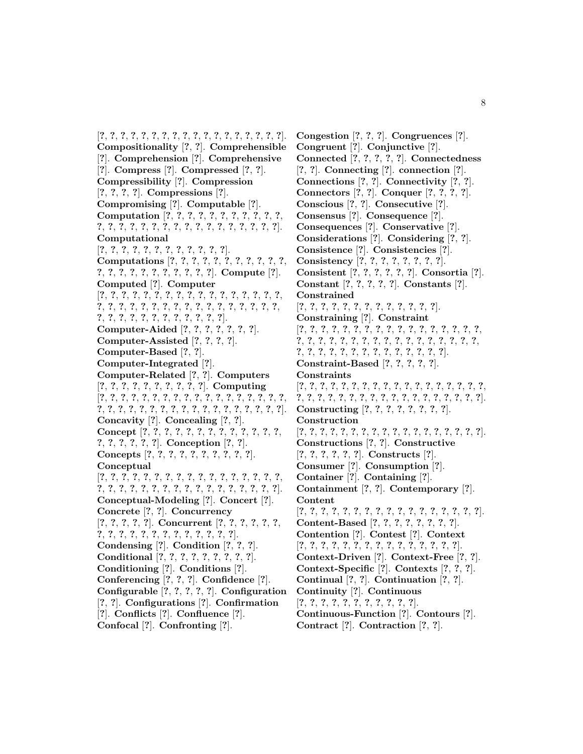[**?**, **?**, **?**, **?**, **?**, **?**, **?**, **?**, **?**, **?**, **?**, **?**, **?**, **?**, **?**, **?**, **?**, **?**]. **Compositionality** [**?**, **?**]. **Comprehensible** [**?**]. **Comprehension** [**?**]. **Comprehensive** [**?**]. **Compress** [**?**]. **Compressed** [**?**, **?**]. **Compressibility** [**?**]. **Compression** [**?**, **?**, **?**, **?**]. **Compressions** [**?**]. **Compromising** [**?**]. **Computable** [**?**]. **Computation** [**?**, **?**, **?**, **?**, **?**, **?**, **?**, **?**, **?**, **?**, **?**, **?**, **?**, **?**, **?**, **?**, **?**, **?**, **?**, **?**, **?**, **?**, **?**, **?**, **?**, **?**, **?**, **?**]. **Computational** [**?**, **?**, **?**, **?**, **?**, **?**, **?**, **?**, **?**, **?**, **?**, **?**]. **Computations** [**?**, **?**, **?**, **?**, **?**, **?**, **?**, **?**, **?**, **?**, **?**, **?**, **?**, **?**, **?**, **?**, **?**, **?**, **?**, **?**, **?**, **?**]. **Compute** [**?**]. **Computed** [**?**]. **Computer** [**?**, **?**, **?**, **?**, **?**, **?**, **?**, **?**, **?**, **?**, **?**, **?**, **?**, **?**, **?**, **?**, **?**, **?**, **?**, **?**, **?**, **?**, **?**, **?**, **?**, **?**, **?**, **?**, **?**, **?**, **?**, **?**, **?**, **?**, **?**, **?**, **?**, **?**, **?**, **?**, **?**, **?**, **?**, **?**, **?**, **?**]. **Computer-Aided** [**?**, **?**, **?**, **?**, **?**, **?**, **?**]. **Computer-Assisted** [**?**, **?**, **?**, **?**]. **Computer-Based** [**?**, **?**]. **Computer-Integrated** [**?**]. **Computer-Related** [**?**, **?**]. **Computers** [**?**, **?**, **?**, **?**, **?**, **?**, **?**, **?**, **?**, **?**]. **Computing** [**?**, **?**, **?**, **?**, **?**, **?**, **?**, **?**, **?**, **?**, **?**, **?**, **?**, **?**, **?**, **?**, **?**, **?**, **?**, **?**, **?**, **?**, **?**, **?**, **?**, **?**, **?**, **?**, **?**, **?**, **?**, **?**, **?**, **?**, **?**, **?**]. **Concavity** [**?**]. **Concealing** [**?**, **?**]. **Concept** [**?**, **?**, **?**, **?**, **?**, **?**, **?**, **?**, **?**, **?**, **?**, **?**, **?**, **?**, **?**, **?**, **?**, **?**, **?**]. **Conception** [**?**, **?**]. **Concepts** [**?**, **?**, **?**, **?**, **?**, **?**, **?**, **?**, **?**, **?**]. **Conceptual** [**?**, **?**, **?**, **?**, **?**, **?**, **?**, **?**, **?**, **?**, **?**, **?**, **?**, **?**, **?**, **?**, **?**, **?**, **?**, **?**, **?**, **?**, **?**, **?**, **?**, **?**, **?**, **?**, **?**, **?**, **?**, **?**, **?**, **?**]. **Conceptual-Modeling** [**?**]. **Concert** [**?**]. **Concrete** [**?**, **?**]. **Concurrency** [**?**, **?**, **?**, **?**, **?**]. **Concurrent** [**?**, **?**, **?**, **?**, **?**, **?**, **?**, **?**, **?**, **?**, **?**, **?**, **?**, **?**, **?**, **?**, **?**, **?**, **?**]. **Condensing** [**?**]. **Condition** [**?**, **?**, **?**]. **Conditional** [**?**, **?**, **?**, **?**, **?**, **?**, **?**, **?**, **?**]. **Conditioning** [**?**]. **Conditions** [**?**]. **Conferencing** [**?**, **?**, **?**]. **Confidence** [**?**]. **Configurable** [**?**, **?**, **?**, **?**, **?**]. **Configuration** [**?**, **?**]. **Configurations** [**?**]. **Confirmation** [**?**]. **Conflicts** [**?**]. **Confluence** [**?**]. **Confocal** [**?**]. **Confronting** [**?**].

**Congestion** [**?**, **?**, **?**]. **Congruences** [**?**]. **Congruent** [**?**]. **Conjunctive** [**?**]. **Connected** [**?**, **?**, **?**, **?**, **?**]. **Connectedness** [**?**, **?**]. **Connecting** [**?**]. **connection** [**?**]. **Connections** [**?**, **?**]. **Connectivity** [**?**, **?**]. **Connectors** [**?**, **?**]. **Conquer** [**?**, **?**, **?**, **?**]. **Conscious** [**?**, **?**]. **Consecutive** [**?**]. **Consensus** [**?**]. **Consequence** [**?**]. **Consequences** [**?**]. **Conservative** [**?**]. **Considerations** [**?**]. **Considering** [**?**, **?**]. **Consistence** [**?**]. **Consistencies** [**?**]. **Consistency** [**?**, **?**, **?**, **?**, **?**, **?**, **?**, **?**]. **Consistent** [**?**, **?**, **?**, **?**, **?**, **?**]. **Consortia** [**?**]. **Constant** [**?**, **?**, **?**, **?**, **?**]. **Constants** [**?**]. **Constrained** [**?**, **?**, **?**, **?**, **?**, **?**, **?**, **?**, **?**, **?**, **?**, **?**, **?**]. **Constraining** [**?**]. **Constraint** [**?**, **?**, **?**, **?**, **?**, **?**, **?**, **?**, **?**, **?**, **?**, **?**, **?**, **?**, **?**, **?**, **?**, **?**, **?**, **?**, **?**, **?**, **?**, **?**, **?**, **?**, **?**, **?**, **?**, **?**, **?**, **?**, **?**, **?**, **?**, **?**, **?**, **?**, **?**, **?**, **?**, **?**, **?**, **?**, **?**, **?**, **?**, **?**]. **Constraint-Based** [**?**, **?**, **?**, **?**, **?**]. **Constraints** [**?**, **?**, **?**, **?**, **?**, **?**, **?**, **?**, **?**, **?**, **?**, **?**, **?**, **?**, **?**, **?**, **?**, **?**, **?**, **?**, **?**, **?**, **?**, **?**, **?**, **?**, **?**, **?**, **?**, **?**, **?**, **?**, **?**, **?**, **?**, **?**]. **Constructing** [**?**, **?**, **?**, **?**, **?**, **?**, **?**, **?**]. **Construction** [**?**, **?**, **?**, **?**, **?**, **?**, **?**, **?**, **?**, **?**, **?**, **?**, **?**, **?**, **?**, **?**, **?**, **?**]. **Constructions** [**?**, **?**]. **Constructive** [**?**, **?**, **?**, **?**, **?**, **?**]. **Constructs** [**?**]. **Consumer** [**?**]. **Consumption** [**?**]. **Container** [**?**]. **Containing** [**?**]. **Containment** [**?**, **?**]. **Contemporary** [**?**]. **Content** [**?**, **?**, **?**, **?**, **?**, **?**, **?**, **?**, **?**, **?**, **?**, **?**, **?**, **?**, **?**, **?**, **?**]. **Content-Based** [**?**, **?**, **?**, **?**, **?**, **?**, **?**, **?**]. **Contention** [**?**]. **Contest** [**?**]. **Context** [**?**, **?**, **?**, **?**, **?**, **?**, **?**, **?**, **?**, **?**, **?**, **?**, **?**, **?**, **?**]. **Context-Driven** [**?**]. **Context-Free** [**?**, **?**]. **Context-Specific** [**?**]. **Contexts** [**?**, **?**, **?**]. **Continual** [**?**, **?**]. **Continuation** [**?**, **?**]. **Continuity** [**?**]. **Continuous** [**?**, **?**, **?**, **?**, **?**, **?**, **?**, **?**, **?**, **?**, **?**]. **Continuous-Function** [**?**]. **Contours** [**?**]. **Contract** [**?**]. **Contraction** [**?**, **?**].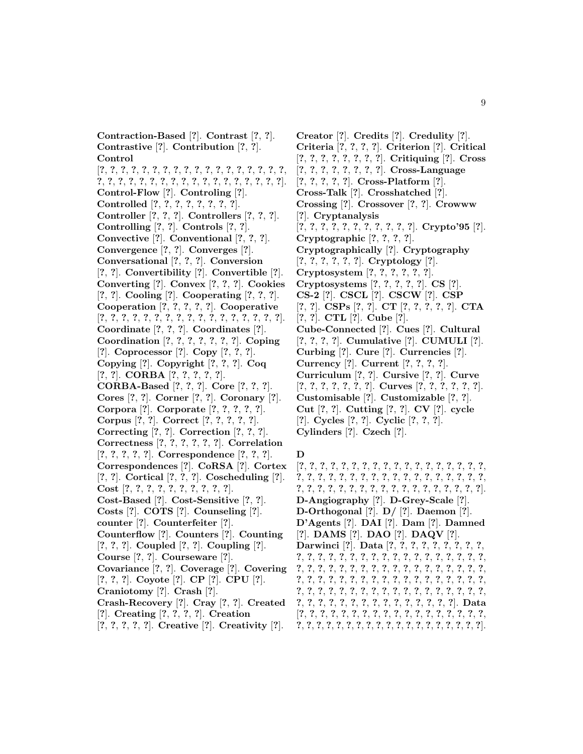**Contraction-Based** [**?**]. **Contrast** [**?**, **?**]. **Contrastive** [**?**]. **Contribution** [**?**, **?**]. **Control** [**?**, **?**, **?**, **?**, **?**, **?**, **?**, **?**, **?**, **?**, **?**, **?**, **?**, **?**, **?**, **?**, **?**, **?**,

**?**, **?**, **?**, **?**, **?**, **?**, **?**, **?**, **?**, **?**, **?**, **?**, **?**, **?**, **?**, **?**, **?**, **?**]. **Control-Flow** [**?**]. **Controling** [**?**]. **Controlled** [**?**, **?**, **?**, **?**, **?**, **?**, **?**, **?**].

**Controller** [**?**, **?**, **?**]. **Controllers** [**?**, **?**, **?**].

**Controlling** [**?**, **?**]. **Controls** [**?**, **?**].

**Convective** [**?**]. **Conventional** [**?**, **?**, **?**].

**Convergence** [**?**, **?**]. **Converges** [**?**].

**Conversational** [**?**, **?**, **?**]. **Conversion**

[**?**, **?**]. **Convertibility** [**?**]. **Convertible** [**?**].

**Converting** [**?**]. **Convex** [**?**, **?**, **?**]. **Cookies**

[**?**, **?**]. **Cooling** [**?**]. **Cooperating** [**?**, **?**, **?**].

**Cooperation** [**?**, **?**, **?**, **?**, **?**]. **Cooperative**

[**?**, **?**, **?**, **?**, **?**, **?**, **?**, **?**, **?**, **?**, **?**, **?**, **?**, **?**, **?**, **?**, **?**].

**Coordinate** [**?**, **?**, **?**]. **Coordinates** [**?**].

**Coordination** [**?**, **?**, **?**, **?**, **?**, **?**, **?**]. **Coping**

[**?**]. **Coprocessor** [**?**]. **Copy** [**?**, **?**, **?**].

**Copying** [**?**]. **Copyright** [**?**, **?**, **?**]. **Coq**

[**?**, **?**]. **CORBA** [**?**, **?**, **?**, **?**, **?**].

- **CORBA-Based** [**?**, **?**, **?**]. **Core** [**?**, **?**, **?**].
- **Cores** [**?**, **?**]. **Corner** [**?**, **?**]. **Coronary** [**?**]. **Corpora** [**?**]. **Corporate** [**?**, **?**, **?**, **?**, **?**].
- **Corpus** [**?**, **?**]. **Correct** [**?**, **?**, **?**, **?**, **?**].
- **Correcting** [**?**, **?**]. **Correction** [**?**, **?**, **?**].
- **Correctness** [**?**, **?**, **?**, **?**, **?**, **?**]. **Correlation**
- [**?**, **?**, **?**, **?**, **?**]. **Correspondence** [**?**, **?**, **?**].
- **Correspondences** [**?**]. **CoRSA** [**?**]. **Cortex**
- [**?**, **?**]. **Cortical** [**?**, **?**, **?**]. **Coscheduling** [**?**].
- **Cost** [**?**, **?**, **?**, **?**, **?**, **?**, **?**, **?**, **?**, **?**].
- **Cost-Based** [**?**]. **Cost-Sensitive** [**?**, **?**].
- **Costs** [**?**]. **COTS** [**?**]. **Counseling** [**?**].
- **counter** [**?**]. **Counterfeiter** [**?**].

**Counterflow** [**?**]. **Counters** [**?**]. **Counting** [**?**, **?**, **?**]. **Coupled** [**?**, **?**]. **Coupling** [**?**].

**Course** [**?**, **?**]. **Courseware** [**?**].

**Covariance** [**?**, **?**]. **Coverage** [**?**]. **Covering**

[**?**, **?**, **?**]. **Coyote** [**?**]. **CP** [**?**]. **CPU** [**?**].

- **Craniotomy** [**?**]. **Crash** [**?**].
- **Crash-Recovery** [**?**]. **Cray** [**?**, **?**]. **Created** [**?**]. **Creating** [**?**, **?**, **?**, **?**]. **Creation**
- [**?**, **?**, **?**, **?**, **?**]. **Creative** [**?**]. **Creativity** [**?**].

**Creator** [**?**]. **Credits** [**?**]. **Credulity** [**?**]. **Criteria** [**?**, **?**, **?**, **?**]. **Criterion** [**?**]. **Critical** [**?**, **?**, **?**, **?**, **?**, **?**, **?**, **?**]. **Critiquing** [**?**]. **Cross** [**?**, **?**, **?**, **?**, **?**, **?**, **?**, **?**]. **Cross-Language** [**?**, **?**, **?**, **?**, **?**]. **Cross-Platform** [**?**]. **Cross-Talk** [**?**]. **Crosshatched** [**?**]. **Crossing** [**?**]. **Crossover** [**?**, **?**]. **Crowww** [**?**]. **Cryptanalysis** [**?**, **?**, **?**, **?**, **?**, **?**, **?**, **?**, **?**, **?**, **?**]. **Crypto'95** [**?**]. **Cryptographic** [**?**, **?**, **?**, **?**]. **Cryptographically** [**?**]. **Cryptography** [**?**, **?**, **?**, **?**, **?**, **?**]. **Cryptology** [**?**]. **Cryptosystem** [**?**, **?**, **?**, **?**, **?**, **?**]. **Cryptosystems** [**?**, **?**, **?**, **?**, **?**]. **CS** [**?**]. **CS-2** [**?**]. **CSCL** [**?**]. **CSCW** [**?**]. **CSP** [**?**, **?**]. **CSPs** [**?**, **?**]. **CT** [**?**, **?**, **?**, **?**, **?**]. **CTA** [**?**, **?**]. **CTL** [**?**]. **Cube** [**?**]. **Cube-Connected** [**?**]. **Cues** [**?**]. **Cultural** [**?**, **?**, **?**, **?**]. **Cumulative** [**?**]. **CUMULI** [**?**]. **Curbing** [**?**]. **Cure** [**?**]. **Currencies** [**?**]. **Currency** [**?**]. **Current** [**?**, **?**, **?**, **?**]. **Curriculum** [**?**, **?**]. **Cursive** [**?**, **?**]. **Curve** [**?**, **?**, **?**, **?**, **?**, **?**, **?**]. **Curves** [**?**, **?**, **?**, **?**, **?**, **?**]. **Customisable** [**?**]. **Customizable** [**?**, **?**]. **Cut** [**?**, **?**]. **Cutting** [**?**, **?**]. **CV** [**?**]. **cycle** [**?**]. **Cycles** [**?**, **?**]. **Cyclic** [**?**, **?**, **?**]. **Cylinders** [**?**]. **Czech** [**?**].

## **D**

[**?**, **?**, **?**, **?**, **?**, **?**, **?**, **?**, **?**, **?**, **?**, **?**, **?**, **?**, **?**, **?**, **?**, **?**, **?**, **?**, **?**, **?**, **?**, **?**, **?**, **?**, **?**, **?**, **?**, **?**, **?**, **?**, **?**, **?**, **?**, **?**, **?**, **?**, **?**, **?**, **?**, **?**, **?**, **?**, **?**, **?**, **?**, **?**, **?**, **?**, **?**, **?**, **?**, **?**]. **D-Angiography** [**?**]. **D-Grey-Scale** [**?**]. **D-Orthogonal** [**?**]. **D/** [**?**]. **Daemon** [**?**]. **D'Agents** [**?**]. **DAI** [**?**]. **Dam** [**?**]. **Damned** [**?**]. **DAMS** [**?**]. **DAO** [**?**]. **DAQV** [**?**]. **Darwinci** [**?**]. **Data** [**?**, **?**, **?**, **?**, **?**, **?**, **?**, **?**, **?**, **?**, **?**, **?**, **?**, **?**, **?**, **?**, **?**, **?**, **?**, **?**, **?**, **?**, **?**, **?**, **?**, **?**, **?**, **?**, **?**, **?**, **?**, **?**, **?**, **?**, **?**, **?**, **?**, **?**, **?**, **?**, **?**, **?**, **?**, **?**, **?**, **?**, **?**, **?**, **?**, **?**, **?**, **?**, **?**, **?**, **?**, **?**, **?**, **?**, **?**, **?**, **?**, **?**, **?**, **?**, **?**, **?**, **?**, **?**, **?**, **?**, **?**, **?**, **?**, **?**, **?**, **?**, **?**, **?**, **?**, **?**, **?**, **?**, **?**, **?**, **?**, **?**, **?**, **?**, **?**, **?**, **?**, **?**, **?**, **?**, **?**, **?**]. **Data** [**?**, **?**, **?**, **?**, **?**, **?**, **?**, **?**, **?**, **?**, **?**, **?**, **?**, **?**, **?**, **?**, **?**, **?**,

**?**, **?**, **?**, **?**, **?**, **?**, **?**, **?**, **?**, **?**, **?**, **?**, **?**, **?**, **?**, **?**, **?**, **?**, **?**].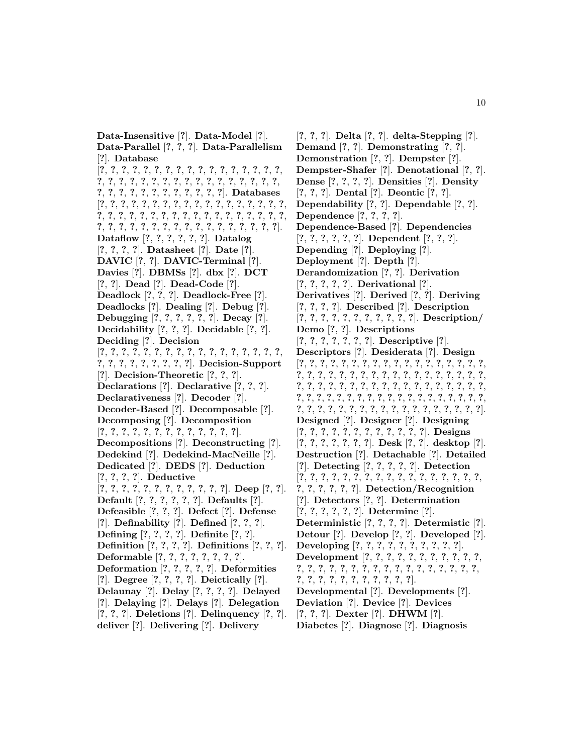**Data-Insensitive** [**?**]. **Data-Model** [**?**]. **Data-Parallel** [**?**, **?**, **?**]. **Data-Parallelism** [**?**]. **Database** [**?**, **?**, **?**, **?**, **?**, **?**, **?**, **?**, **?**, **?**, **?**, **?**, **?**, **?**, **?**, **?**, **?**, **?**, **?**, **?**, **?**, **?**, **?**, **?**, **?**, **?**, **?**, **?**, **?**, **?**, **?**, **?**, **?**, **?**, **?**, **?**, **?**, **?**, **?**, **?**, **?**, **?**, **?**, **?**, **?**, **?**]. **Databases** [**?**, **?**, **?**, **?**, **?**, **?**, **?**, **?**, **?**, **?**, **?**, **?**, **?**, **?**, **?**, **?**, **?**, **?**, **?**, **?**, **?**, **?**, **?**, **?**, **?**, **?**, **?**, **?**, **?**, **?**, **?**, **?**, **?**, **?**, **?**, **?**, **?**, **?**, **?**, **?**, **?**, **?**, **?**, **?**, **?**, **?**, **?**, **?**, **?**, **?**, **?**, **?**, **?**]. **Dataflow** [**?**, **?**, **?**, **?**, **?**, **?**]. **Datalog** [**?**, **?**, **?**, **?**]. **Datasheet** [**?**]. **Date** [**?**]. **DAVIC** [**?**, **?**]. **DAVIC-Terminal** [**?**]. **Davies** [**?**]. **DBMSs** [**?**]. **dbx** [**?**]. **DCT** [**?**, **?**]. **Dead** [**?**]. **Dead-Code** [**?**]. **Deadlock** [**?**, **?**, **?**]. **Deadlock-Free** [**?**]. **Deadlocks** [**?**]. **Dealing** [**?**]. **Debug** [**?**]. **Debugging** [**?**, **?**, **?**, **?**, **?**, **?**]. **Decay** [**?**]. **Decidability** [**?**, **?**, **?**]. **Decidable** [**?**, **?**]. **Deciding** [**?**]. **Decision** [**?**, **?**, **?**, **?**, **?**, **?**, **?**, **?**, **?**, **?**, **?**, **?**, **?**, **?**, **?**, **?**, **?**, **?**, **?**, **?**, **?**, **?**, **?**, **?**, **?**, **?**]. **Decision-Support** [**?**]. **Decision-Theoretic** [**?**, **?**, **?**]. **Declarations** [**?**]. **Declarative** [**?**, **?**, **?**]. **Declarativeness** [**?**]. **Decoder** [**?**]. **Decoder-Based** [**?**]. **Decomposable** [**?**]. **Decomposing** [**?**]. **Decomposition** [**?**, **?**, **?**, **?**, **?**, **?**, **?**, **?**, **?**, **?**, **?**, **?**, **?**]. **Decompositions** [**?**]. **Deconstructing** [**?**]. **Dedekind** [**?**]. **Dedekind-MacNeille** [**?**]. **Dedicated** [**?**]. **DEDS** [**?**]. **Deduction** [**?**, **?**, **?**, **?**]. **Deductive** [**?**, **?**, **?**, **?**, **?**, **?**, **?**, **?**, **?**, **?**, **?**, **?**]. **Deep** [**?**, **?**]. **Default** [**?**, **?**, **?**, **?**, **?**, **?**]. **Defaults** [**?**]. **Defeasible** [**?**, **?**, **?**]. **Defect** [**?**]. **Defense** [**?**]. **Definability** [**?**]. **Defined** [**?**, **?**, **?**]. **Defining** [**?**, **?**, **?**, **?**]. **Definite** [**?**, **?**]. **Definition** [**?**, **?**, **?**, **?**]. **Definitions** [**?**, **?**, **?**]. **Deformable** [**?**, **?**, **?**, **?**, **?**, **?**, **?**, **?**]. **Deformation** [**?**, **?**, **?**, **?**, **?**]. **Deformities** [**?**]. **Degree** [**?**, **?**, **?**, **?**]. **Deictically** [**?**]. **Delaunay** [**?**]. **Delay** [**?**, **?**, **?**, **?**]. **Delayed** [**?**]. **Delaying** [**?**]. **Delays** [**?**]. **Delegation** [**?**, **?**, **?**]. **Deletions** [**?**]. **Delinquency** [**?**, **?**]. **deliver** [**?**]. **Delivering** [**?**]. **Delivery**

[**?**, **?**, **?**]. **Delta** [**?**, **?**]. **delta-Stepping** [**?**]. **Demand** [**?**, **?**]. **Demonstrating** [**?**, **?**]. **Demonstration** [**?**, **?**]. **Dempster** [**?**]. **Dempster-Shafer** [**?**]. **Denotational** [**?**, **?**]. **Dense** [**?**, **?**, **?**, **?**]. **Densities** [**?**]. **Density** [**?**, **?**, **?**]. **Dental** [**?**]. **Deontic** [**?**, **?**]. **Dependability** [**?**, **?**]. **Dependable** [**?**, **?**]. **Dependence** [**?**, **?**, **?**, **?**]. **Dependence-Based** [**?**]. **Dependencies** [**?**, **?**, **?**, **?**, **?**, **?**]. **Dependent** [**?**, **?**, **?**]. **Depending** [**?**]. **Deploying** [**?**]. **Deployment** [**?**]. **Depth** [**?**]. **Derandomization** [**?**, **?**]. **Derivation** [**?**, **?**, **?**, **?**, **?**]. **Derivational** [**?**]. **Derivatives** [**?**]. **Derived** [**?**, **?**]. **Deriving** [**?**, **?**, **?**, **?**]. **Described** [**?**]. **Description** [**?**, **?**, **?**, **?**, **?**, **?**, **?**, **?**, **?**, **?**, **?**]. **Description/ Demo** [**?**, **?**]. **Descriptions** [**?**, **?**, **?**, **?**, **?**, **?**, **?**]. **Descriptive** [**?**]. **Descriptors** [**?**]. **Desiderata** [**?**]. **Design** [**?**, **?**, **?**, **?**, **?**, **?**, **?**, **?**, **?**, **?**, **?**, **?**, **?**, **?**, **?**, **?**, **?**, **?**, **?**, **?**, **?**, **?**, **?**, **?**, **?**, **?**, **?**, **?**, **?**, **?**, **?**, **?**, **?**, **?**, **?**, **?**, **?**, **?**, **?**, **?**, **?**, **?**, **?**, **?**, **?**, **?**, **?**, **?**, **?**, **?**, **?**, **?**, **?**, **?**, **?**, **?**, **?**, **?**, **?**, **?**, **?**, **?**, **?**, **?**, **?**, **?**, **?**, **?**, **?**, **?**, **?**, **?**, **?**, **?**, **?**, **?**, **?**, **?**, **?**, **?**, **?**, **?**, **?**, **?**, **?**, **?**, **?**, **?**, **?**, **?**, **?**]. **Designed** [**?**]. **Designer** [**?**]. **Designing** [**?**, **?**, **?**, **?**, **?**, **?**, **?**, **?**, **?**, **?**, **?**, **?**]. **Designs** [**?**, **?**, **?**, **?**, **?**, **?**, **?**]. **Desk** [**?**, **?**]. **desktop** [**?**]. **Destruction** [**?**]. **Detachable** [**?**]. **Detailed** [**?**]. **Detecting** [**?**, **?**, **?**, **?**, **?**]. **Detection** [**?**, **?**, **?**, **?**, **?**, **?**, **?**, **?**, **?**, **?**, **?**, **?**, **?**, **?**, **?**, **?**, **?**, **?**, **?**, **?**, **?**, **?**, **?**]. **Detection/Recognition** [**?**]. **Detectors** [**?**, **?**]. **Determination** [**?**, **?**, **?**, **?**, **?**, **?**]. **Determine** [**?**]. **Deterministic** [**?**, **?**, **?**, **?**]. **Determistic** [**?**]. **Detour** [**?**]. **Develop** [**?**, **?**]. **Developed** [**?**]. **Developing** [**?**, **?**, **?**, **?**, **?**, **?**, **?**, **?**, **?**, **?**]. **Development** [**?**, **?**, **?**, **?**, **?**, **?**, **?**, **?**, **?**, **?**, **?**, **?**, **?**, **?**, **?**, **?**, **?**, **?**, **?**, **?**, **?**, **?**, **?**, **?**, **?**, **?**, **?**, **?**, **?**, **?**, **?**, **?**, **?**, **?**, **?**, **?**, **?**, **?**, **?**]. **Developmental** [**?**]. **Developments** [**?**]. **Deviation** [**?**]. **Device** [**?**]. **Devices** [**?**, **?**, **?**]. **Dexter** [**?**]. **DHWM** [**?**]. **Diabetes** [**?**]. **Diagnose** [**?**]. **Diagnosis**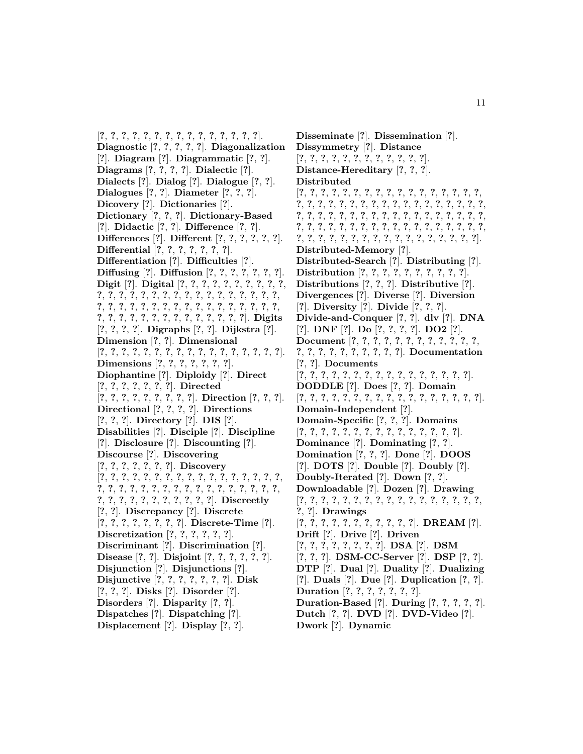[**?**, **?**, **?**, **?**, **?**, **?**, **?**, **?**, **?**, **?**, **?**, **?**, **?**, **?**, **?**]. **Diagnostic** [**?**, **?**, **?**, **?**, **?**]. **Diagonalization** [**?**]. **Diagram** [**?**]. **Diagrammatic** [**?**, **?**]. **Diagrams** [**?**, **?**, **?**, **?**]. **Dialectic** [**?**]. **Dialects** [**?**]. **Dialog** [**?**]. **Dialogue** [**?**, **?**]. **Dialogues** [**?**, **?**]. **Diameter** [**?**, **?**, **?**]. **Dicovery** [**?**]. **Dictionaries** [**?**]. **Dictionary** [**?**, **?**, **?**]. **Dictionary-Based** [**?**]. **Didactic** [**?**, **?**]. **Difference** [**?**, **?**]. **Differences** [**?**]. **Different** [**?**, **?**, **?**, **?**, **?**, **?**]. **Differential** [**?**, **?**, **?**, **?**, **?**, **?**, **?**]. **Differentiation** [**?**]. **Difficulties** [**?**]. **Diffusing** [**?**]. **Diffusion** [**?**, **?**, **?**, **?**, **?**, **?**, **?**]. **Digit** [**?**]. **Digital** [**?**, **?**, **?**, **?**, **?**, **?**, **?**, **?**, **?**, **?**, **?**, **?**, **?**, **?**, **?**, **?**, **?**, **?**, **?**, **?**, **?**, **?**, **?**, **?**, **?**, **?**, **?**, **?**, **?**, **?**, **?**, **?**, **?**, **?**, **?**, **?**, **?**, **?**, **?**, **?**, **?**, **?**, **?**, **?**, **?**, **?**, **?**, **?**, **?**, **?**, **?**, **?**, **?**, **?**, **?**, **?**, **?**, **?**]. **Digits** [**?**, **?**, **?**, **?**]. **Digraphs** [**?**, **?**]. **Dijkstra** [**?**]. **Dimension** [**?**, **?**]. **Dimensional** [**?**, **?**, **?**, **?**, **?**, **?**, **?**, **?**, **?**, **?**, **?**, **?**, **?**, **?**, **?**, **?**, **?**]. **Dimensions** [**?**, **?**, **?**, **?**, **?**, **?**, **?**]. **Diophantine** [**?**]. **Diploidy** [**?**]. **Direct** [**?**, **?**, **?**, **?**, **?**, **?**, **?**]. **Directed** [**?**, **?**, **?**, **?**, **?**, **?**, **?**, **?**, **?**]. **Direction** [**?**, **?**, **?**]. **Directional** [**?**, **?**, **?**, **?**]. **Directions** [**?**, **?**, **?**]. **Directory** [**?**]. **DIS** [**?**]. **Disabilities** [**?**]. **Disciple** [**?**]. **Discipline** [**?**]. **Disclosure** [**?**]. **Discounting** [**?**]. **Discourse** [**?**]. **Discovering** [**?**, **?**, **?**, **?**, **?**, **?**, **?**]. **Discovery** [**?**, **?**, **?**, **?**, **?**, **?**, **?**, **?**, **?**, **?**, **?**, **?**, **?**, **?**, **?**, **?**, **?**, **?**, **?**, **?**, **?**, **?**, **?**, **?**, **?**, **?**, **?**, **?**, **?**, **?**, **?**, **?**, **?**, **?**, **?**, **?**, **?**, **?**, **?**, **?**, **?**, **?**, **?**, **?**, **?**]. **Discreetly** [**?**, **?**]. **Discrepancy** [**?**]. **Discrete** [**?**, **?**, **?**, **?**, **?**, **?**, **?**, **?**]. **Discrete-Time** [**?**]. **Discretization** [**?**, **?**, **?**, **?**, **?**, **?**]. **Discriminant** [**?**]. **Discrimination** [**?**]. **Disease** [**?**, **?**]. **Disjoint** [**?**, **?**, **?**, **?**, **?**, **?**]. **Disjunction** [**?**]. **Disjunctions** [**?**]. **Disjunctive** [**?**, **?**, **?**, **?**, **?**, **?**, **?**]. **Disk** [**?**, **?**, **?**]. **Disks** [**?**]. **Disorder** [**?**]. **Disorders** [**?**]. **Disparity** [**?**, **?**]. **Dispatches** [**?**]. **Dispatching** [**?**]. **Displacement** [**?**]. **Display** [**?**, **?**].

**Disseminate** [**?**]. **Dissemination** [**?**]. **Dissymmetry** [**?**]. **Distance** [**?**, **?**, **?**, **?**, **?**, **?**, **?**, **?**, **?**, **?**, **?**, **?**]. **Distance-Hereditary** [**?**, **?**, **?**]. **Distributed** [**?**, **?**, **?**, **?**, **?**, **?**, **?**, **?**, **?**, **?**, **?**, **?**, **?**, **?**, **?**, **?**, **?**, **?**, **?**, **?**, **?**, **?**, **?**, **?**, **?**, **?**, **?**, **?**, **?**, **?**, **?**, **?**, **?**, **?**, **?**, **?**, **?**, **?**, **?**, **?**, **?**, **?**, **?**, **?**, **?**, **?**, **?**, **?**, **?**, **?**, **?**, **?**, **?**, **?**, **?**, **?**, **?**, **?**, **?**, **?**, **?**, **?**, **?**, **?**, **?**, **?**, **?**, **?**, **?**, **?**, **?**, **?**, **?**, **?**, **?**, **?**, **?**, **?**, **?**, **?**, **?**, **?**, **?**, **?**, **?**, **?**, **?**, **?**]. **Distributed-Memory** [**?**]. **Distributed-Search** [**?**]. **Distributing** [**?**]. **Distribution** [**?**, **?**, **?**, **?**, **?**, **?**, **?**, **?**, **?**, **?**]. **Distributions** [**?**, **?**, **?**]. **Distributive** [**?**]. **Divergences** [**?**]. **Diverse** [**?**]. **Diversion** [**?**]. **Diversity** [**?**]. **Divide** [**?**, **?**, **?**]. **Divide-and-Conquer** [**?**, **?**]. **dlv** [**?**]. **DNA** [**?**]. **DNF** [**?**]. **Do** [**?**, **?**, **?**, **?**]. **DO2** [**?**]. **Document** [**?**, **?**, **?**, **?**, **?**, **?**, **?**, **?**, **?**, **?**, **?**, **?**, **?**, **?**, **?**, **?**, **?**, **?**, **?**, **?**, **?**, **?**]. **Documentation** [**?**, **?**]. **Documents** [**?**, **?**, **?**, **?**, **?**, **?**, **?**, **?**, **?**, **?**, **?**, **?**, **?**, **?**, **?**, **?**]. **DODDLE** [**?**]. **Does** [**?**, **?**]. **Domain** [**?**, **?**, **?**, **?**, **?**, **?**, **?**, **?**, **?**, **?**, **?**, **?**, **?**, **?**, **?**, **?**, **?**]. **Domain-Independent** [**?**]. **Domain-Specific** [**?**, **?**, **?**]. **Domains** [**?**, **?**, **?**, **?**, **?**, **?**, **?**, **?**, **?**, **?**, **?**, **?**, **?**, **?**, **?**]. **Dominance** [**?**]. **Dominating** [**?**, **?**]. **Domination** [**?**, **?**, **?**]. **Done** [**?**]. **DOOS** [**?**]. **DOTS** [**?**]. **Double** [**?**]. **Doubly** [**?**]. **Doubly-Iterated** [**?**]. **Down** [**?**, **?**]. **Downloadable** [**?**]. **Dozen** [**?**]. **Drawing** [**?**, **?**, **?**, **?**, **?**, **?**, **?**, **?**, **?**, **?**, **?**, **?**, **?**, **?**, **?**, **?**, **?**, **?**, **?**]. **Drawings** [**?**, **?**, **?**, **?**, **?**, **?**, **?**, **?**, **?**, **?**, **?**]. **DREAM** [**?**]. **Drift** [**?**]. **Drive** [**?**]. **Driven** [**?**, **?**, **?**, **?**, **?**, **?**, **?**, **?**]. **DSA** [**?**]. **DSM** [**?**, **?**, **?**]. **DSM-CC-Server** [**?**]. **DSP** [**?**, **?**]. **DTP** [**?**]. **Dual** [**?**]. **Duality** [**?**]. **Dualizing** [**?**]. **Duals** [**?**]. **Due** [**?**]. **Duplication** [**?**, **?**]. **Duration** [**?**, **?**, **?**, **?**, **?**, **?**, **?**]. **Duration-Based** [**?**]. **During** [**?**, **?**, **?**, **?**, **?**]. **Dutch** [**?**, **?**]. **DVD** [**?**]. **DVD-Video** [**?**]. **Dwork** [**?**]. **Dynamic**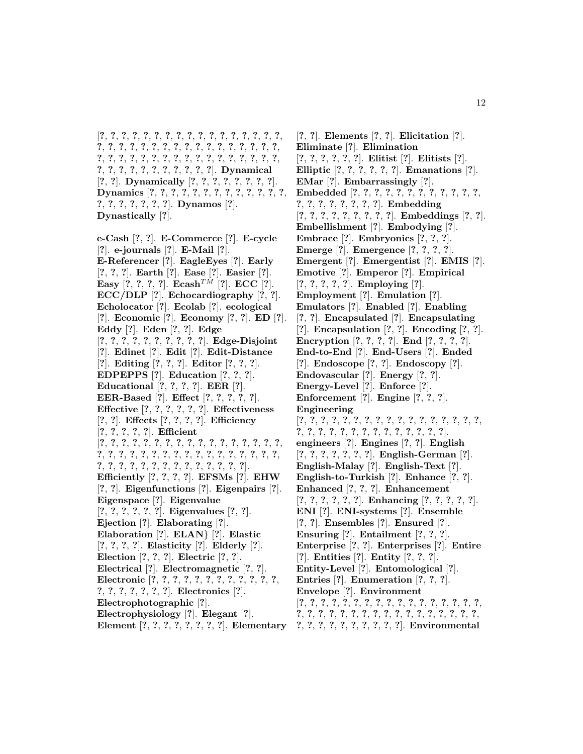[**?**, **?**, **?**, **?**, **?**, **?**, **?**, **?**, **?**, **?**, **?**, **?**, **?**, **?**, **?**, **?**, **?**, **?**, **?**, **?**, **?**, **?**, **?**, **?**, **?**, **?**, **?**, **?**, **?**, **?**, **?**, **?**, **?**, **?**, **?**, **?**, **?**, **?**, **?**, **?**, **?**, **?**, **?**, **?**, **?**, **?**, **?**, **?**, **?**, **?**, **?**, **?**, **?**, **?**, **?**, **?**, **?**, **?**, **?**, **?**, **?**, **?**]. **Dynamical** [**?**, **?**]. **Dynamically** [**?**, **?**, **?**, **?**, **?**, **?**, **?**, **?**]. **Dynamics** [**?**, **?**, **?**, **?**, **?**, **?**, **?**, **?**, **?**, **?**, **?**, **?**, **?**, **?**, **?**, **?**, **?**, **?**, **?**, **?**]. **Dynamos** [**?**]. **Dynastically** [**?**].

**e-Cash** [**?**, **?**]. **E-Commerce** [**?**]. **E-cycle** [**?**]. **e-journals** [**?**]. **E-Mail** [**?**]. **E-Referencer** [**?**]. **EagleEyes** [**?**]. **Early** [**?**, **?**, **?**]. **Earth** [**?**]. **Ease** [**?**]. **Easier** [**?**]. **Easy**  $[?, ?, ?, ?]$ . **Ecash**<sup>TM</sup> [?]. **ECC** [?]. **ECC/DLP** [**?**]. **Echocardiography** [**?**, **?**]. **Echolocator** [**?**]. **Ecolab** [**?**]. **ecological** [**?**]. **Economic** [**?**]. **Economy** [**?**, **?**]. **ED** [**?**]. **Eddy** [**?**]. **Eden** [**?**, **?**]. **Edge** [**?**, **?**, **?**, **?**, **?**, **?**, **?**, **?**, **?**, **?**]. **Edge-Disjoint** [**?**]. **Edinet** [**?**]. **Edit** [**?**]. **Edit-Distance** [**?**]. **Editing** [**?**, **?**, **?**]. **Editor** [**?**, **?**, **?**]. **EDPEPPS** [**?**]. **Education** [**?**, **?**, **?**]. **Educational** [**?**, **?**, **?**, **?**]. **EER** [**?**]. **EER-Based** [**?**]. **Effect** [**?**, **?**, **?**, **?**, **?**]. **Effective** [**?**, **?**, **?**, **?**, **?**, **?**]. **Effectiveness** [**?**, **?**]. **Effects** [**?**, **?**, **?**, **?**]. **Efficiency** [**?**, **?**, **?**, **?**, **?**]. **Efficient** [**?**, **?**, **?**, **?**, **?**, **?**, **?**, **?**, **?**, **?**, **?**, **?**, **?**, **?**, **?**, **?**, **?**, **?**, **?**, **?**, **?**, **?**, **?**, **?**, **?**, **?**, **?**, **?**, **?**, **?**, **?**, **?**, **?**, **?**, **?**, **?**, **?**, **?**, **?**, **?**, **?**, **?**, **?**, **?**, **?**, **?**, **?**, **?**]. **Efficiently** [**?**, **?**, **?**, **?**]. **EFSMs** [**?**]. **EHW** [**?**, **?**]. **Eigenfunctions** [**?**]. **Eigenpairs** [**?**]. **Eigenspace** [**?**]. **Eigenvalue** [**?**, **?**, **?**, **?**, **?**, **?**]. **Eigenvalues** [**?**, **?**]. **Ejection** [**?**]. **Elaborating** [**?**]. **Elaboration** [**?**]. **ELAN**} [**?**]. **Elastic** [**?**, **?**, **?**, **?**]. **Elasticity** [**?**]. **Elderly** [**?**]. **Election** [**?**, **?**, **?**]. **Electric** [**?**, **?**]. **Electrical** [**?**]. **Electromagnetic** [**?**, **?**]. **Electronic** [**?**, **?**, **?**, **?**, **?**, **?**, **?**, **?**, **?**, **?**, **?**, **?**, **?**, **?**, **?**, **?**, **?**, **?**, **?**]. **Electronics** [**?**]. **Electrophotographic** [**?**]. **Electrophysiology** [**?**]. **Elegant** [**?**]. Element [?, ?, ?, ?, ?, ?, ?, ?]. Elementary 7, ?, ?, ?, ?, ?, ?, ?, ?, ?]. Environmental

[**?**, **?**]. **Elements** [**?**, **?**]. **Elicitation** [**?**]. **Eliminate** [**?**]. **Elimination** [**?**, **?**, **?**, **?**, **?**, **?**]. **Elitist** [**?**]. **Elitists** [**?**]. **Elliptic** [**?**, **?**, **?**, **?**, **?**, **?**]. **Emanations** [**?**]. **EMar** [**?**]. **Embarrassingly** [**?**]. **Embedded** [**?**, **?**, **?**, **?**, **?**, **?**, **?**, **?**, **?**, **?**, **?**, **?**, **?**, **?**, **?**, **?**, **?**, **?**, **?**, **?**]. **Embedding** [**?**, **?**, **?**, **?**, **?**, **?**, **?**, **?**, **?**]. **Embeddings** [**?**, **?**]. **Embellishment** [**?**]. **Embodying** [**?**]. **Embrace** [**?**]. **Embryonics** [**?**, **?**, **?**]. **Emerge** [**?**]. **Emergence** [**?**, **?**, **?**, **?**]. **Emergent** [**?**]. **Emergentist** [**?**]. **EMIS** [**?**]. **Emotive** [**?**]. **Emperor** [**?**]. **Empirical** [**?**, **?**, **?**, **?**, **?**]. **Employing** [**?**]. **Employment** [**?**]. **Emulation** [**?**]. **Emulators** [**?**]. **Enabled** [**?**]. **Enabling** [**?**, **?**]. **Encapsulated** [**?**]. **Encapsulating** [**?**]. **Encapsulation** [**?**, **?**]. **Encoding** [**?**, **?**]. **Encryption** [**?**, **?**, **?**, **?**]. **End** [**?**, **?**, **?**, **?**]. **End-to-End** [**?**]. **End-Users** [**?**]. **Ended** [**?**]. **Endoscope** [**?**, **?**]. **Endoscopy** [**?**]. **Endovascular** [**?**]. **Energy** [**?**, **?**]. **Energy-Level** [**?**]. **Enforce** [**?**]. **Enforcement** [**?**]. **Engine** [**?**, **?**, **?**]. **Engineering** [**?**, **?**, **?**, **?**, **?**, **?**, **?**, **?**, **?**, **?**, **?**, **?**, **?**, **?**, **?**, **?**, **?**, **?**, **?**, **?**, **?**, **?**, **?**, **?**, **?**, **?**, **?**, **?**, **?**, **?**, **?**]. **engineers** [**?**]. **Engines** [**?**, **?**]. **English** [**?**, **?**, **?**, **?**, **?**, **?**, **?**]. **English-German** [**?**]. **English-Malay** [**?**]. **English-Text** [**?**]. **English-to-Turkish** [**?**]. **Enhance** [**?**, **?**]. **Enhanced** [**?**, **?**, **?**]. **Enhancement** [**?**, **?**, **?**, **?**, **?**, **?**]. **Enhancing** [**?**, **?**, **?**, **?**, **?**]. **ENI** [**?**]. **ENI-systems** [**?**]. **Ensemble** [**?**, **?**]. **Ensembles** [**?**]. **Ensured** [**?**]. **Ensuring** [**?**]. **Entailment** [**?**, **?**, **?**]. **Enterprise** [**?**, **?**]. **Enterprises** [**?**]. **Entire** [**?**]. **Entities** [**?**]. **Entity** [**?**, **?**, **?**]. **Entity-Level** [**?**]. **Entomological** [**?**]. **Entries** [**?**]. **Enumeration** [**?**, **?**, **?**]. **Envelope** [**?**]. **Environment** [**?**, **?**, **?**, **?**, **?**, **?**, **?**, **?**, **?**, **?**, **?**, **?**, **?**, **?**, **?**, **?**, **?**, **?**, **?**, **?**, **?**, **?**, **?**, **?**, **?**, **?**, **?**, **?**, **?**, **?**, **?**, **?**, **?**, **?**,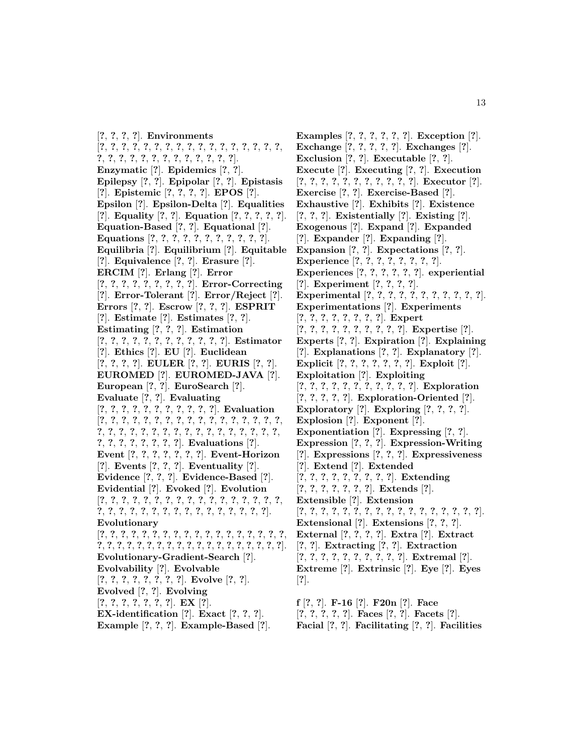[**?**, **?**, **?**, **?**]. **Environments** [**?**, **?**, **?**, **?**, **?**, **?**, **?**, **?**, **?**, **?**, **?**, **?**, **?**, **?**, **?**, **?**, **?**, **?**, **?**, **?**, **?**, **?**, **?**, **?**, **?**, **?**, **?**, **?**, **?**, **?**]. **Enzymatic** [**?**]. **Epidemics** [**?**, **?**]. **Epilepsy** [**?**, **?**]. **Epipolar** [**?**, **?**]. **Epistasis** [**?**]. **Epistemic** [**?**, **?**, **?**, **?**]. **EPOS** [**?**]. **Epsilon** [**?**]. **Epsilon-Delta** [**?**]. **Equalities** [**?**]. **Equality** [**?**, **?**]. **Equation** [**?**, **?**, **?**, **?**, **?**]. **Equation-Based** [**?**, **?**]. **Equational** [**?**]. **Equations** [**?**, **?**, **?**, **?**, **?**, **?**, **?**, **?**, **?**, **?**, **?**]. **Equilibria** [**?**]. **Equilibrium** [**?**]. **Equitable** [**?**]. **Equivalence** [**?**, **?**]. **Erasure** [**?**]. **ERCIM** [**?**]. **Erlang** [**?**]. **Error** [**?**, **?**, **?**, **?**, **?**, **?**, **?**, **?**, **?**]. **Error-Correcting** [**?**]. **Error-Tolerant** [**?**]. **Error/Reject** [**?**]. **Errors** [**?**, **?**]. **Escrow** [**?**, **?**, **?**]. **ESPRIT** [**?**]. **Estimate** [**?**]. **Estimates** [**?**, **?**]. **Estimating** [**?**, **?**, **?**]. **Estimation** [**?**, **?**, **?**, **?**, **?**, **?**, **?**, **?**, **?**, **?**, **?**, **?**]. **Estimator** [**?**]. **Ethics** [**?**]. **EU** [**?**]. **Euclidean** [**?**, **?**, **?**, **?**]. **EULER** [**?**, **?**]. **EURIS** [**?**, **?**]. **EUROMED** [**?**]. **EUROMED-JAVA** [**?**]. **European** [**?**, **?**]. **EuroSearch** [**?**]. **Evaluate** [**?**, **?**]. **Evaluating** [**?**, **?**, **?**, **?**, **?**, **?**, **?**, **?**, **?**, **?**, **?**]. **Evaluation** [**?**, **?**, **?**, **?**, **?**, **?**, **?**, **?**, **?**, **?**, **?**, **?**, **?**, **?**, **?**, **?**, **?**, **?**, **?**, **?**, **?**, **?**, **?**, **?**, **?**, **?**, **?**, **?**, **?**, **?**, **?**, **?**, **?**, **?**, **?**, **?**, **?**, **?**, **?**, **?**, **?**, **?**]. **Evaluations** [**?**]. **Event** [**?**, **?**, **?**, **?**, **?**, **?**, **?**]. **Event-Horizon** [**?**]. **Events** [**?**, **?**, **?**]. **Eventuality** [**?**]. **Evidence** [**?**, **?**, **?**]. **Evidence-Based** [**?**]. **Evidential** [**?**]. **Evoked** [**?**]. **Evolution** [**?**, **?**, **?**, **?**, **?**, **?**, **?**, **?**, **?**, **?**, **?**, **?**, **?**, **?**, **?**, **?**, **?**, **?**, **?**, **?**, **?**, **?**, **?**, **?**, **?**, **?**, **?**, **?**, **?**, **?**, **?**, **?**, **?**]. **Evolutionary** [**?**, **?**, **?**, **?**, **?**, **?**, **?**, **?**, **?**, **?**, **?**, **?**, **?**, **?**, **?**, **?**, **?**, **?**, **?**, **?**, **?**, **?**, **?**, **?**, **?**, **?**, **?**, **?**, **?**, **?**, **?**, **?**, **?**, **?**, **?**, **?**, **?**]. **Evolutionary-Gradient-Search** [**?**]. **Evolvability** [**?**]. **Evolvable** [**?**, **?**, **?**, **?**, **?**, **?**, **?**, **?**]. **Evolve** [**?**, **?**]. **Evolved** [**?**, **?**]. **Evolving** [**?**, **?**, **?**, **?**, **?**, **?**, **?**]. **EX** [**?**]. **EX-identification** [**?**]. **Exact** [**?**, **?**, **?**].

**Example** [**?**, **?**, **?**]. **Example-Based** [**?**].

**Examples** [**?**, **?**, **?**, **?**, **?**, **?**]. **Exception** [**?**]. **Exchange** [**?**, **?**, **?**, **?**, **?**]. **Exchanges** [**?**]. **Exclusion** [**?**, **?**]. **Executable** [**?**, **?**]. **Execute** [**?**]. **Executing** [**?**, **?**]. **Execution** [**?**, **?**, **?**, **?**, **?**, **?**, **?**, **?**, **?**, **?**, **?**]. **Executor** [**?**]. **Exercise** [**?**, **?**]. **Exercise-Based** [**?**]. **Exhaustive** [**?**]. **Exhibits** [**?**]. **Existence** [**?**, **?**, **?**]. **Existentially** [**?**]. **Existing** [**?**]. **Exogenous** [**?**]. **Expand** [**?**]. **Expanded** [**?**]. **Expander** [**?**]. **Expanding** [**?**]. **Expansion** [**?**, **?**]. **Expectations** [**?**, **?**]. **Experience** [**?**, **?**, **?**, **?**, **?**, **?**, **?**, **?**]. **Experiences** [**?**, **?**, **?**, **?**, **?**, **?**]. **experiential** [**?**]. **Experiment** [**?**, **?**, **?**, **?**]. **Experimental** [**?**, **?**, **?**, **?**, **?**, **?**, **?**, **?**, **?**, **?**, **?**]. **Experimentations** [**?**]. **Experiments** [**?**, **?**, **?**, **?**, **?**, **?**, **?**, **?**]. **Expert** [**?**, **?**, **?**, **?**, **?**, **?**, **?**, **?**, **?**, **?**]. **Expertise** [**?**]. **Experts** [**?**, **?**]. **Expiration** [**?**]. **Explaining** [**?**]. **Explanations** [**?**, **?**]. **Explanatory** [**?**]. **Explicit** [**?**, **?**, **?**, **?**, **?**, **?**, **?**]. **Exploit** [**?**]. **Exploitation** [**?**]. **Exploiting** [**?**, **?**, **?**, **?**, **?**, **?**, **?**, **?**, **?**, **?**, **?**]. **Exploration** [**?**, **?**, **?**, **?**, **?**]. **Exploration-Oriented** [**?**]. **Exploratory** [**?**]. **Exploring** [**?**, **?**, **?**, **?**]. **Explosion** [**?**]. **Exponent** [**?**]. **Exponentiation** [**?**]. **Expressing** [**?**, **?**]. **Expression** [**?**, **?**, **?**]. **Expression-Writing** [**?**]. **Expressions** [**?**, **?**, **?**]. **Expressiveness** [**?**]. **Extend** [**?**]. **Extended** [**?**, **?**, **?**, **?**, **?**, **?**, **?**, **?**, **?**]. **Extending** [**?**, **?**, **?**, **?**, **?**, **?**, **?**]. **Extends** [**?**]. **Extensible** [**?**]. **Extension** [**?**, **?**, **?**, **?**, **?**, **?**, **?**, **?**, **?**, **?**, **?**, **?**, **?**, **?**, **?**, **?**, **?**]. **Extensional** [**?**]. **Extensions** [**?**, **?**, **?**]. **External** [**?**, **?**, **?**, **?**]. **Extra** [**?**]. **Extract** [**?**, **?**]. **Extracting** [**?**, **?**]. **Extraction** [**?**, **?**, **?**, **?**, **?**, **?**, **?**, **?**, **?**, **?**]. **Extremal** [**?**]. **Extreme** [**?**]. **Extrinsic** [**?**]. **Eye** [**?**]. **Eyes** [**?**].

**f** [**?**, **?**]. **F-16** [**?**]. **F20n** [**?**]. **Face** [**?**, **?**, **?**, **?**, **?**]. **Faces** [**?**, **?**]. **Facets** [**?**]. **Facial** [**?**, **?**]. **Facilitating** [**?**, **?**]. **Facilities**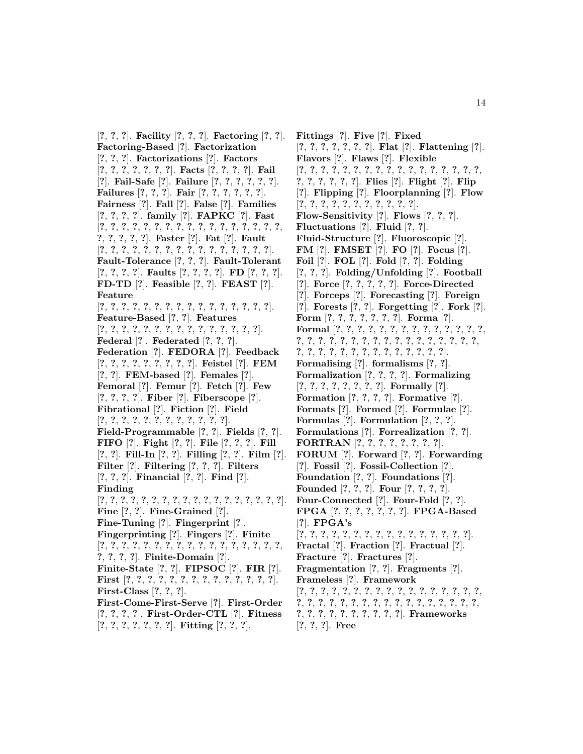[**?**, **?**, **?**]. **Facility** [**?**, **?**, **?**]. **Factoring** [**?**, **?**]. **Factoring-Based** [**?**]. **Factorization** [**?**, **?**, **?**]. **Factorizations** [**?**]. **Factors** [**?**, **?**, **?**, **?**, **?**, **?**, **?**]. **Facts** [**?**, **?**, **?**, **?**]. **Fail** [**?**]. **Fail-Safe** [**?**]. **Failure** [**?**, **?**, **?**, **?**, **?**, **?**]. **Failures** [**?**, **?**, **?**]. **Fair** [**?**, **?**, **?**, **?**, **?**, **?**]. **Fairness** [**?**]. **Fall** [**?**]. **False** [**?**]. **Families** [**?**, **?**, **?**, **?**]. **family** [**?**]. **FAPKC** [**?**]. **Fast** [**?**, **?**, **?**, **?**, **?**, **?**, **?**, **?**, **?**, **?**, **?**, **?**, **?**, **?**, **?**, **?**, **?**, **?**, **?**, **?**, **?**, **?**]. **Faster** [**?**]. **Fat** [**?**]. **Fault** [**?**, **?**, **?**, **?**, **?**, **?**, **?**, **?**, **?**, **?**, **?**, **?**, **?**, **?**, **?**, **?**]. **Fault-Tolerance** [**?**, **?**, **?**]. **Fault-Tolerant** [**?**, **?**, **?**, **?**]. **Faults** [**?**, **?**, **?**, **?**]. **FD** [**?**, **?**, **?**]. **FD-TD** [**?**]. **Feasible** [**?**, **?**]. **FEAST** [**?**]. **Feature** [**?**, **?**, **?**, **?**, **?**, **?**, **?**, **?**, **?**, **?**, **?**, **?**, **?**, **?**, **?**, **?**]. **Feature-Based** [**?**, **?**]. **Features** [**?**, **?**, **?**, **?**, **?**, **?**, **?**, **?**, **?**, **?**, **?**, **?**, **?**, **?**, **?**]. **Federal** [**?**]. **Federated** [**?**, **?**, **?**]. **Federation** [**?**]. **FEDORA** [**?**]. **Feedback** [**?**, **?**, **?**, **?**, **?**, **?**, **?**, **?**, **?**]. **Feistel** [**?**]. **FEM** [**?**, **?**]. **FEM-based** [**?**]. **Females** [**?**]. **Femoral** [**?**]. **Femur** [**?**]. **Fetch** [**?**]. **Few** [**?**, **?**, **?**, **?**]. **Fiber** [**?**]. **Fiberscope** [**?**]. **Fibrational** [**?**]. **Fiction** [**?**]. **Field** [**?**, **?**, **?**, **?**, **?**, **?**, **?**, **?**, **?**, **?**, **?**, **?**]. **Field-Programmable** [**?**, **?**]. **Fields** [**?**, **?**]. **FIFO** [**?**]. **Fight** [**?**, **?**]. **File** [**?**, **?**, **?**]. **Fill** [**?**, **?**]. **Fill-In** [**?**, **?**]. **Filling** [**?**, **?**]. **Film** [**?**]. **Filter** [**?**]. **Filtering** [**?**, **?**, **?**]. **Filters** [**?**, **?**, **?**]. **Financial** [**?**, **?**]. **Find** [**?**]. **Finding** [**?**, **?**, **?**, **?**, **?**, **?**, **?**, **?**, **?**, **?**, **?**, **?**, **?**, **?**, **?**, **?**, **?**, **?**]. **Fine** [**?**, **?**]. **Fine-Grained** [**?**]. **Fine-Tuning** [**?**]. **Fingerprint** [**?**]. **Fingerprinting** [**?**]. **Fingers** [**?**]. **Finite** [**?**, **?**, **?**, **?**, **?**, **?**, **?**, **?**, **?**, **?**, **?**, **?**, **?**, **?**, **?**, **?**, **?**, **?**, **?**, **?**, **?**]. **Finite-Domain** [**?**]. **Finite-State** [**?**, **?**]. **FIPSOC** [**?**]. **FIR** [**?**]. **First** [**?**, **?**, **?**, **?**, **?**, **?**, **?**, **?**, **?**, **?**, **?**, **?**, **?**, **?**]. **First-Class** [**?**, **?**, **?**]. **First-Come-First-Serve** [**?**]. **First-Order** [**?**, **?**, **?**, **?**]. **First-Order-CTL** [**?**]. **Fitness** [**?**, **?**, **?**, **?**, **?**, **?**, **?**]. **Fitting** [**?**, **?**, **?**].

**Fittings** [**?**]. **Five** [**?**]. **Fixed** [**?**, **?**, **?**, **?**, **?**, **?**, **?**]. **Flat** [**?**]. **Flattening** [**?**]. **Flavors** [**?**]. **Flaws** [**?**]. **Flexible** [**?**, **?**, **?**, **?**, **?**, **?**, **?**, **?**, **?**, **?**, **?**, **?**, **?**, **?**, **?**, **?**, **?**, **?**, **?**, **?**, **?**, **?**, **?**]. **Flies** [**?**]. **Flight** [**?**]. **Flip** [**?**]. **Flipping** [**?**]. **Floorplanning** [**?**]. **Flow** [**?**, **?**, **?**, **?**, **?**, **?**, **?**, **?**, **?**, **?**, **?**]. **Flow-Sensitivity** [**?**]. **Flows** [**?**, **?**, **?**]. **Fluctuations** [**?**]. **Fluid** [**?**, **?**]. **Fluid-Structure** [**?**]. **Fluoroscopic** [**?**]. **FM** [**?**]. **FMSET** [**?**]. **FO** [**?**]. **Focus** [**?**]. **Foil** [**?**]. **FOL** [**?**]. **Fold** [**?**, **?**]. **Folding** [**?**, **?**, **?**]. **Folding/Unfolding** [**?**]. **Football** [**?**]. **Force** [**?**, **?**, **?**, **?**, **?**]. **Force-Directed** [**?**]. **Forceps** [**?**]. **Forecasting** [**?**]. **Foreign** [**?**]. **Forests** [**?**, **?**]. **Forgetting** [**?**]. **Fork** [**?**]. **Form** [**?**, **?**, **?**, **?**, **?**, **?**, **?**]. **Forma** [**?**]. **Formal** [**?**, **?**, **?**, **?**, **?**, **?**, **?**, **?**, **?**, **?**, **?**, **?**, **?**, **?**, **?**, **?**, **?**, **?**, **?**, **?**, **?**, **?**, **?**, **?**, **?**, **?**, **?**, **?**, **?**, **?**, **?**, **?**, **?**, **?**, **?**, **?**, **?**, **?**, **?**, **?**, **?**, **?**, **?**, **?**, **?**]. **Formalising** [**?**]. **formalisms** [**?**, **?**]. **Formalization** [**?**, **?**, **?**, **?**]. **Formalizing** [**?**, **?**, **?**, **?**, **?**, **?**, **?**, **?**]. **Formally** [**?**]. **Formation** [**?**, **?**, **?**, **?**]. **Formative** [**?**]. **Formats** [**?**]. **Formed** [**?**]. **Formulae** [**?**]. **Formulas** [**?**]. **Formulation** [**?**, **?**, **?**]. **Formulations** [**?**]. **Forrealization** [**?**, **?**]. **FORTRAN** [**?**, **?**, **?**, **?**, **?**, **?**, **?**, **?**]. **FORUM** [**?**]. **Forward** [**?**, **?**]. **Forwarding** [**?**]. **Fossil** [**?**]. **Fossil-Collection** [**?**]. **Foundation** [**?**, **?**]. **Foundations** [**?**]. **Founded** [**?**, **?**, **?**]. **Four** [**?**, **?**, **?**, **?**]. **Four-Connected** [**?**]. **Four-Fold** [**?**, **?**]. **FPGA** [**?**, **?**, **?**, **?**, **?**, **?**, **?**]. **FPGA-Based** [**?**]. **FPGA's** [**?**, **?**, **?**, **?**, **?**, **?**, **?**, **?**, **?**, **?**, **?**, **?**, **?**, **?**, **?**, **?**]. **Fractal** [**?**]. **Fraction** [**?**]. **Fractual** [**?**]. **Fracture** [**?**]. **Fractures** [**?**]. **Fragmentation** [**?**, **?**]. **Fragments** [**?**]. **Frameless** [**?**]. **Framework** [**?**, **?**, **?**, **?**, **?**, **?**, **?**, **?**, **?**, **?**, **?**, **?**, **?**, **?**, **?**, **?**, **?**, **?**, **?**, **?**, **?**, **?**, **?**, **?**, **?**, **?**, **?**, **?**, **?**, **?**, **?**, **?**, **?**, **?**, **?**, **?**, **?**, **?**, **?**, **?**, **?**, **?**, **?**, **?**]. **Frameworks** [**?**, **?**, **?**]. **Free**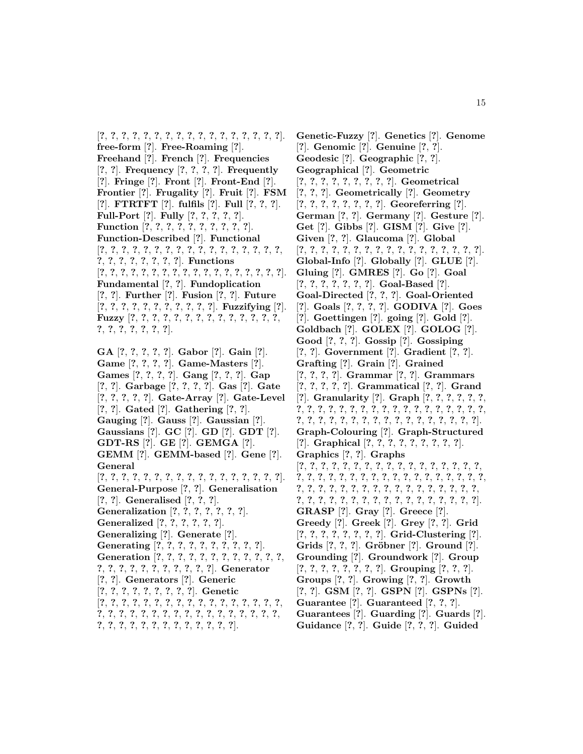[**?**, **?**, **?**, **?**, **?**, **?**, **?**, **?**, **?**, **?**, **?**, **?**, **?**, **?**, **?**, **?**, **?**]. **free-form** [**?**]. **Free-Roaming** [**?**]. **Freehand** [**?**]. **French** [**?**]. **Frequencies** [**?**, **?**]. **Frequency** [**?**, **?**, **?**, **?**]. **Frequently** [**?**]. **Fringe** [**?**]. **Front** [**?**]. **Front-End** [**?**]. **Frontier** [**?**]. **Frugality** [**?**]. **Fruit** [**?**]. **FSM** [**?**]. **FTRTFT** [**?**]. **fulfils** [**?**]. **Full** [**?**, **?**, **?**]. **Full-Port** [**?**]. **Fully** [**?**, **?**, **?**, **?**, **?**]. **Function** [**?**, **?**, **?**, **?**, **?**, **?**, **?**, **?**, **?**, **?**]. **Function-Described** [**?**]. **Functional** [**?**, **?**, **?**, **?**, **?**, **?**, **?**, **?**, **?**, **?**, **?**, **?**, **?**, **?**, **?**, **?**, **?**, **?**, **?**, **?**, **?**, **?**, **?**, **?**, **?**]. **Functions** [**?**, **?**, **?**, **?**, **?**, **?**, **?**, **?**, **?**, **?**, **?**, **?**, **?**, **?**, **?**, **?**, **?**, **?**]. **Fundamental** [**?**, **?**]. **Fundoplication** [**?**, **?**]. **Further** [**?**]. **Fusion** [**?**, **?**]. **Future** [**?**, **?**, **?**, **?**, **?**, **?**, **?**, **?**, **?**, **?**, **?**]. **Fuzzifying** [**?**]. **Fuzzy** [**?**, **?**, **?**, **?**, **?**, **?**, **?**, **?**, **?**, **?**, **?**, **?**, **?**, **?**, **?**, **?**, **?**, **?**, **?**, **?**, **?**].

**GA** [**?**, **?**, **?**, **?**, **?**]. **Gabor** [**?**]. **Gain** [**?**]. **Game** [**?**, **?**, **?**, **?**]. **Game-Masters** [**?**]. **Games** [**?**, **?**, **?**, **?**]. **Gang** [**?**, **?**, **?**]. **Gap** [**?**, **?**]. **Garbage** [**?**, **?**, **?**, **?**]. **Gas** [**?**]. **Gate** [**?**, **?**, **?**, **?**, **?**]. **Gate-Array** [**?**]. **Gate-Level** [**?**, **?**]. **Gated** [**?**]. **Gathering** [**?**, **?**]. **Gauging** [**?**]. **Gauss** [**?**]. **Gaussian** [**?**]. **Gaussians** [**?**]. **GC** [**?**]. **GD** [**?**]. **GDT** [**?**]. **GDT-RS** [**?**]. **GE** [**?**]. **GEMGA** [**?**]. **GEMM** [**?**]. **GEMM-based** [**?**]. **Gene** [**?**]. **General** [**?**, **?**, **?**, **?**, **?**, **?**, **?**, **?**, **?**, **?**, **?**, **?**, **?**, **?**, **?**, **?**, **?**]. **General-Purpose** [**?**, **?**]. **Generalisation** [**?**, **?**]. **Generalised** [**?**, **?**, **?**]. **Generalization** [**?**, **?**, **?**, **?**, **?**, **?**, **?**]. **Generalized** [**?**, **?**, **?**, **?**, **?**, **?**]. **Generalizing** [**?**]. **Generate** [**?**]. **Generating** [**?**, **?**, **?**, **?**, **?**, **?**, **?**, **?**, **?**, **?**]. **Generation** [**?**, **?**, **?**, **?**, **?**, **?**, **?**, **?**, **?**, **?**, **?**, **?**, **?**, **?**, **?**, **?**, **?**, **?**, **?**, **?**, **?**, **?**, **?**]. **Generator** [**?**, **?**]. **Generators** [**?**]. **Generic** [**?**, **?**, **?**, **?**, **?**, **?**, **?**, **?**, **?**]. **Genetic** [**?**, **?**, **?**, **?**, **?**, **?**, **?**, **?**, **?**, **?**, **?**, **?**, **?**, **?**, **?**, **?**, **?**, **?**, **?**, **?**, **?**, **?**, **?**, **?**, **?**, **?**, **?**, **?**, **?**, **?**, **?**, **?**, **?**, **?**, **?**, **?**, **?**, **?**, **?**, **?**, **?**, **?**, **?**, **?**, **?**, **?**, **?**].

**Genetic-Fuzzy** [**?**]. **Genetics** [**?**]. **Genome** [**?**]. **Genomic** [**?**]. **Genuine** [**?**, **?**]. **Geodesic** [**?**]. **Geographic** [**?**, **?**]. **Geographical** [**?**]. **Geometric** [**?**, **?**, **?**, **?**, **?**, **?**, **?**, **?**, **?**]. **Geometrical** [**?**, **?**, **?**]. **Geometrically** [**?**]. **Geometry** [**?**, **?**, **?**, **?**, **?**, **?**, **?**, **?**]. **Georeferring** [**?**]. **German** [**?**, **?**]. **Germany** [**?**]. **Gesture** [**?**]. **Get** [**?**]. **Gibbs** [**?**]. **GISM** [**?**]. **Give** [**?**]. **Given** [**?**, **?**]. **Glaucoma** [**?**]. **Global** [**?**, **?**, **?**, **?**, **?**, **?**, **?**, **?**, **?**, **?**, **?**, **?**, **?**, **?**, **?**, **?**, **?**]. **Global-Info** [**?**]. **Globally** [**?**]. **GLUE** [**?**]. **Gluing** [**?**]. **GMRES** [**?**]. **Go** [**?**]. **Goal** [**?**, **?**, **?**, **?**, **?**, **?**, **?**]. **Goal-Based** [**?**]. **Goal-Directed** [**?**, **?**, **?**]. **Goal-Oriented** [**?**]. **Goals** [**?**, **?**, **?**, **?**]. **GODIVA** [**?**]. **Goes** [**?**]. **Goettingen** [**?**]. **going** [**?**]. **Gold** [**?**]. **Goldbach** [**?**]. **GOLEX** [**?**]. **GOLOG** [**?**]. **Good** [**?**, **?**, **?**]. **Gossip** [**?**]. **Gossiping** [**?**, **?**]. **Government** [**?**]. **Gradient** [**?**, **?**]. **Grafting** [**?**]. **Grain** [**?**]. **Grained** [**?**, **?**, **?**, **?**]. **Grammar** [**?**, **?**]. **Grammars** [**?**, **?**, **?**, **?**, **?**]. **Grammatical** [**?**, **?**]. **Grand** [**?**]. **Granularity** [**?**]. **Graph** [**?**, **?**, **?**, **?**, **?**, **?**, **?**, **?**, **?**, **?**, **?**, **?**, **?**, **?**, **?**, **?**, **?**, **?**, **?**, **?**, **?**, **?**, **?**, **?**, **?**, **?**, **?**, **?**, **?**, **?**, **?**, **?**, **?**, **?**, **?**, **?**, **?**, **?**, **?**, **?**, **?**]. **Graph-Colouring** [**?**]. **Graph-Structured** [**?**]. **Graphical** [**?**, **?**, **?**, **?**, **?**, **?**, **?**, **?**, **?**]. **Graphics** [**?**, **?**]. **Graphs** [**?**, **?**, **?**, **?**, **?**, **?**, **?**, **?**, **?**, **?**, **?**, **?**, **?**, **?**, **?**, **?**, **?**, **?**, **?**, **?**, **?**, **?**, **?**, **?**, **?**, **?**, **?**, **?**, **?**, **?**, **?**, **?**, **?**, **?**, **?**, **?**, **?**, **?**, **?**, **?**, **?**, **?**, **?**, **?**, **?**, **?**, **?**, **?**, **?**, **?**, **?**, **?**, **?**, **?**, **?**, **?**, **?**, **?**, **?**, **?**, **?**, **?**, **?**, **?**, **?**, **?**, **?**, **?**, **?**]. **GRASP** [**?**]. **Gray** [**?**]. **Greece** [**?**]. **Greedy** [**?**]. **Greek** [**?**]. **Grey** [**?**, **?**]. **Grid** [**?**, **?**, **?**, **?**, **?**, **?**, **?**, **?**]. **Grid-Clustering** [**?**]. **Grids** [**?**, **?**, **?**]. **Gr¨obner** [**?**]. **Ground** [**?**]. **Grounding** [**?**]. **Groundwork** [**?**]. **Group** [**?**, **?**, **?**, **?**, **?**, **?**, **?**, **?**]. **Grouping** [**?**, **?**, **?**]. **Groups** [**?**, **?**]. **Growing** [**?**, **?**]. **Growth** [**?**, **?**]. **GSM** [**?**, **?**]. **GSPN** [**?**]. **GSPNs** [**?**]. **Guarantee** [**?**]. **Guaranteed** [**?**, **?**, **?**]. **Guarantees** [**?**]. **Guarding** [**?**]. **Guards** [**?**]. **Guidance** [**?**, **?**]. **Guide** [**?**, **?**, **?**]. **Guided**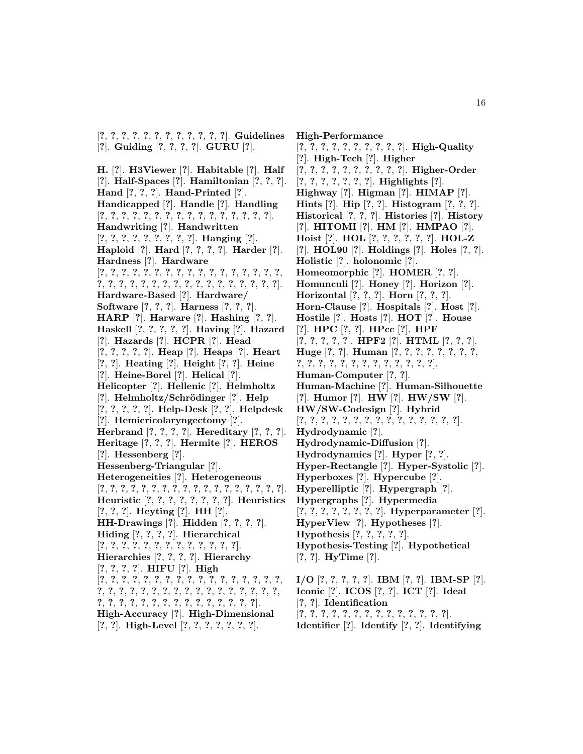[**?**, **?**, **?**, **?**, **?**, **?**, **?**, **?**, **?**, **?**, **?**, **?**]. **Guidelines** [**?**]. **Guiding** [**?**, **?**, **?**, **?**]. **GURU** [**?**].

**H.** [**?**]. **H3Viewer** [**?**]. **Habitable** [**?**]. **Half** [**?**]. **Half-Spaces** [**?**]. **Hamiltonian** [**?**, **?**, **?**]. **Hand** [**?**, **?**, **?**]. **Hand-Printed** [**?**]. **Handicapped** [**?**]. **Handle** [**?**]. **Handling** [**?**, **?**, **?**, **?**, **?**, **?**, **?**, **?**, **?**, **?**, **?**, **?**, **?**, **?**, **?**, **?**]. **Handwriting** [**?**]. **Handwritten** [**?**, **?**, **?**, **?**, **?**, **?**, **?**, **?**, **?**]. **Hanging** [**?**]. **Haploid** [**?**]. **Hard** [**?**, **?**, **?**, **?**]. **Harder** [**?**]. **Hardness** [**?**]. **Hardware** [**?**, **?**, **?**, **?**, **?**, **?**, **?**, **?**, **?**, **?**, **?**, **?**, **?**, **?**, **?**, **?**, **?**, **?**, **?**, **?**, **?**, **?**, **?**, **?**, **?**, **?**, **?**, **?**, **?**, **?**, **?**, **?**, **?**, **?**]. **Hardware-Based** [**?**]. **Hardware/ Software** [**?**, **?**, **?**]. **Harness** [**?**, **?**, **?**]. **HARP** [**?**]. **Harware** [**?**]. **Hashing** [**?**, **?**]. **Haskell** [**?**, **?**, **?**, **?**, **?**]. **Having** [**?**]. **Hazard** [**?**]. **Hazards** [**?**]. **HCPR** [**?**]. **Head** [**?**, **?**, **?**, **?**, **?**]. **Heap** [**?**]. **Heaps** [**?**]. **Heart** [**?**, **?**]. **Heating** [**?**]. **Height** [**?**, **?**]. **Heine** [**?**]. **Heine-Borel** [**?**]. **Helical** [**?**]. **Helicopter** [**?**]. **Hellenic** [**?**]. **Helmholtz** [**?**]. **Helmholtz/Schr¨odinger** [**?**]. **Help** [**?**, **?**, **?**, **?**, **?**]. **Help-Desk** [**?**, **?**]. **Helpdesk** [**?**]. **Hemicricolaryngectomy** [**?**]. **Herbrand** [**?**, **?**, **?**, **?**]. **Hereditary** [**?**, **?**, **?**]. **Heritage** [**?**, **?**, **?**]. **Hermite** [**?**]. **HEROS** [**?**]. **Hessenberg** [**?**]. **Hessenberg-Triangular** [**?**]. **Heterogeneities** [**?**]. **Heterogeneous** [**?**, **?**, **?**, **?**, **?**, **?**, **?**, **?**, **?**, **?**, **?**, **?**, **?**, **?**, **?**, **?**, **?**, **?**]. **Heuristic** [**?**, **?**, **?**, **?**, **?**, **?**, **?**, **?**]. **Heuristics** [**?**, **?**, **?**]. **Heyting** [**?**]. **HH** [**?**]. **HH-Drawings** [**?**]. **Hidden** [**?**, **?**, **?**, **?**]. **Hiding** [**?**, **?**, **?**, **?**]. **Hierarchical** [**?**, **?**, **?**, **?**, **?**, **?**, **?**, **?**, **?**, **?**, **?**, **?**, **?**]. **Hierarchies** [**?**, **?**, **?**, **?**]. **Hierarchy** [**?**, **?**, **?**, **?**]. **HIFU** [**?**]. **High** [**?**, **?**, **?**, **?**, **?**, **?**, **?**, **?**, **?**, **?**, **?**, **?**, **?**, **?**, **?**, **?**, **?**, **?**, **?**, **?**, **?**, **?**, **?**, **?**, **?**, **?**, **?**, **?**, **?**, **?**, **?**, **?**, **?**, **?**, **?**, **?**, **?**, **?**, **?**, **?**, **?**, **?**, **?**, **?**, **?**, **?**, **?**, **?**, **?**]. **High-Accuracy** [**?**]. **High-Dimensional** [**?**, **?**]. **High-Level** [**?**, **?**, **?**, **?**, **?**, **?**, **?**].

**High-Performance** [**?**, **?**, **?**, **?**, **?**, **?**, **?**, **?**, **?**, **?**]. **High-Quality** [**?**]. **High-Tech** [**?**]. **Higher** [**?**, **?**, **?**, **?**, **?**, **?**, **?**, **?**, **?**, **?**]. **Higher-Order** [**?**, **?**, **?**, **?**, **?**, **?**, **?**]. **Highlights** [**?**]. **Highway** [**?**]. **Higman** [**?**]. **HIMAP** [**?**]. **Hints** [**?**]. **Hip** [**?**, **?**]. **Histogram** [**?**, **?**, **?**]. **Historical** [**?**, **?**, **?**]. **Histories** [**?**]. **History** [**?**]. **HITOMI** [**?**]. **HM** [**?**]. **HMPAO** [**?**]. **Hoist** [**?**]. **HOL** [**?**, **?**, **?**, **?**, **?**, **?**]. **HOL-Z** [**?**]. **HOL90** [**?**]. **Holdings** [**?**]. **Holes** [**?**, **?**]. **Holistic** [**?**]. **holonomic** [**?**]. **Homeomorphic** [**?**]. **HOMER** [**?**, **?**]. **Homunculi** [**?**]. **Honey** [**?**]. **Horizon** [**?**]. **Horizontal** [**?**, **?**, **?**]. **Horn** [**?**, **?**, **?**]. **Horn-Clause** [**?**]. **Hospitals** [**?**]. **Host** [**?**]. **Hostile** [**?**]. **Hosts** [**?**]. **HOT** [**?**]. **House** [**?**]. **HPC** [**?**, **?**]. **HPcc** [**?**]. **HPF** [**?**, **?**, **?**, **?**, **?**]. **HPF2** [**?**]. **HTML** [**?**, **?**, **?**]. **Huge** [**?**, **?**]. **Human** [**?**, **?**, **?**, **?**, **?**, **?**, **?**, **?**, **?**, **?**, **?**, **?**, **?**, **?**, **?**, **?**, **?**, **?**, **?**, **?**, **?**]. **Human-Computer** [**?**, **?**]. **Human-Machine** [**?**]. **Human-Silhouette** [**?**]. **Humor** [**?**]. **HW** [**?**]. **HW/SW** [**?**]. **HW/SW-Codesign** [**?**]. **Hybrid** [**?**, **?**, **?**, **?**, **?**, **?**, **?**, **?**, **?**, **?**, **?**, **?**, **?**, **?**, **?**]. **Hydrodynamic** [**?**]. **Hydrodynamic-Diffusion** [**?**]. **Hydrodynamics** [**?**]. **Hyper** [**?**, **?**]. **Hyper-Rectangle** [**?**]. **Hyper-Systolic** [**?**]. **Hyperboxes** [**?**]. **Hypercube** [**?**]. **Hyperelliptic** [**?**]. **Hypergraph** [**?**]. **Hypergraphs** [**?**]. **Hypermedia** [**?**, **?**, **?**, **?**, **?**, **?**, **?**, **?**]. **Hyperparameter** [**?**]. **HyperView** [**?**]. **Hypotheses** [**?**]. **Hypothesis** [**?**, **?**, **?**, **?**, **?**]. **Hypothesis-Testing** [**?**]. **Hypothetical** [**?**, **?**]. **HyTime** [**?**]. **I/O** [**?**, **?**, **?**, **?**, **?**]. **IBM** [**?**, **?**]. **IBM-SP** [**?**].

**Iconic** [**?**]. **ICOS** [**?**, **?**]. **ICT** [**?**]. **Ideal** [**?**, **?**]. **Identification** [**?**, **?**, **?**, **?**, **?**, **?**, **?**, **?**, **?**, **?**, **?**, **?**, **?**, **?**]. **Identifier** [**?**]. **Identify** [**?**, **?**]. **Identifying**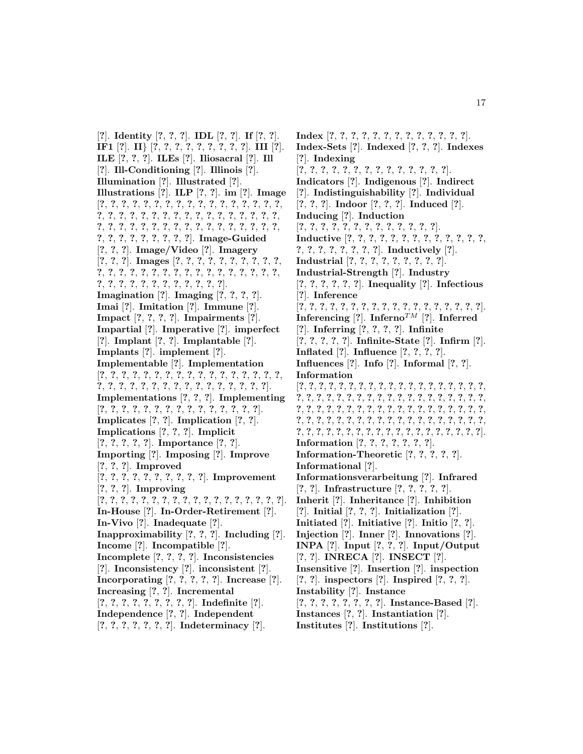[**?**]. **Identity** [**?**, **?**, **?**]. **IDL** [**?**, **?**]. **If** [**?**, **?**]. **IF1** [**?**]. **II**} [**?**, **?**, **?**, **?**, **?**, **?**, **?**, **?**, **?**]. **III** [**?**]. **ILE** [**?**, **?**, **?**]. **ILEs** [**?**]. **Iliosacral** [**?**]. **Ill** [**?**]. **Ill-Conditioning** [**?**]. **Illinois** [**?**]. **Illumination** [**?**]. **Illustrated** [**?**]. **Illustrations** [**?**]. **ILP** [**?**, **?**]. **im** [**?**]. **Image** [**?**, **?**, **?**, **?**, **?**, **?**, **?**, **?**, **?**, **?**, **?**, **?**, **?**, **?**, **?**, **?**, **?**, **?**, **?**, **?**, **?**, **?**, **?**, **?**, **?**, **?**, **?**, **?**, **?**, **?**, **?**, **?**, **?**, **?**, **?**, **?**, **?**, **?**, **?**, **?**, **?**, **?**, **?**, **?**, **?**, **?**, **?**, **?**, **?**, **?**, **?**, **?**, **?**, **?**, **?**, **?**, **?**, **?**, **?**, **?**]. **Image-Guided** [**?**, **?**, **?**]. **Image/Video** [**?**]. **Imagery** [**?**, **?**, **?**]. **Images** [**?**, **?**, **?**, **?**, **?**, **?**, **?**, **?**, **?**, **?**, **?**, **?**, **?**, **?**, **?**, **?**, **?**, **?**, **?**, **?**, **?**, **?**, **?**, **?**, **?**, **?**, **?**, **?**, **?**, **?**, **?**, **?**, **?**, **?**, **?**, **?**, **?**, **?**, **?**]. **Imagination** [**?**]. **Imaging** [**?**, **?**, **?**, **?**]. **Imai** [**?**]. **Imitation** [**?**]. **Immune** [**?**]. **Impact** [**?**, **?**, **?**, **?**]. **Impairments** [**?**]. **Impartial** [**?**]. **Imperative** [**?**]. **imperfect** [**?**]. **Implant** [**?**, **?**]. **Implantable** [**?**]. **Implants** [**?**]. **implement** [**?**]. **Implementable** [**?**]. **Implementation** [**?**, **?**, **?**, **?**, **?**, **?**, **?**, **?**, **?**, **?**, **?**, **?**, **?**, **?**, **?**, **?**, **?**, **?**, **?**, **?**, **?**, **?**, **?**, **?**, **?**, **?**, **?**, **?**, **?**, **?**, **?**, **?**, **?**]. **Implementations** [**?**, **?**, **?**]. **Implementing** [**?**, **?**, **?**, **?**, **?**, **?**, **?**, **?**, **?**, **?**, **?**, **?**, **?**, **?**, **?**]. **Implicates** [**?**, **?**]. **Implication** [**?**, **?**]. **Implications** [**?**, **?**, **?**]. **Implicit** [**?**, **?**, **?**, **?**, **?**]. **Importance** [**?**, **?**]. **Importing** [**?**]. **Imposing** [**?**]. **Improve** [**?**, **?**, **?**]. **Improved** [**?**, **?**, **?**, **?**, **?**, **?**, **?**, **?**, **?**, **?**]. **Improvement** [**?**, **?**, **?**]. **Improving** [**?**, **?**, **?**, **?**, **?**, **?**, **?**, **?**, **?**, **?**, **?**, **?**, **?**, **?**, **?**, **?**, **?**, **?**]. **In-House** [**?**]. **In-Order-Retirement** [**?**]. **In-Vivo** [**?**]. **Inadequate** [**?**]. **Inapproximability** [**?**, **?**, **?**]. **Including** [**?**]. **Income** [**?**]. **Incompatible** [**?**]. **Incomplete** [**?**, **?**, **?**, **?**]. **Inconsistencies** [**?**]. **Inconsistency** [**?**]. **inconsistent** [**?**]. **Incorporating** [**?**, **?**, **?**, **?**, **?**]. **Increase** [**?**]. **Increasing** [**?**, **?**]. **Incremental** [**?**, **?**, **?**, **?**, **?**, **?**, **?**, **?**, **?**]. **Indefinite** [**?**]. **Independence** [**?**, **?**]. **Independent** [**?**, **?**, **?**, **?**, **?**, **?**, **?**]. **Indeterminacy** [**?**].

**Index** [**?**, **?**, **?**, **?**, **?**, **?**, **?**, **?**, **?**, **?**, **?**, **?**, **?**]. **Index-Sets** [**?**]. **Indexed** [**?**, **?**, **?**]. **Indexes** [**?**]. **Indexing** [**?**, **?**, **?**, **?**, **?**, **?**, **?**, **?**, **?**, **?**, **?**, **?**, **?**, **?**]. **Indicators** [**?**]. **Indigenous** [**?**]. **Indirect** [**?**]. **Indistinguishability** [**?**]. **Individual** [**?**, **?**, **?**]. **Indoor** [**?**, **?**, **?**]. **Induced** [**?**]. **Inducing** [**?**]. **Induction** [**?**, **?**, **?**, **?**, **?**, **?**, **?**, **?**, **?**, **?**, **?**, **?**, **?**]. **Inductive** [**?**, **?**, **?**, **?**, **?**, **?**, **?**, **?**, **?**, **?**, **?**, **?**, **?**, **?**, **?**, **?**, **?**, **?**, **?**, **?**, **?**]. **Inductively** [**?**]. **Industrial** [**?**, **?**, **?**, **?**, **?**, **?**, **?**, **?**, **?**]. **Industrial-Strength** [**?**]. **Industry** [**?**, **?**, **?**, **?**, **?**, **?**]. **Inequality** [**?**]. **Infectious** [**?**]. **Inference** [**?**, **?**, **?**, **?**, **?**, **?**, **?**, **?**, **?**, **?**, **?**, **?**, **?**, **?**, **?**, **?**, **?**, **?**]. **Inferencing** [?]. **Inferno**<sup>TM</sup> [?]. **Inferred** [**?**]. **Inferring** [**?**, **?**, **?**, **?**]. **Infinite** [**?**, **?**, **?**, **?**, **?**]. **Infinite-State** [**?**]. **Infirm** [**?**]. **Inflated** [**?**]. **Influence** [**?**, **?**, **?**, **?**]. **Influences** [**?**]. **Info** [**?**]. **Informal** [**?**, **?**]. **Information** [**?**, **?**, **?**, **?**, **?**, **?**, **?**, **?**, **?**, **?**, **?**, **?**, **?**, **?**, **?**, **?**, **?**, **?**, **?**, **?**, **?**, **?**, **?**, **?**, **?**, **?**, **?**, **?**, **?**, **?**, **?**, **?**, **?**, **?**, **?**, **?**, **?**, **?**, **?**, **?**, **?**, **?**, **?**, **?**, **?**, **?**, **?**, **?**, **?**, **?**, **?**, **?**, **?**, **?**, **?**, **?**, **?**, **?**, **?**, **?**, **?**, **?**, **?**, **?**, **?**, **?**, **?**, **?**, **?**, **?**, **?**, **?**, **?**, **?**, **?**, **?**, **?**, **?**, **?**, **?**, **?**, **?**, **?**, **?**, **?**, **?**, **?**, **?**, **?**, **?**, **?**, **?**, **?**, **?**, **?**]. **Information** [**?**, **?**, **?**, **?**, **?**, **?**, **?**]. **Information-Theoretic** [**?**, **?**, **?**, **?**, **?**]. **Informational** [**?**]. **Informationsverarbeitung** [**?**]. **Infrared** [**?**, **?**]. **Infrastructure** [**?**, **?**, **?**, **?**, **?**]. **Inherit** [**?**]. **Inheritance** [**?**]. **Inhibition** [**?**]. **Initial** [**?**, **?**, **?**]. **Initialization** [**?**]. **Initiated** [**?**]. **Initiative** [**?**]. **Initio** [**?**, **?**]. **Injection** [**?**]. **Inner** [**?**]. **Innovations** [**?**]. **INPA** [**?**]. **Input** [**?**, **?**, **?**]. **Input/Output** [**?**, **?**]. **INRECA** [**?**]. **INSECT** [**?**]. **Insensitive** [**?**]. **Insertion** [**?**]. **inspection** [**?**, **?**]. **inspectors** [**?**]. **Inspired** [**?**, **?**, **?**]. **Instability** [**?**]. **Instance** [**?**, **?**, **?**, **?**, **?**, **?**, **?**, **?**]. **Instance-Based** [**?**]. **Instances** [**?**, **?**]. **Instantiation** [**?**]. **Institutes** [**?**]. **Institutions** [**?**].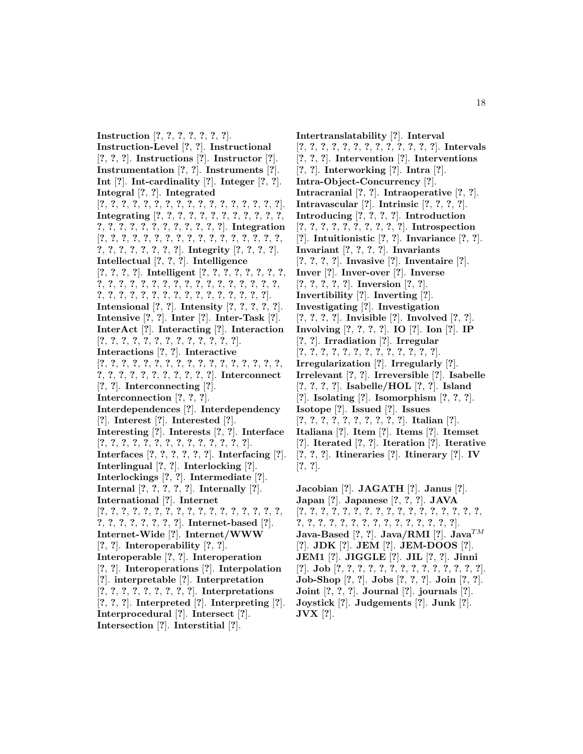**Instruction** [**?**, **?**, **?**, **?**, **?**, **?**, **?**]. **Instruction-Level** [**?**, **?**]. **Instructional** [**?**, **?**, **?**]. **Instructions** [**?**]. **Instructor** [**?**]. **Instrumentation** [**?**, **?**]. **Instruments** [**?**]. **Int** [**?**]. **Int-cardinality** [**?**]. **Integer** [**?**, **?**]. **Integral** [**?**, **?**]. **Integrated** [**?**, **?**, **?**, **?**, **?**, **?**, **?**, **?**, **?**, **?**, **?**, **?**, **?**, **?**, **?**, **?**, **?**]. **Integrating** [**?**, **?**, **?**, **?**, **?**, **?**, **?**, **?**, **?**, **?**, **?**, **?**, **?**, **?**, **?**, **?**, **?**, **?**, **?**, **?**, **?**, **?**, **?**, **?**]. **Integration** [**?**, **?**, **?**, **?**, **?**, **?**, **?**, **?**, **?**, **?**, **?**, **?**, **?**, **?**, **?**, **?**, **?**, **?**, **?**, **?**, **?**, **?**, **?**, **?**, **?**]. **Integrity** [**?**, **?**, **?**, **?**]. **Intellectual** [**?**, **?**, **?**]. **Intelligence** [**?**, **?**, **?**, **?**]. **Intelligent** [**?**, **?**, **?**, **?**, **?**, **?**, **?**, **?**, **?**, **?**, **?**, **?**, **?**, **?**, **?**, **?**, **?**, **?**, **?**, **?**, **?**, **?**, **?**, **?**, **?**, **?**, **?**, **?**, **?**, **?**, **?**, **?**, **?**, **?**, **?**, **?**, **?**, **?**, **?**, **?**, **?**]. **Intensional** [**?**, **?**]. **Intensity** [**?**, **?**, **?**, **?**, **?**]. **Intensive** [**?**, **?**]. **Inter** [**?**]. **Inter-Task** [**?**]. **InterAct** [**?**]. **Interacting** [**?**]. **Interaction** [**?**, **?**, **?**, **?**, **?**, **?**, **?**, **?**, **?**, **?**, **?**, **?**, **?**]. **Interactions** [**?**, **?**]. **Interactive** [**?**, **?**, **?**, **?**, **?**, **?**, **?**, **?**, **?**, **?**, **?**, **?**, **?**, **?**, **?**, **?**, **?**, **?**, **?**, **?**, **?**, **?**, **?**, **?**, **?**, **?**, **?**, **?**]. **Interconnect** [**?**, **?**]. **Interconnecting** [**?**]. **Interconnection** [**?**, **?**, **?**]. **Interdependences** [**?**]. **Interdependency** [**?**]. **Interest** [**?**]. **Interested** [**?**]. **Interesting** [**?**]. **Interests** [**?**, **?**]. **Interface** [**?**, **?**, **?**, **?**, **?**, **?**, **?**, **?**, **?**, **?**, **?**, **?**, **?**, **?**]. **Interfaces** [**?**, **?**, **?**, **?**, **?**, **?**]. **Interfacing** [**?**]. **Interlingual** [**?**, **?**]. **Interlocking** [**?**]. **Interlockings** [**?**, **?**]. **Intermediate** [**?**]. **Internal** [**?**, **?**, **?**, **?**, **?**]. **Internally** [**?**]. **International** [**?**]. **Internet** [**?**, **?**, **?**, **?**, **?**, **?**, **?**, **?**, **?**, **?**, **?**, **?**, **?**, **?**, **?**, **?**, **?**, **?**, **?**, **?**, **?**, **?**, **?**, **?**, **?**]. **Internet-based** [**?**]. **Internet-Wide** [**?**]. **Internet/WWW** [**?**, **?**]. **Interoperability** [**?**, **?**]. **Interoperable** [**?**, **?**]. **Interoperation** [**?**, **?**]. **Interoperations** [**?**]. **Interpolation** [**?**]. **interpretable** [**?**]. **Interpretation** [**?**, **?**, **?**, **?**, **?**, **?**, **?**, **?**, **?**]. **Interpretations** [**?**, **?**, **?**]. **Interpreted** [**?**]. **Interpreting** [**?**]. **Interprocedural** [**?**]. **Intersect** [**?**]. **Intersection** [**?**]. **Interstitial** [**?**].

**Intertranslatability** [**?**]. **Interval** [**?**, **?**, **?**, **?**, **?**, **?**, **?**, **?**, **?**, **?**, **?**, **?**, **?**]. **Intervals** [**?**, **?**, **?**]. **Intervention** [**?**]. **Interventions** [**?**, **?**]. **Interworking** [**?**]. **Intra** [**?**]. **Intra-Object-Concurrency** [**?**]. **Intracranial** [**?**, **?**]. **Intraoperative** [**?**, **?**]. **Intravascular** [**?**]. **Intrinsic** [**?**, **?**, **?**, **?**]. **Introducing** [**?**, **?**, **?**, **?**]. **Introduction** [**?**, **?**, **?**, **?**, **?**, **?**, **?**, **?**, **?**, **?**]. **Introspection** [**?**]. **Intuitionistic** [**?**, **?**]. **Invariance** [**?**, **?**]. **Invariant** [**?**, **?**, **?**, **?**]. **Invariants** [**?**, **?**, **?**, **?**]. **Invasive** [**?**]. **Inventaire** [**?**]. **Inver** [**?**]. **Inver-over** [**?**]. **Inverse** [**?**, **?**, **?**, **?**, **?**]. **Inversion** [**?**, **?**]. **Invertibility** [**?**]. **Inverting** [**?**]. **Investigating** [**?**]. **Investigation** [**?**, **?**, **?**, **?**]. **Invisible** [**?**]. **Involved** [**?**, **?**]. **Involving** [**?**, **?**, **?**, **?**]. **IO** [**?**]. **Ion** [**?**]. **IP** [**?**, **?**]. **Irradiation** [**?**]. **Irregular** [**?**, **?**, **?**, **?**, **?**, **?**, **?**, **?**, **?**, **?**, **?**, **?**, **?**]. **Irregularization** [**?**]. **Irregularly** [**?**]. **Irrelevant** [**?**, **?**]. **Irreversible** [**?**]. **Isabelle** [**?**, **?**, **?**, **?**]. **Isabelle/HOL** [**?**, **?**]. **Island** [**?**]. **Isolating** [**?**]. **Isomorphism** [**?**, **?**, **?**]. **Isotope** [**?**]. **Issued** [**?**]. **Issues** [**?**, **?**, **?**, **?**, **?**, **?**, **?**, **?**, **?**, **?**]. **Italian** [**?**]. **Italiana** [**?**]. **Item** [**?**]. **Items** [**?**]. **Itemset** [**?**]. **Iterated** [**?**, **?**]. **Iteration** [**?**]. **Iterative** [**?**, **?**, **?**]. **Itineraries** [**?**]. **Itinerary** [**?**]. **IV** [**?**, **?**]. **Jacobian** [**?**]. **JAGATH** [**?**]. **Janus** [**?**]. **Japan** [**?**]. **Japanese** [**?**, **?**, **?**]. **JAVA** [**?**, **?**, **?**, **?**, **?**, **?**, **?**, **?**, **?**, **?**, **?**, **?**, **?**, **?**, **?**, **?**, **?**, **?**, **?**, **?**, **?**, **?**, **?**, **?**, **?**, **?**, **?**, **?**, **?**, **?**, **?**, **?**]. **Java-Based**  $[?, ?]$ . **Java/RMI**  $[?]$ . **Java**<sup>TM</sup>

[**?**]. **JDK** [**?**]. **JEM** [**?**]. **JEM-DOOS** [**?**]. **JEM1** [**?**]. **JIGGLE** [**?**]. **JIL** [**?**, **?**]. **Jinni** [**?**]. **Job** [**?**, **?**, **?**, **?**, **?**, **?**, **?**, **?**, **?**, **?**, **?**, **?**, **?**, **?**]. **Job-Shop** [**?**, **?**]. **Jobs** [**?**, **?**, **?**]. **Join** [**?**, **?**]. **Joint** [**?**, **?**, **?**]. **Journal** [**?**]. **journals** [**?**]. **Joystick** [**?**]. **Judgements** [**?**]. **Junk** [**?**]. **JVX** [**?**].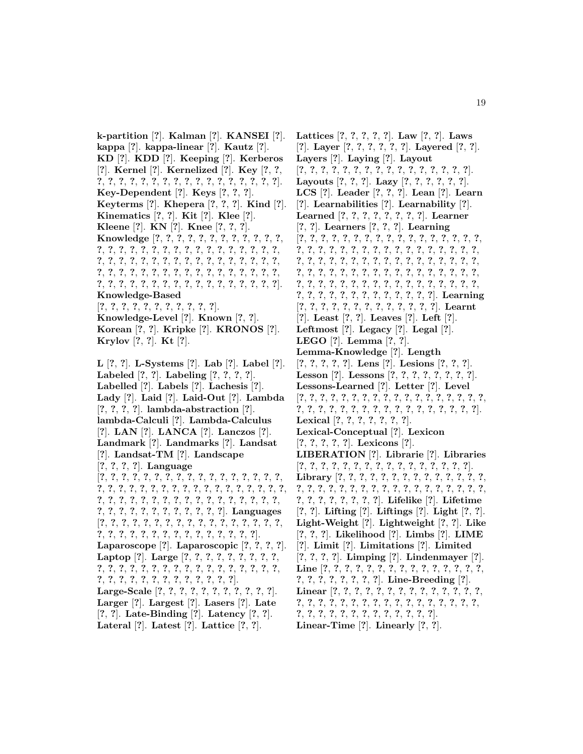**k-partition** [**?**]. **Kalman** [**?**]. **KANSEI** [**?**]. **kappa** [**?**]. **kappa-linear** [**?**]. **Kautz** [**?**]. **KD** [**?**]. **KDD** [**?**]. **Keeping** [**?**]. **Kerberos** [**?**]. **Kernel** [**?**]. **Kernelized** [**?**]. **Key** [**?**, **?**, **?**, **?**, **?**, **?**, **?**, **?**, **?**, **?**, **?**, **?**, **?**, **?**, **?**, **?**, **?**, **?**, **?**]. **Key-Dependent** [**?**]. **Keys** [**?**, **?**, **?**]. **Keyterms** [**?**]. **Khepera** [**?**, **?**, **?**]. **Kind** [**?**]. **Kinematics** [**?**, **?**]. **Kit** [**?**]. **Klee** [**?**]. **Kleene** [**?**]. **KN** [**?**]. **Knee** [**?**, **?**, **?**]. **Knowledge** [**?**, **?**, **?**, **?**, **?**, **?**, **?**, **?**, **?**, **?**, **?**, **?**, **?**, **?**, **?**, **?**, **?**, **?**, **?**, **?**, **?**, **?**, **?**, **?**, **?**, **?**, **?**, **?**, **?**, **?**, **?**, **?**, **?**, **?**, **?**, **?**, **?**, **?**, **?**, **?**, **?**, **?**, **?**, **?**, **?**, **?**, **?**, **?**, **?**, **?**, **?**, **?**, **?**, **?**, **?**, **?**, **?**, **?**, **?**, **?**, **?**, **?**, **?**, **?**, **?**, **?**, **?**, **?**, **?**, **?**, **?**, **?**, **?**, **?**, **?**, **?**, **?**, **?**, **?**, **?**]. **Knowledge-Based** [**?**, **?**, **?**, **?**, **?**, **?**, **?**, **?**, **?**, **?**, **?**]. **Knowledge-Level** [**?**]. **Known** [**?**, **?**]. **Korean** [**?**, **?**]. **Kripke** [**?**]. **KRONOS** [**?**]. **Krylov** [**?**, **?**]. **Kt** [**?**]. **L** [**?**, **?**]. **L-Systems** [**?**]. **Lab** [**?**]. **Label** [**?**]. **Labeled** [**?**, **?**]. **Labeling** [**?**, **?**, **?**, **?**]. **Labelled** [**?**]. **Labels** [**?**]. **Lachesis** [**?**].

**Lady** [**?**]. **Laid** [**?**]. **Laid-Out** [**?**]. **Lambda** [**?**, **?**, **?**, **?**]. **lambda-abstraction** [**?**]. **lambda-Calculi** [**?**]. **Lambda-Calculus** [**?**]. **LAN** [**?**]. **LANCA** [**?**]. **Lanczos** [**?**]. **Landmark** [**?**]. **Landmarks** [**?**]. **Landsat** [**?**]. **Landsat-TM** [**?**]. **Landscape** [**?**, **?**, **?**, **?**]. **Language** [**?**, **?**, **?**, **?**, **?**, **?**, **?**, **?**, **?**, **?**, **?**, **?**, **?**, **?**, **?**, **?**, **?**, **?**, **?**, **?**, **?**, **?**, **?**, **?**, **?**, **?**, **?**, **?**, **?**, **?**, **?**, **?**, **?**, **?**, **?**, **?**, **?**, **?**, **?**, **?**, **?**, **?**, **?**, **?**, **?**, **?**, **?**, **?**, **?**, **?**, **?**, **?**, **?**, **?**, **?**, **?**, **?**, **?**, **?**, **?**, **?**, **?**, **?**, **?**]. **Languages** [**?**, **?**, **?**, **?**, **?**, **?**, **?**, **?**, **?**, **?**, **?**, **?**, **?**, **?**, **?**, **?**, **?**, **?**, **?**, **?**, **?**, **?**, **?**, **?**, **?**, **?**, **?**, **?**, **?**, **?**, **?**, **?**]. **Laparoscope** [**?**]. **Laparoscopic** [**?**, **?**, **?**, **?**]. **Laptop** [**?**]. **Large** [**?**, **?**, **?**, **?**, **?**, **?**, **?**, **?**, **?**, **?**, **?**, **?**, **?**, **?**, **?**, **?**, **?**, **?**, **?**, **?**, **?**, **?**, **?**, **?**, **?**, **?**, **?**, **?**, **?**, **?**, **?**, **?**, **?**, **?**, **?**, **?**, **?**, **?**, **?**]. **Large-Scale** [**?**, **?**, **?**, **?**, **?**, **?**, **?**, **?**, **?**, **?**, **?**]. **Larger** [**?**]. **Largest** [**?**]. **Lasers** [**?**]. **Late** [**?**, **?**]. **Late-Binding** [**?**]. **Latency** [**?**, **?**].

**Lateral** [**?**]. **Latest** [**?**]. **Lattice** [**?**, **?**].

**Lattices** [**?**, **?**, **?**, **?**, **?**]. **Law** [**?**, **?**]. **Laws** [**?**]. **Layer** [**?**, **?**, **?**, **?**, **?**, **?**]. **Layered** [**?**, **?**]. **Layers** [**?**]. **Laying** [**?**]. **Layout** [**?**, **?**, **?**, **?**, **?**, **?**, **?**, **?**, **?**, **?**, **?**, **?**, **?**, **?**, **?**, **?**]. **Layouts** [**?**, **?**, **?**]. **Lazy** [**?**, **?**, **?**, **?**, **?**, **?**]. **LCS** [**?**]. **Leader** [**?**, **?**, **?**]. **Lean** [**?**]. **Learn** [**?**]. **Learnabilities** [**?**]. **Learnability** [**?**]. **Learned** [**?**, **?**, **?**, **?**, **?**, **?**, **?**, **?**]. **Learner** [**?**, **?**]. **Learners** [**?**, **?**, **?**]. **Learning** [**?**, **?**, **?**, **?**, **?**, **?**, **?**, **?**, **?**, **?**, **?**, **?**, **?**, **?**, **?**, **?**, **?**, **?**, **?**, **?**, **?**, **?**, **?**, **?**, **?**, **?**, **?**, **?**, **?**, **?**, **?**, **?**, **?**, **?**, **?**, **?**, **?**, **?**, **?**, **?**, **?**, **?**, **?**, **?**, **?**, **?**, **?**, **?**, **?**, **?**, **?**, **?**, **?**, **?**, **?**, **?**, **?**, **?**, **?**, **?**, **?**, **?**, **?**, **?**, **?**, **?**, **?**, **?**, **?**, **?**, **?**, **?**, **?**, **?**, **?**, **?**, **?**, **?**, **?**, **?**, **?**, **?**, **?**, **?**, **?**, **?**, **?**, **?**, **?**, **?**, **?**, **?**, **?**, **?**, **?**, **?**, **?**, **?**]. **Learning** [**?**, **?**, **?**, **?**, **?**, **?**, **?**, **?**, **?**, **?**, **?**, **?**, **?**]. **Learnt** [**?**]. **Least** [**?**, **?**]. **Leaves** [**?**]. **Left** [**?**]. **Leftmost** [**?**]. **Legacy** [**?**]. **Legal** [**?**]. **LEGO** [**?**]. **Lemma** [**?**, **?**]. **Lemma-Knowledge** [**?**]. **Length** [**?**, **?**, **?**, **?**, **?**]. **Lens** [**?**]. **Lesions** [**?**, **?**, **?**]. **Lesson** [**?**]. **Lessons** [**?**, **?**, **?**, **?**, **?**, **?**, **?**, **?**]. **Lessons-Learned** [**?**]. **Letter** [**?**]. **Level** [**?**, **?**, **?**, **?**, **?**, **?**, **?**, **?**, **?**, **?**, **?**, **?**, **?**, **?**, **?**, **?**, **?**, **?**, **?**, **?**, **?**, **?**, **?**, **?**, **?**, **?**, **?**, **?**, **?**, **?**, **?**, **?**, **?**, **?**, **?**]. **Lexical** [**?**, **?**, **?**, **?**, **?**, **?**, **?**]. **Lexical-Conceptual** [**?**]. **Lexicon** [**?**, **?**, **?**, **?**, **?**]. **Lexicons** [**?**]. **LIBERATION** [**?**]. **Librarie** [**?**]. **Libraries** [**?**, **?**, **?**, **?**, **?**, **?**, **?**, **?**, **?**, **?**, **?**, **?**, **?**, **?**, **?**, **?**]. **Library** [**?**, **?**, **?**, **?**, **?**, **?**, **?**, **?**, **?**, **?**, **?**, **?**, **?**, **?**, **?**, **?**, **?**, **?**, **?**, **?**, **?**, **?**, **?**, **?**, **?**, **?**, **?**, **?**, **?**, **?**, **?**, **?**, **?**, **?**, **?**, **?**, **?**, **?**, **?**, **?**]. **Lifelike** [**?**]. **Lifetime** [**?**, **?**]. **Lifting** [**?**]. **Liftings** [**?**]. **Light** [**?**, **?**]. **Light-Weight** [**?**]. **Lightweight** [**?**, **?**]. **Like** [**?**, **?**, **?**]. **Likelihood** [**?**]. **Limbs** [**?**]. **LIME** [**?**]. **Limit** [**?**]. **Limitations** [**?**]. **Limited** [**?**, **?**, **?**, **?**]. **Limping** [**?**]. **Lindenmayer** [**?**]. **Line** [**?**, **?**, **?**, **?**, **?**, **?**, **?**, **?**, **?**, **?**, **?**, **?**, **?**, **?**, **?**, **?**, **?**, **?**, **?**, **?**, **?**, **?**, **?**]. **Line-Breeding** [**?**]. **Linear** [**?**, **?**, **?**, **?**, **?**, **?**, **?**, **?**, **?**, **?**, **?**, **?**, **?**, **?**, **?**, **?**, **?**, **?**, **?**, **?**, **?**, **?**, **?**, **?**, **?**, **?**, **?**, **?**, **?**, **?**, **?**, **?**, **?**, **?**, **?**, **?**, **?**, **?**, **?**, **?**, **?**, **?**, **?**, **?**]. **Linear-Time** [**?**]. **Linearly** [**?**, **?**].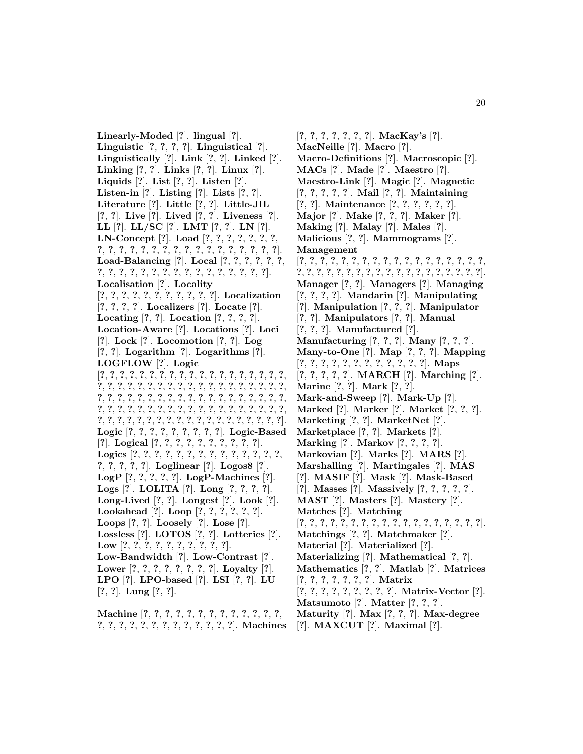**Linearly-Moded** [**?**]. **lingual** [**?**]. **Linguistic** [**?**, **?**, **?**, **?**]. **Linguistical** [**?**]. **Linguistically** [**?**]. **Link** [**?**, **?**]. **Linked** [**?**]. **Linking** [**?**, **?**]. **Links** [**?**, **?**]. **Linux** [**?**]. **Liquids** [**?**]. **List** [**?**, **?**]. **Listen** [**?**]. **Listen-in** [**?**]. **Listing** [**?**]. **Lists** [**?**, **?**]. **Literature** [**?**]. **Little** [**?**, **?**]. **Little-JIL** [**?**, **?**]. **Live** [**?**]. **Lived** [**?**, **?**]. **Liveness** [**?**]. **LL** [**?**]. **LL/SC** [**?**]. **LMT** [**?**, **?**]. **LN** [**?**]. **LN-Concept** [**?**]. **Load** [**?**, **?**, **?**, **?**, **?**, **?**, **?**, **?**, **?**, **?**, **?**, **?**, **?**, **?**, **?**, **?**, **?**, **?**, **?**, **?**, **?**, **?**, **?**, **?**]. **Load-Balancing** [**?**]. **Local** [**?**, **?**, **?**, **?**, **?**, **?**, **?**, **?**, **?**, **?**, **?**, **?**, **?**, **?**, **?**, **?**, **?**, **?**, **?**, **?**, **?**, **?**]. **Localisation** [**?**]. **Locality** [**?**, **?**, **?**, **?**, **?**, **?**, **?**, **?**, **?**, **?**, **?**]. **Localization** [**?**, **?**, **?**, **?**]. **Localizers** [**?**]. **Locate** [**?**]. **Locating** [**?**, **?**]. **Location** [**?**, **?**, **?**, **?**]. **Location-Aware** [**?**]. **Locations** [**?**]. **Loci** [**?**]. **Lock** [**?**]. **Locomotion** [**?**, **?**]. **Log** [**?**, **?**]. **Logarithm** [**?**]. **Logarithms** [**?**]. **LOGFLOW** [**?**]. **Logic** [**?**, **?**, **?**, **?**, **?**, **?**, **?**, **?**, **?**, **?**, **?**, **?**, **?**, **?**, **?**, **?**, **?**, **?**, **?**, **?**, **?**, **?**, **?**, **?**, **?**, **?**, **?**, **?**, **?**, **?**, **?**, **?**, **?**, **?**, **?**, **?**, **?**, **?**, **?**, **?**, **?**, **?**, **?**, **?**, **?**, **?**, **?**, **?**, **?**, **?**, **?**, **?**, **?**, **?**, **?**, **?**, **?**, **?**, **?**, **?**, **?**, **?**, **?**, **?**, **?**, **?**, **?**, **?**, **?**, **?**, **?**, **?**, **?**, **?**, **?**, **?**, **?**, **?**, **?**, **?**, **?**, **?**, **?**, **?**, **?**, **?**, **?**, **?**, **?**, **?**, **?**, **?**, **?**, **?**, **?**]. **Logic** [**?**, **?**, **?**, **?**, **?**, **?**, **?**, **?**, **?**]. **Logic-Based** [**?**]. **Logical** [**?**, **?**, **?**, **?**, **?**, **?**, **?**, **?**, **?**, **?**]. **Logics** [**?**, **?**, **?**, **?**, **?**, **?**, **?**, **?**, **?**, **?**, **?**, **?**, **?**, **?**, **?**, **?**, **?**, **?**, **?**]. **Loglinear** [**?**]. **Logos8** [**?**]. **LogP** [**?**, **?**, **?**, **?**, **?**]. **LogP-Machines** [**?**]. **Logs** [**?**]. **LOLITA** [**?**]. **Long** [**?**, **?**, **?**, **?**]. **Long-Lived** [**?**, **?**]. **Longest** [**?**]. **Look** [**?**]. **Lookahead** [**?**]. **Loop** [**?**, **?**, **?**, **?**, **?**, **?**]. **Loops** [**?**, **?**]. **Loosely** [**?**]. **Lose** [**?**]. **Lossless** [**?**]. **LOTOS** [**?**, **?**]. **Lotteries** [**?**]. **Low** [**?**, **?**, **?**, **?**, **?**, **?**, **?**, **?**, **?**, **?**]. **Low-Bandwidth** [**?**]. **Low-Contrast** [**?**]. **Lower** [**?**, **?**, **?**, **?**, **?**, **?**, **?**, **?**]. **Loyalty** [**?**]. **LPO** [**?**]. **LPO-based** [**?**]. **LSI** [**?**, **?**]. **LU** [**?**, **?**]. **Lung** [**?**, **?**].

**Machine** [**?**, **?**, **?**, **?**, **?**, **?**, **?**, **?**, **?**, **?**, **?**, **?**, **?**, **?**, **?**, **?**, **?**, **?**, **?**, **?**, **?**, **?**, **?**, **?**, **?**, **?**]. **Machines**

[**?**, **?**, **?**, **?**, **?**, **?**, **?**]. **MacKay's** [**?**]. **MacNeille** [**?**]. **Macro** [**?**]. **Macro-Definitions** [**?**]. **Macroscopic** [**?**]. **MACs** [**?**]. **Made** [**?**]. **Maestro** [**?**]. **Maestro-Link** [**?**]. **Magic** [**?**]. **Magnetic** [**?**, **?**, **?**, **?**, **?**]. **Mail** [**?**, **?**]. **Maintaining** [**?**, **?**]. **Maintenance** [**?**, **?**, **?**, **?**, **?**, **?**]. **Major** [**?**]. **Make** [**?**, **?**, **?**]. **Maker** [**?**]. **Making** [**?**]. **Malay** [**?**]. **Males** [**?**]. **Malicious** [**?**, **?**]. **Mammograms** [**?**]. **Management** [**?**, **?**, **?**, **?**, **?**, **?**, **?**, **?**, **?**, **?**, **?**, **?**, **?**, **?**, **?**, **?**, **?**, **?**, **?**, **?**, **?**, **?**, **?**, **?**, **?**, **?**, **?**, **?**, **?**, **?**, **?**, **?**, **?**, **?**, **?**, **?**, **?**]. **Manager** [**?**, **?**]. **Managers** [**?**]. **Managing** [**?**, **?**, **?**, **?**]. **Mandarin** [**?**]. **Manipulating** [**?**]. **Manipulation** [**?**, **?**, **?**]. **Manipulator** [**?**, **?**]. **Manipulators** [**?**, **?**]. **Manual** [**?**, **?**, **?**]. **Manufactured** [**?**]. **Manufacturing** [**?**, **?**, **?**]. **Many** [**?**, **?**, **?**]. **Many-to-One** [**?**]. **Map** [**?**, **?**, **?**]. **Mapping** [**?**, **?**, **?**, **?**, **?**, **?**, **?**, **?**, **?**, **?**, **?**, **?**]. **Maps** [**?**, **?**, **?**, **?**, **?**]. **MARCH** [**?**]. **Marching** [**?**]. **Marine** [**?**, **?**]. **Mark** [**?**, **?**]. **Mark-and-Sweep** [**?**]. **Mark-Up** [**?**]. **Marked** [**?**]. **Marker** [**?**]. **Market** [**?**, **?**, **?**]. **Marketing** [**?**, **?**]. **MarketNet** [**?**]. **Marketplace** [**?**, **?**]. **Markets** [**?**]. **Marking** [**?**]. **Markov** [**?**, **?**, **?**, **?**]. **Markovian** [**?**]. **Marks** [**?**]. **MARS** [**?**]. **Marshalling** [**?**]. **Martingales** [**?**]. **MAS** [**?**]. **MASIF** [**?**]. **Mask** [**?**]. **Mask-Based** [**?**]. **Masses** [**?**]. **Massively** [**?**, **?**, **?**, **?**, **?**]. **MAST** [**?**]. **Masters** [**?**]. **Mastery** [**?**]. **Matches** [**?**]. **Matching** [**?**, **?**, **?**, **?**, **?**, **?**, **?**, **?**, **?**, **?**, **?**, **?**, **?**, **?**, **?**, **?**, **?**, **?**]. **Matchings** [**?**, **?**]. **Matchmaker** [**?**]. **Material** [**?**]. **Materialized** [**?**]. **Materializing** [**?**]. **Mathematical** [**?**, **?**]. **Mathematics** [**?**, **?**]. **Matlab** [**?**]. **Matrices** [**?**, **?**, **?**, **?**, **?**, **?**, **?**]. **Matrix** [**?**, **?**, **?**, **?**, **?**, **?**, **?**, **?**, **?**]. **Matrix-Vector** [**?**]. **Matsumoto** [**?**]. **Matter** [**?**, **?**, **?**]. **Maturity** [**?**]. **Max** [**?**, **?**, **?**]. **Max-degree**

[**?**]. **MAXCUT** [**?**]. **Maximal** [**?**].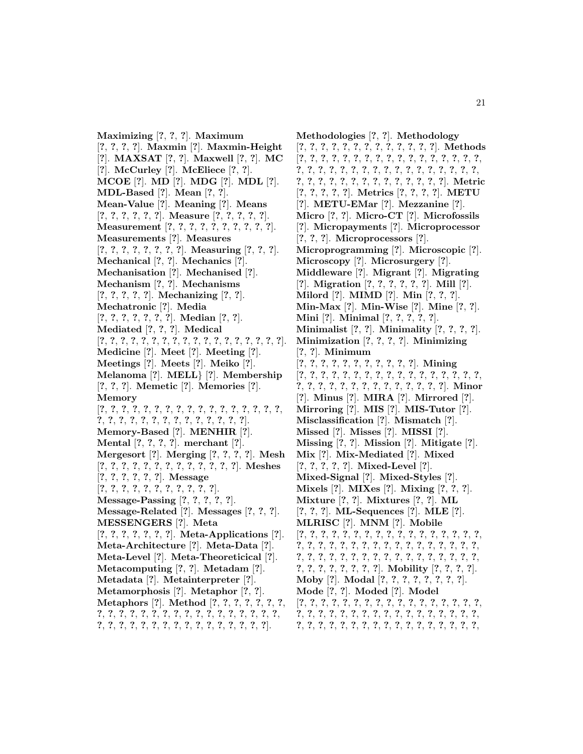**Maximizing** [**?**, **?**, **?**]. **Maximum** [**?**, **?**, **?**, **?**]. **Maxmin** [**?**]. **Maxmin-Height** [**?**]. **MAXSAT** [**?**, **?**]. **Maxwell** [**?**, **?**]. **MC** [**?**]. **McCurley** [**?**]. **McEliece** [**?**, **?**]. **MCOE** [**?**]. **MD** [**?**]. **MDG** [**?**]. **MDL** [**?**]. **MDL-Based** [**?**]. **Mean** [**?**, **?**]. **Mean-Value** [**?**]. **Meaning** [**?**]. **Means** [**?**, **?**, **?**, **?**, **?**, **?**]. **Measure** [**?**, **?**, **?**, **?**, **?**]. **Measurement** [**?**, **?**, **?**, **?**, **?**, **?**, **?**, **?**, **?**, **?**]. **Measurements** [**?**]. **Measures** [**?**, **?**, **?**, **?**, **?**, **?**, **?**, **?**]. **Measuring** [**?**, **?**, **?**]. **Mechanical** [**?**, **?**]. **Mechanics** [**?**]. **Mechanisation** [**?**]. **Mechanised** [**?**]. **Mechanism** [**?**, **?**]. **Mechanisms** [**?**, **?**, **?**, **?**, **?**]. **Mechanizing** [**?**, **?**]. **Mechatronic** [**?**]. **Media** [**?**, **?**, **?**, **?**, **?**, **?**, **?**]. **Median** [**?**, **?**]. **Mediated** [**?**, **?**, **?**]. **Medical** [**?**, **?**, **?**, **?**, **?**, **?**, **?**, **?**, **?**, **?**, **?**, **?**, **?**, **?**, **?**, **?**, **?**, **?**]. **Medicine** [**?**]. **Meet** [**?**]. **Meeting** [**?**]. **Meetings** [**?**]. **Meets** [**?**]. **Meiko** [**?**]. **Melanoma** [**?**]. **MELL**} [**?**]. **Membership** [**?**, **?**, **?**]. **Memetic** [**?**]. **Memories** [**?**]. **Memory** [**?**, **?**, **?**, **?**, **?**, **?**, **?**, **?**, **?**, **?**, **?**, **?**, **?**, **?**, **?**, **?**, **?**, **?**, **?**, **?**, **?**, **?**, **?**, **?**, **?**, **?**, **?**, **?**, **?**, **?**, **?**]. **Memory-Based** [**?**]. **MENHIR** [**?**]. **Mental** [**?**, **?**, **?**, **?**]. **merchant** [**?**]. **Mergesort** [**?**]. **Merging** [**?**, **?**, **?**, **?**]. **Mesh** [**?**, **?**, **?**, **?**, **?**, **?**, **?**, **?**, **?**, **?**, **?**, **?**, **?**]. **Meshes** [**?**, **?**, **?**, **?**, **?**, **?**]. **Message** [**?**, **?**, **?**, **?**, **?**, **?**, **?**, **?**, **?**, **?**, **?**]. **Message-Passing** [**?**, **?**, **?**, **?**, **?**]. **Message-Related** [**?**]. **Messages** [**?**, **?**, **?**]. **MESSENGERS** [**?**]. **Meta** [**?**, **?**, **?**, **?**, **?**, **?**, **?**]. **Meta-Applications** [**?**]. **Meta-Architecture** [**?**]. **Meta-Data** [**?**]. **Meta-Level** [**?**]. **Meta-Theoreticical** [**?**]. **Metacomputing** [**?**, **?**]. **Metadam** [**?**]. **Metadata** [**?**]. **Metainterpreter** [**?**]. **Metamorphosis** [**?**]. **Metaphor** [**?**, **?**]. **Metaphors** [**?**]. **Method** [**?**, **?**, **?**, **?**, **?**, **?**, **?**,

**?**, **?**, **?**, **?**, **?**, **?**, **?**, **?**, **?**, **?**, **?**, **?**, **?**, **?**, **?**, **?**, **?**, **?**, **?**, **?**, **?**, **?**, **?**, **?**, **?**, **?**, **?**, **?**, **?**, **?**, **?**, **?**, **?**].

**Methodologies** [**?**, **?**]. **Methodology** [**?**, **?**, **?**, **?**, **?**, **?**, **?**, **?**, **?**, **?**, **?**, **?**, **?**]. **Methods** [**?**, **?**, **?**, **?**, **?**, **?**, **?**, **?**, **?**, **?**, **?**, **?**, **?**, **?**, **?**, **?**, **?**, **?**, **?**, **?**, **?**, **?**, **?**, **?**, **?**, **?**, **?**, **?**, **?**, **?**, **?**, **?**, **?**, **?**, **?**, **?**, **?**, **?**, **?**, **?**, **?**, **?**, **?**, **?**, **?**, **?**, **?**, **?**]. **Metric** [**?**, **?**, **?**, **?**, **?**]. **Metrics** [**?**, **?**, **?**, **?**]. **METU** [**?**]. **METU-EMar** [**?**]. **Mezzanine** [**?**]. **Micro** [**?**, **?**]. **Micro-CT** [**?**]. **Microfossils** [**?**]. **Micropayments** [**?**]. **Microprocessor** [**?**, **?**, **?**]. **Microprocessors** [**?**]. **Microprogramming** [**?**]. **Microscopic** [**?**]. **Microscopy** [**?**]. **Microsurgery** [**?**]. **Middleware** [**?**]. **Migrant** [**?**]. **Migrating** [**?**]. **Migration** [**?**, **?**, **?**, **?**, **?**, **?**]. **Mill** [**?**]. **Milord** [**?**]. **MIMD** [**?**]. **Min** [**?**, **?**, **?**]. **Min-Max** [**?**]. **Min-Wise** [**?**]. **Mine** [**?**, **?**]. **Mini** [**?**]. **Minimal** [**?**, **?**, **?**, **?**, **?**]. **Minimalist** [**?**, **?**]. **Minimality** [**?**, **?**, **?**, **?**]. **Minimization** [**?**, **?**, **?**, **?**]. **Minimizing** [**?**, **?**]. **Minimum** [**?**, **?**, **?**, **?**, **?**, **?**, **?**, **?**, **?**, **?**, **?**]. **Mining** [**?**, **?**, **?**, **?**, **?**, **?**, **?**, **?**, **?**, **?**, **?**, **?**, **?**, **?**, **?**, **?**, **?**, **?**, **?**, **?**, **?**, **?**, **?**, **?**, **?**, **?**, **?**, **?**, **?**, **?**, **?**]. **Minor** [**?**]. **Minus** [**?**]. **MIRA** [**?**]. **Mirrored** [**?**]. **Mirroring** [**?**]. **MIS** [**?**]. **MIS-Tutor** [**?**]. **Misclassification** [**?**]. **Mismatch** [**?**]. **Missed** [**?**]. **Misses** [**?**]. **MISSI** [**?**]. **Missing** [**?**, **?**]. **Mission** [**?**]. **Mitigate** [**?**]. **Mix** [**?**]. **Mix-Mediated** [**?**]. **Mixed** [**?**, **?**, **?**, **?**, **?**]. **Mixed-Level** [**?**]. **Mixed-Signal** [**?**]. **Mixed-Styles** [**?**]. **Mixels** [**?**]. **MIXes** [**?**]. **Mixing** [**?**, **?**, **?**]. **Mixture** [**?**, **?**]. **Mixtures** [**?**, **?**]. **ML** [**?**, **?**, **?**]. **ML-Sequences** [**?**]. **MLE** [**?**]. **MLRISC** [**?**]. **MNM** [**?**]. **Mobile** [**?**, **?**, **?**, **?**, **?**, **?**, **?**, **?**, **?**, **?**, **?**, **?**, **?**, **?**, **?**, **?**, **?**, **?**, **?**, **?**, **?**, **?**, **?**, **?**, **?**, **?**, **?**, **?**, **?**, **?**, **?**, **?**, **?**, **?**, **?**, **?**, **?**, **?**, **?**, **?**, **?**, **?**, **?**, **?**, **?**, **?**, **?**, **?**, **?**, **?**, **?**, **?**, **?**, **?**, **?**, **?**, **?**, **?**, **?**]. **Mobility** [**?**, **?**, **?**, **?**]. **Moby** [**?**]. **Modal** [**?**, **?**, **?**, **?**, **?**, **?**, **?**, **?**]. **Mode** [**?**, **?**]. **Moded** [**?**]. **Model** [**?**, **?**, **?**, **?**, **?**, **?**, **?**, **?**, **?**, **?**, **?**, **?**, **?**, **?**, **?**, **?**, **?**, **?**, **?**, **?**, **?**, **?**, **?**, **?**, **?**, **?**, **?**, **?**, **?**, **?**, **?**, **?**, **?**, **?**, **?**, **?**, **?**, **?**, **?**, **?**, **?**, **?**, **?**, **?**, **?**, **?**, **?**, **?**, **?**, **?**, **?**,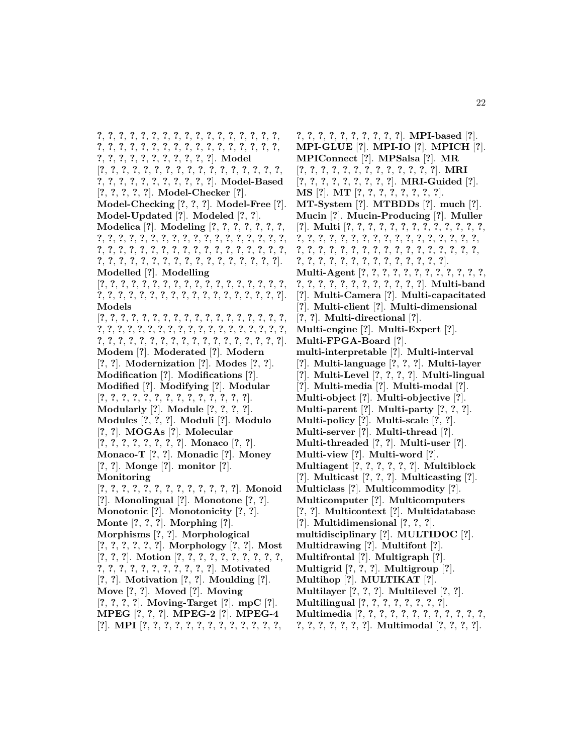**?**, **?**, **?**, **?**, **?**, **?**, **?**, **?**, **?**, **?**, **?**, **?**, **?**, **?**, **?**, **?**, **?**, **?**, **?**, **?**, **?**, **?**, **?**, **?**, **?**, **?**, **?**, **?**, **?**, **?**, **?**, **?**, **?**, **?**, **?**, **?**, **?**, **?**, **?**, **?**, **?**, **?**, **?**, **?**, **?**]. **Model** [**?**, **?**, **?**, **?**, **?**, **?**, **?**, **?**, **?**, **?**, **?**, **?**, **?**, **?**, **?**, **?**, **?**, **?**, **?**, **?**, **?**, **?**, **?**, **?**, **?**, **?**, **?**, **?**]. **Model-Based** [**?**, **?**, **?**, **?**, **?**]. **Model-Checker** [**?**]. **Model-Checking** [**?**, **?**, **?**]. **Model-Free** [**?**]. **Model-Updated** [**?**]. **Modeled** [**?**, **?**]. **Modelica** [**?**]. **Modeling** [**?**, **?**, **?**, **?**, **?**, **?**, **?**, **?**, **?**, **?**, **?**, **?**, **?**, **?**, **?**, **?**, **?**, **?**, **?**, **?**, **?**, **?**, **?**, **?**, **?**, **?**, **?**, **?**, **?**, **?**, **?**, **?**, **?**, **?**, **?**, **?**, **?**, **?**, **?**, **?**, **?**, **?**, **?**, **?**, **?**, **?**, **?**, **?**, **?**, **?**, **?**, **?**, **?**, **?**, **?**, **?**, **?**, **?**, **?**, **?**]. **Modelled** [**?**]. **Modelling** [**?**, **?**, **?**, **?**, **?**, **?**, **?**, **?**, **?**, **?**, **?**, **?**, **?**, **?**, **?**, **?**, **?**, **?**, **?**, **?**, **?**, **?**, **?**, **?**, **?**, **?**, **?**, **?**, **?**, **?**, **?**, **?**, **?**, **?**, **?**, **?**]. **Models** [**?**, **?**, **?**, **?**, **?**, **?**, **?**, **?**, **?**, **?**, **?**, **?**, **?**, **?**, **?**, **?**, **?**, **?**, **?**, **?**, **?**, **?**, **?**, **?**, **?**, **?**, **?**, **?**, **?**, **?**, **?**, **?**, **?**, **?**, **?**, **?**, **?**, **?**, **?**, **?**, **?**, **?**, **?**, **?**, **?**, **?**, **?**, **?**, **?**, **?**, **?**, **?**, **?**, **?**, **?**]. **Modem** [**?**]. **Moderated** [**?**]. **Modern** [**?**, **?**]. **Modernization** [**?**]. **Modes** [**?**, **?**]. **Modification** [**?**]. **Modifications** [**?**]. **Modified** [**?**]. **Modifying** [**?**]. **Modular** [**?**, **?**, **?**, **?**, **?**, **?**, **?**, **?**, **?**, **?**, **?**, **?**, **?**, **?**]. **Modularly** [**?**]. **Module** [**?**, **?**, **?**, **?**]. **Modules** [**?**, **?**, **?**]. **Moduli** [**?**]. **Modulo** [**?**, **?**]. **MOGAs** [**?**]. **Molecular** [**?**, **?**, **?**, **?**, **?**, **?**, **?**, **?**]. **Monaco** [**?**, **?**]. **Monaco-T** [**?**, **?**]. **Monadic** [**?**]. **Money** [**?**, **?**]. **Monge** [**?**]. **monitor** [**?**]. **Monitoring** [**?**, **?**, **?**, **?**, **?**, **?**, **?**, **?**, **?**, **?**, **?**, **?**, **?**]. **Monoid** [**?**]. **Monolingual** [**?**]. **Monotone** [**?**, **?**]. **Monotonic** [**?**]. **Monotonicity** [**?**, **?**]. **Monte** [**?**, **?**, **?**]. **Morphing** [**?**]. **Morphisms** [**?**, **?**]. **Morphological** [**?**, **?**, **?**, **?**, **?**, **?**]. **Morphology** [**?**, **?**]. **Most** [**?**, **?**, **?**]. **Motion** [**?**, **?**, **?**, **?**, **?**, **?**, **?**, **?**, **?**, **?**, **?**, **?**, **?**, **?**, **?**, **?**, **?**, **?**, **?**, **?**, **?**]. **Motivated** [**?**, **?**]. **Motivation** [**?**, **?**]. **Moulding** [**?**]. **Move** [**?**, **?**]. **Moved** [**?**]. **Moving** [**?**, **?**, **?**, **?**]. **Moving-Target** [**?**]. **mpC** [**?**]. **MPEG** [**?**, **?**, **?**]. **MPEG-2** [**?**]. **MPEG-4** [**?**]. **MPI** [**?**, **?**, **?**, **?**, **?**, **?**, **?**, **?**, **?**, **?**, **?**, **?**, **?**,

**?**, **?**, **?**, **?**, **?**, **?**, **?**, **?**, **?**, **?**]. **MPI-based** [**?**]. **MPI-GLUE** [**?**]. **MPI-IO** [**?**]. **MPICH** [**?**]. **MPIConnect** [**?**]. **MPSalsa** [**?**]. **MR** [**?**, **?**, **?**, **?**, **?**, **?**, **?**, **?**, **?**, **?**, **?**, **?**, **?**]. **MRI** [**?**, **?**, **?**, **?**, **?**, **?**, **?**, **?**, **?**]. **MRI-Guided** [**?**]. **MS** [**?**]. **MT** [**?**, **?**, **?**, **?**, **?**, **?**, **?**, **?**]. **MT-System** [**?**]. **MTBDDs** [**?**]. **much** [**?**]. **Mucin** [**?**]. **Mucin-Producing** [**?**]. **Muller** [**?**]. **Multi** [**?**, **?**, **?**, **?**, **?**, **?**, **?**, **?**, **?**, **?**, **?**, **?**, **?**, **?**, **?**, **?**, **?**, **?**, **?**, **?**, **?**, **?**, **?**, **?**, **?**, **?**, **?**, **?**, **?**, **?**, **?**, **?**, **?**, **?**, **?**, **?**, **?**, **?**, **?**, **?**, **?**, **?**, **?**, **?**, **?**, **?**, **?**, **?**, **?**, **?**, **?**, **?**, **?**, **?**, **?**, **?**, **?**, **?**, **?**, **?**, **?**]. **Multi-Agent** [**?**, **?**, **?**, **?**, **?**, **?**, **?**, **?**, **?**, **?**, **?**, **?**, **?**, **?**, **?**, **?**, **?**, **?**, **?**, **?**, **?**, **?**, **?**, **?**]. **Multi-band** [**?**]. **Multi-Camera** [**?**]. **Multi-capacitated** [**?**]. **Multi-client** [**?**]. **Multi-dimensional** [**?**, **?**]. **Multi-directional** [**?**]. **Multi-engine** [**?**]. **Multi-Expert** [**?**]. **Multi-FPGA-Board** [**?**]. **multi-interpretable** [**?**]. **Multi-interval** [**?**]. **Multi-language** [**?**, **?**, **?**]. **Multi-layer** [**?**]. **Multi-Level** [**?**, **?**, **?**, **?**]. **Multi-lingual** [**?**]. **Multi-media** [**?**]. **Multi-modal** [**?**]. **Multi-object** [**?**]. **Multi-objective** [**?**]. **Multi-parent** [**?**]. **Multi-party** [**?**, **?**, **?**]. **Multi-policy** [**?**]. **Multi-scale** [**?**, **?**]. **Multi-server** [**?**]. **Multi-thread** [**?**]. **Multi-threaded** [**?**, **?**]. **Multi-user** [**?**]. **Multi-view** [**?**]. **Multi-word** [**?**]. **Multiagent** [**?**, **?**, **?**, **?**, **?**, **?**]. **Multiblock** [**?**]. **Multicast** [**?**, **?**, **?**]. **Multicasting** [**?**]. **Multiclass** [**?**]. **Multicommodity** [**?**]. **Multicomputer** [**?**]. **Multicomputers** [**?**, **?**]. **Multicontext** [**?**]. **Multidatabase** [**?**]. **Multidimensional** [**?**, **?**, **?**]. **multidisciplinary** [**?**]. **MULTIDOC** [**?**]. **Multidrawing** [**?**]. **Multifont** [**?**]. **Multifrontal** [**?**]. **Multigraph** [**?**]. **Multigrid** [**?**, **?**, **?**]. **Multigroup** [**?**]. **Multihop** [**?**]. **MULTIKAT** [**?**]. **Multilayer** [**?**, **?**, **?**]. **Multilevel** [**?**, **?**]. **Multilingual** [**?**, **?**, **?**, **?**, **?**, **?**, **?**, **?**]. **Multimedia** [**?**, **?**, **?**, **?**, **?**, **?**, **?**, **?**, **?**, **?**, **?**, **?**, **?**, **?**, **?**, **?**, **?**, **?**, **?**]. **Multimodal** [**?**, **?**, **?**, **?**].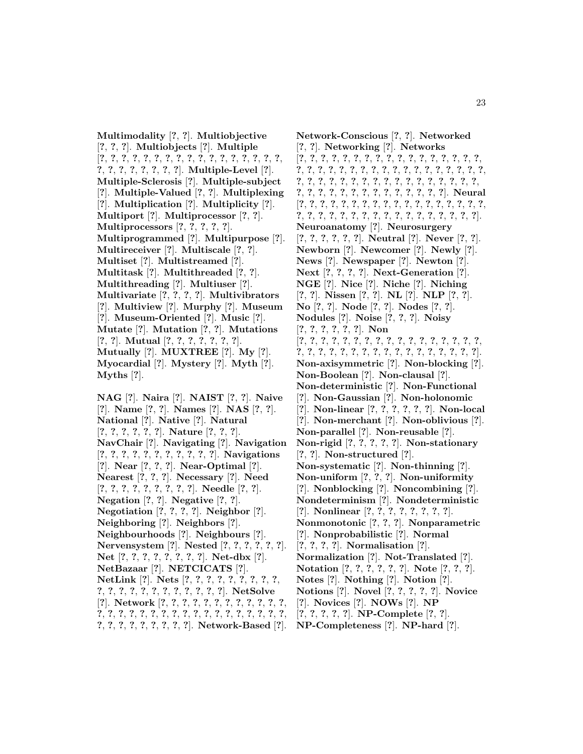**Multimodality** [**?**, **?**]. **Multiobjective** [**?**, **?**, **?**]. **Multiobjects** [**?**]. **Multiple** [**?**, **?**, **?**, **?**, **?**, **?**, **?**, **?**, **?**, **?**, **?**, **?**, **?**, **?**, **?**, **?**, **?**, **?**, **?**, **?**, **?**, **?**, **?**, **?**, **?**]. **Multiple-Level** [**?**]. **Multiple-Sclerosis** [**?**]. **Multiple-subject** [**?**]. **Multiple-Valued** [**?**, **?**]. **Multiplexing** [**?**]. **Multiplication** [**?**]. **Multiplicity** [**?**]. **Multiport** [**?**]. **Multiprocessor** [**?**, **?**]. **Multiprocessors** [**?**, **?**, **?**, **?**, **?**]. **Multiprogrammed** [**?**]. **Multipurpose** [**?**]. **Multireceiver** [**?**]. **Multiscale** [**?**, **?**]. **Multiset** [**?**]. **Multistreamed** [**?**]. **Multitask** [**?**]. **Multithreaded** [**?**, **?**]. **Multithreading** [**?**]. **Multiuser** [**?**]. **Multivariate** [**?**, **?**, **?**, **?**]. **Multivibrators** [**?**]. **Multiview** [**?**]. **Murphy** [**?**]. **Museum** [**?**]. **Museum-Oriented** [**?**]. **Music** [**?**]. **Mutate** [**?**]. **Mutation** [**?**, **?**]. **Mutations** [**?**, **?**]. **Mutual** [**?**, **?**, **?**, **?**, **?**, **?**, **?**]. **Mutually** [**?**]. **MUXTREE** [**?**]. **My** [**?**]. **Myocardial** [**?**]. **Mystery** [**?**]. **Myth** [**?**]. **Myths** [**?**].

**NAG** [**?**]. **Naira** [**?**]. **NAIST** [**?**, **?**]. **Naive** [**?**]. **Name** [**?**, **?**]. **Names** [**?**]. **NAS** [**?**, **?**]. **National** [**?**]. **Native** [**?**]. **Natural** [**?**, **?**, **?**, **?**, **?**, **?**]. **Nature** [**?**, **?**, **?**]. **NavChair** [**?**]. **Navigating** [**?**]. **Navigation** [**?**, **?**, **?**, **?**, **?**, **?**, **?**, **?**, **?**, **?**, **?**]. **Navigations** [**?**]. **Near** [**?**, **?**, **?**]. **Near-Optimal** [**?**]. **Nearest** [**?**, **?**, **?**]. **Necessary** [**?**]. **Need** [**?**, **?**, **?**, **?**, **?**, **?**, **?**, **?**, **?**]. **Needle** [**?**, **?**]. **Negation** [**?**, **?**]. **Negative** [**?**, **?**]. **Negotiation** [**?**, **?**, **?**, **?**]. **Neighbor** [**?**]. **Neighboring** [**?**]. **Neighbors** [**?**]. **Neighbourhoods** [**?**]. **Neighbours** [**?**]. **Nervensystem** [**?**]. **Nested** [**?**, **?**, **?**, **?**, **?**, **?**]. **Net** [**?**, **?**, **?**, **?**, **?**, **?**, **?**, **?**]. **Net-dbx** [**?**]. **NetBazaar** [**?**]. **NETCICATS** [**?**]. **NetLink** [**?**]. **Nets** [**?**, **?**, **?**, **?**, **?**, **?**, **?**, **?**, **?**, **?**, **?**, **?**, **?**, **?**, **?**, **?**, **?**, **?**, **?**, **?**, **?**]. **NetSolve** [**?**]. **Network** [**?**, **?**, **?**, **?**, **?**, **?**, **?**, **?**, **?**, **?**, **?**, **?**, **?**, **?**, **?**, **?**, **?**, **?**, **?**, **?**, **?**, **?**, **?**, **?**, **?**, **?**, **?**, **?**, **?**, **?**, **?**, **?**, **?**, **?**, **?**, **?**, **?**, **?**, **?**]. **Network-Based** [**?**].

**Network-Conscious** [**?**, **?**]. **Networked** [**?**, **?**]. **Networking** [**?**]. **Networks** [**?**, **?**, **?**, **?**, **?**, **?**, **?**, **?**, **?**, **?**, **?**, **?**, **?**, **?**, **?**, **?**, **?**, **?**, **?**, **?**, **?**, **?**, **?**, **?**, **?**, **?**, **?**, **?**, **?**, **?**, **?**, **?**, **?**, **?**, **?**, **?**, **?**, **?**, **?**, **?**, **?**, **?**, **?**, **?**, **?**, **?**, **?**, **?**, **?**, **?**, **?**, **?**, **?**, **?**, **?**, **?**, **?**, **?**, **?**, **?**, **?**, **?**, **?**, **?**, **?**, **?**]. **Neural** [**?**, **?**, **?**, **?**, **?**, **?**, **?**, **?**, **?**, **?**, **?**, **?**, **?**, **?**, **?**, **?**, **?**, **?**, **?**, **?**, **?**, **?**, **?**, **?**, **?**, **?**, **?**, **?**, **?**, **?**, **?**, **?**, **?**, **?**, **?**]. **Neuroanatomy** [**?**]. **Neurosurgery** [**?**, **?**, **?**, **?**, **?**, **?**]. **Neutral** [**?**]. **Never** [**?**, **?**]. **Newborn** [**?**]. **Newcomer** [**?**]. **Newly** [**?**]. **News** [**?**]. **Newspaper** [**?**]. **Newton** [**?**]. **Next** [**?**, **?**, **?**, **?**]. **Next-Generation** [**?**]. **NGE** [**?**]. **Nice** [**?**]. **Niche** [**?**]. **Niching** [**?**, **?**]. **Nissen** [**?**, **?**]. **NL** [**?**]. **NLP** [**?**, **?**]. **No** [**?**, **?**]. **Node** [**?**, **?**]. **Nodes** [**?**, **?**]. **Nodules** [**?**]. **Noise** [**?**, **?**, **?**]. **Noisy** [**?**, **?**, **?**, **?**, **?**, **?**]. **Non** [**?**, **?**, **?**, **?**, **?**, **?**, **?**, **?**, **?**, **?**, **?**, **?**, **?**, **?**, **?**, **?**, **?**, **?**, **?**, **?**, **?**, **?**, **?**, **?**, **?**, **?**, **?**, **?**, **?**, **?**, **?**, **?**, **?**, **?**]. **Non-axisymmetric** [**?**]. **Non-blocking** [**?**]. **Non-Boolean** [**?**]. **Non-clausal** [**?**]. **Non-deterministic** [**?**]. **Non-Functional** [**?**]. **Non-Gaussian** [**?**]. **Non-holonomic** [**?**]. **Non-linear** [**?**, **?**, **?**, **?**, **?**, **?**]. **Non-local** [**?**]. **Non-merchant** [**?**]. **Non-oblivious** [**?**]. **Non-parallel** [**?**]. **Non-reusable** [**?**]. **Non-rigid** [**?**, **?**, **?**, **?**, **?**]. **Non-stationary** [**?**, **?**]. **Non-structured** [**?**]. **Non-systematic** [**?**]. **Non-thinning** [**?**]. **Non-uniform** [**?**, **?**, **?**]. **Non-uniformity** [**?**]. **Nonblocking** [**?**]. **Noncombining** [**?**]. **Nondeterminism** [**?**]. **Nondeterministic** [**?**]. **Nonlinear** [**?**, **?**, **?**, **?**, **?**, **?**, **?**, **?**]. **Nonmonotonic** [**?**, **?**, **?**]. **Nonparametric** [**?**]. **Nonprobabilistic** [**?**]. **Normal** [**?**, **?**, **?**, **?**]. **Normalisation** [**?**]. **Normalization** [**?**]. **Not-Translated** [**?**]. **Notation** [**?**, **?**, **?**, **?**, **?**, **?**]. **Note** [**?**, **?**, **?**]. **Notes** [**?**]. **Nothing** [**?**]. **Notion** [**?**]. **Notions** [**?**]. **Novel** [**?**, **?**, **?**, **?**, **?**]. **Novice** [**?**]. **Novices** [**?**]. **NOWs** [**?**]. **NP** [**?**, **?**, **?**, **?**, **?**]. **NP-Complete** [**?**, **?**]. **NP-Completeness** [**?**]. **NP-hard** [**?**].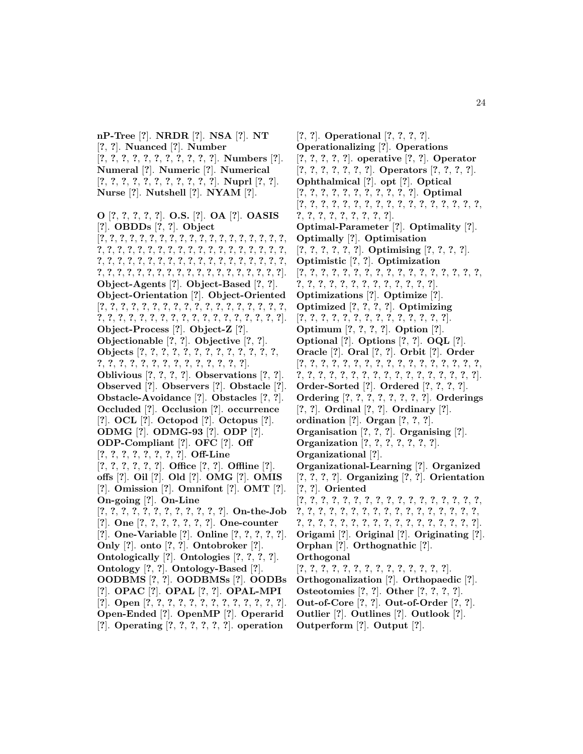**nP-Tree** [**?**]. **NRDR** [**?**]. **NSA** [**?**]. **NT** [**?**, **?**]. **Nuanced** [**?**]. **Number** [**?**, **?**, **?**, **?**, **?**, **?**, **?**, **?**, **?**, **?**, **?**]. **Numbers** [**?**]. **Numeral** [**?**]. **Numeric** [**?**]. **Numerical** [**?**, **?**, **?**, **?**, **?**, **?**, **?**, **?**, **?**, **?**, **?**]. **Nuprl** [**?**, **?**]. **Nurse** [**?**]. **Nutshell** [**?**]. **NYAM** [**?**].

**O** [**?**, **?**, **?**, **?**, **?**]. **O.S.** [**?**]. **OA** [**?**]. **OASIS** [**?**]. **OBDDs** [**?**, **?**]. **Object** [**?**, **?**, **?**, **?**, **?**, **?**, **?**, **?**, **?**, **?**, **?**, **?**, **?**, **?**, **?**, **?**, **?**, **?**, **?**, **?**, **?**, **?**, **?**, **?**, **?**, **?**, **?**, **?**, **?**, **?**, **?**, **?**, **?**, **?**, **?**, **?**, **?**, **?**, **?**, **?**, **?**, **?**, **?**, **?**, **?**, **?**, **?**, **?**, **?**, **?**, **?**, **?**, **?**, **?**, **?**, **?**, **?**, **?**, **?**, **?**, **?**, **?**, **?**, **?**, **?**, **?**, **?**, **?**, **?**, **?**, **?**, **?**, **?**, **?**, **?**, **?**]. **Object-Agents** [**?**]. **Object-Based** [**?**, **?**]. **Object-Orientation** [**?**]. **Object-Oriented** [**?**, **?**, **?**, **?**, **?**, **?**, **?**, **?**, **?**, **?**, **?**, **?**, **?**, **?**, **?**, **?**, **?**, **?**, **?**, **?**, **?**, **?**, **?**, **?**, **?**, **?**, **?**, **?**, **?**, **?**, **?**, **?**, **?**, **?**, **?**, **?**]. **Object-Process** [**?**]. **Object-Z** [**?**]. **Objectionable** [**?**, **?**]. **Objective** [**?**, **?**]. **Objects** [**?**, **?**, **?**, **?**, **?**, **?**, **?**, **?**, **?**, **?**, **?**, **?**, **?**, **?**, **?**, **?**, **?**, **?**, **?**, **?**, **?**, **?**, **?**, **?**, **?**, **?**, **?**]. **Oblivious** [**?**, **?**, **?**, **?**]. **Observations** [**?**, **?**]. **Observed** [**?**]. **Observers** [**?**]. **Obstacle** [**?**]. **Obstacle-Avoidance** [**?**]. **Obstacles** [**?**, **?**]. **Occluded** [**?**]. **Occlusion** [**?**]. **occurrence** [**?**]. **OCL** [**?**]. **Octopod** [**?**]. **Octopus** [**?**]. **ODMG** [**?**]. **ODMG-93** [**?**]. **ODP** [**?**]. **ODP-Compliant** [**?**]. **OFC** [**?**]. **Off** [**?**, **?**, **?**, **?**, **?**, **?**, **?**, **?**]. **Off-Line** [**?**, **?**, **?**, **?**, **?**, **?**]. **Office** [**?**, **?**]. **Offline** [**?**]. **offs** [**?**]. **Oil** [**?**]. **Old** [**?**]. **OMG** [**?**]. **OMIS** [**?**]. **Omission** [**?**]. **Omnifont** [**?**]. **OMT** [**?**]. **On-going** [**?**]. **On-Line** [**?**, **?**, **?**, **?**, **?**, **?**, **?**, **?**, **?**, **?**, **?**, **?**]. **On-the-Job** [**?**]. **One** [**?**, **?**, **?**, **?**, **?**, **?**, **?**]. **One-counter** [**?**]. **One-Variable** [**?**]. **Online** [**?**, **?**, **?**, **?**, **?**]. **Only** [**?**]. **onto** [**?**, **?**]. **Ontobroker** [**?**]. **Ontologically** [**?**]. **Ontologies** [**?**, **?**, **?**, **?**]. **Ontology** [**?**, **?**]. **Ontology-Based** [**?**]. **OODBMS** [**?**, **?**]. **OODBMSs** [**?**]. **OODBs** [**?**]. **OPAC** [**?**]. **OPAL** [**?**, **?**]. **OPAL-MPI** [**?**]. **Open** [**?**, **?**, **?**, **?**, **?**, **?**, **?**, **?**, **?**, **?**, **?**, **?**, **?**]. **Open-Ended** [**?**]. **OpenMP** [**?**]. **Operarid** [**?**]. **Operating** [**?**, **?**, **?**, **?**, **?**, **?**]. **operation**

[**?**, **?**]. **Operational** [**?**, **?**, **?**, **?**]. **Operationalizing** [**?**]. **Operations** [**?**, **?**, **?**, **?**, **?**]. **operative** [**?**, **?**]. **Operator** [**?**, **?**, **?**, **?**, **?**, **?**, **?**]. **Operators** [**?**, **?**, **?**, **?**]. **Ophthalmical** [**?**]. **opt** [**?**]. **Optical** [**?**, **?**, **?**, **?**, **?**, **?**, **?**, **?**, **?**, **?**, **?**]. **Optimal** [**?**, **?**, **?**, **?**, **?**, **?**, **?**, **?**, **?**, **?**, **?**, **?**, **?**, **?**, **?**, **?**, **?**, **?**, **?**, **?**, **?**, **?**, **?**, **?**, **?**, **?**]. **Optimal-Parameter** [**?**]. **Optimality** [**?**]. **Optimally** [**?**]. **Optimisation** [**?**, **?**, **?**, **?**, **?**, **?**]. **Optimising** [**?**, **?**, **?**, **?**]. **Optimistic** [**?**, **?**]. **Optimization** [**?**, **?**, **?**, **?**, **?**, **?**, **?**, **?**, **?**, **?**, **?**, **?**, **?**, **?**, **?**, **?**, **?**, **?**, **?**, **?**, **?**, **?**, **?**, **?**, **?**, **?**, **?**, **?**, **?**, **?**]. **Optimizations** [**?**]. **Optimize** [**?**]. **Optimized** [**?**, **?**, **?**, **?**]. **Optimizing** [**?**, **?**, **?**, **?**, **?**, **?**, **?**, **?**, **?**, **?**, **?**, **?**, **?**, **?**]. **Optimum** [**?**, **?**, **?**, **?**]. **Option** [**?**]. **Optional** [**?**]. **Options** [**?**, **?**]. **OQL** [**?**]. **Oracle** [**?**]. **Oral** [**?**, **?**]. **Orbit** [**?**]. **Order** [**?**, **?**, **?**, **?**, **?**, **?**, **?**, **?**, **?**, **?**, **?**, **?**, **?**, **?**, **?**, **?**, **?**, **?**, **?**, **?**, **?**, **?**, **?**, **?**, **?**, **?**, **?**, **?**, **?**, **?**, **?**, **?**, **?**, **?**]. **Order-Sorted** [**?**]. **Ordered** [**?**, **?**, **?**, **?**]. **Ordering** [**?**, **?**, **?**, **?**, **?**, **?**, **?**, **?**]. **Orderings** [**?**, **?**]. **Ordinal** [**?**, **?**]. **Ordinary** [**?**]. **ordination** [**?**]. **Organ** [**?**, **?**, **?**]. **Organisation** [**?**, **?**, **?**]. **Organising** [**?**]. **Organization** [**?**, **?**, **?**, **?**, **?**, **?**, **?**]. **Organizational** [**?**]. **Organizational-Learning** [**?**]. **Organized** [**?**, **?**, **?**, **?**]. **Organizing** [**?**, **?**]. **Orientation** [**?**, **?**]. **Oriented** [**?**, **?**, **?**, **?**, **?**, **?**, **?**, **?**, **?**, **?**, **?**, **?**, **?**, **?**, **?**, **?**, **?**, **?**, **?**, **?**, **?**, **?**, **?**, **?**, **?**, **?**, **?**, **?**, **?**, **?**, **?**, **?**, **?**, **?**, **?**, **?**, **?**, **?**, **?**, **?**, **?**, **?**, **?**, **?**, **?**, **?**, **?**, **?**, **?**, **?**, **?**]. **Origami** [**?**]. **Original** [**?**]. **Originating** [**?**]. **Orphan** [**?**]. **Orthognathic** [**?**]. **Orthogonal** [**?**, **?**, **?**, **?**, **?**, **?**, **?**, **?**, **?**, **?**, **?**, **?**, **?**, **?**]. **Orthogonalization** [**?**]. **Orthopaedic** [**?**]. **Osteotomies** [**?**, **?**]. **Other** [**?**, **?**, **?**, **?**]. **Out-of-Core** [**?**, **?**]. **Out-of-Order** [**?**, **?**]. **Outlier** [**?**]. **Outlines** [**?**]. **Outlook** [**?**].

**Outperform** [**?**]. **Output** [**?**].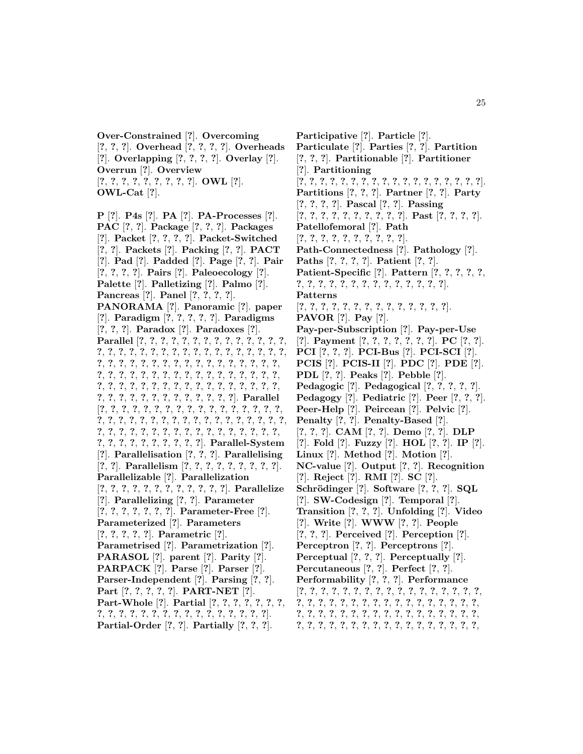**Over-Constrained** [**?**]. **Overcoming** [**?**, **?**, **?**]. **Overhead** [**?**, **?**, **?**, **?**]. **Overheads** [**?**]. **Overlapping** [**?**, **?**, **?**, **?**]. **Overlay** [**?**]. **Overrun** [**?**]. **Overview** [**?**, **?**, **?**, **?**, **?**, **?**, **?**, **?**, **?**]. **OWL** [**?**]. **OWL-Cat** [**?**].

**P** [**?**]. **P4s** [**?**]. **PA** [**?**]. **PA-Processes** [**?**]. **PAC** [**?**, **?**]. **Package** [**?**, **?**, **?**]. **Packages** [**?**]. **Packet** [**?**, **?**, **?**, **?**]. **Packet-Switched** [**?**, **?**]. **Packets** [**?**]. **Packing** [**?**, **?**]. **PACT** [**?**]. **Pad** [**?**]. **Padded** [**?**]. **Page** [**?**, **?**]. **Pair** [**?**, **?**, **?**, **?**]. **Pairs** [**?**]. **Paleoecology** [**?**]. **Palette** [**?**]. **Palletizing** [**?**]. **Palmo** [**?**]. **Pancreas** [**?**]. **Panel** [**?**, **?**, **?**, **?**]. **PANORAMA** [**?**]. **Panoramic** [**?**]. **paper** [**?**]. **Paradigm** [**?**, **?**, **?**, **?**, **?**]. **Paradigms** [**?**, **?**, **?**]. **Paradox** [**?**]. **Paradoxes** [**?**]. **Parallel** [**?**, **?**, **?**, **?**, **?**, **?**, **?**, **?**, **?**, **?**, **?**, **?**, **?**, **?**, **?**, **?**, **?**, **?**, **?**, **?**, **?**, **?**, **?**, **?**, **?**, **?**, **?**, **?**, **?**, **?**, **?**, **?**, **?**, **?**, **?**, **?**, **?**, **?**, **?**, **?**, **?**, **?**, **?**, **?**, **?**, **?**, **?**, **?**, **?**, **?**, **?**, **?**, **?**, **?**, **?**, **?**, **?**, **?**, **?**, **?**, **?**, **?**, **?**, **?**, **?**, **?**, **?**, **?**, **?**, **?**, **?**, **?**, **?**, **?**, **?**, **?**, **?**, **?**, **?**, **?**, **?**, **?**, **?**, **?**, **?**, **?**, **?**, **?**, **?**, **?**, **?**, **?**, **?**, **?**, **?**, **?**]. **Parallel** [**?**, **?**, **?**, **?**, **?**, **?**, **?**, **?**, **?**, **?**, **?**, **?**, **?**, **?**, **?**, **?**, **?**, **?**, **?**, **?**, **?**, **?**, **?**, **?**, **?**, **?**, **?**, **?**, **?**, **?**, **?**, **?**, **?**, **?**, **?**, **?**, **?**, **?**, **?**, **?**, **?**, **?**, **?**, **?**, **?**, **?**, **?**, **?**, **?**, **?**, **?**, **?**, **?**, **?**, **?**, **?**, **?**, **?**, **?**, **?**, **?**, **?**]. **Parallel-System** [**?**]. **Parallelisation** [**?**, **?**, **?**]. **Parallelising** [**?**, **?**]. **Parallelism** [**?**, **?**, **?**, **?**, **?**, **?**, **?**, **?**, **?**]. **Parallelizable** [**?**]. **Parallelization** [**?**, **?**, **?**, **?**, **?**, **?**, **?**, **?**, **?**, **?**, **?**, **?**]. **Parallelize** [**?**]. **Parallelizing** [**?**, **?**]. **Parameter** [**?**, **?**, **?**, **?**, **?**, **?**, **?**]. **Parameter-Free** [**?**]. **Parameterized** [**?**]. **Parameters** [**?**, **?**, **?**, **?**, **?**]. **Parametric** [**?**]. **Parametrised** [**?**]. **Parametrization** [**?**]. **PARASOL** [**?**]. **parent** [**?**]. **Parity** [**?**]. **PARPACK** [**?**]. **Parse** [**?**]. **Parser** [**?**]. **Parser-Independent** [**?**]. **Parsing** [**?**, **?**]. **Part** [**?**, **?**, **?**, **?**, **?**]. **PART-NET** [**?**]. **Part-Whole** [**?**]. **Partial** [**?**, **?**, **?**, **?**, **?**, **?**, **?**, **?**, **?**, **?**, **?**, **?**, **?**, **?**, **?**, **?**, **?**, **?**, **?**, **?**, **?**, **?**, **?**].

**Partial-Order** [**?**, **?**]. **Partially** [**?**, **?**, **?**].

**Participative** [**?**]. **Particle** [**?**]. **Particulate** [**?**]. **Parties** [**?**, **?**]. **Partition** [**?**, **?**, **?**]. **Partitionable** [**?**]. **Partitioner** [**?**]. **Partitioning** [**?**, **?**, **?**, **?**, **?**, **?**, **?**, **?**, **?**, **?**, **?**, **?**, **?**, **?**, **?**, **?**, **?**, **?**]. **Partitions** [**?**, **?**, **?**]. **Partner** [**?**, **?**]. **Party** [**?**, **?**, **?**, **?**]. **Pascal** [**?**, **?**]. **Passing** [**?**, **?**, **?**, **?**, **?**, **?**, **?**, **?**, **?**, **?**]. **Past** [**?**, **?**, **?**, **?**]. **Patellofemoral** [**?**]. **Path** [**?**, **?**, **?**, **?**, **?**, **?**, **?**, **?**, **?**, **?**]. **Path-Connectedness** [**?**]. **Pathology** [**?**]. **Paths** [**?**, **?**, **?**, **?**]. **Patient** [**?**, **?**]. **Patient-Specific** [**?**]. **Pattern** [**?**, **?**, **?**, **?**, **?**, **?**, **?**, **?**, **?**, **?**, **?**, **?**, **?**, **?**, **?**, **?**, **?**, **?**, **?**]. **Patterns** [**?**, **?**, **?**, **?**, **?**, **?**, **?**, **?**, **?**, **?**, **?**, **?**, **?**, **?**]. **PAVOR** [**?**]. **Pay** [**?**]. **Pay-per-Subscription** [**?**]. **Pay-per-Use** [**?**]. **Payment** [**?**, **?**, **?**, **?**, **?**, **?**, **?**]. **PC** [**?**, **?**]. **PCI** [**?**, **?**, **?**]. **PCI-Bus** [**?**]. **PCI-SCI** [**?**]. **PCIS** [**?**]. **PCIS-II** [**?**]. **PDC** [**?**]. **PDE** [**?**]. **PDL** [**?**, **?**]. **Peaks** [**?**]. **Pebble** [**?**]. **Pedagogic** [**?**]. **Pedagogical** [**?**, **?**, **?**, **?**, **?**]. **Pedagogy** [**?**]. **Pediatric** [**?**]. **Peer** [**?**, **?**, **?**]. **Peer-Help** [**?**]. **Peircean** [**?**]. **Pelvic** [**?**]. **Penalty** [**?**, **?**]. **Penalty-Based** [**?**]. [**?**, **?**, **?**]. **CAM** [**?**, **?**]. **Demo** [**?**, **?**]. **DLP** [**?**]. **Fold** [**?**]. **Fuzzy** [**?**]. **HOL** [**?**, **?**]. **IP** [**?**]. **Linux** [**?**]. **Method** [**?**]. **Motion** [**?**]. **NC-value** [**?**]. **Output** [**?**, **?**]. **Recognition** [**?**]. **Reject** [**?**]. **RMI** [**?**]. **SC** [**?**]. **Schr¨odinger** [**?**]. **Software** [**?**, **?**, **?**]. **SQL** [**?**]. **SW-Codesign** [**?**]. **Temporal** [**?**]. **Transition** [**?**, **?**, **?**]. **Unfolding** [**?**]. **Video** [**?**]. **Write** [**?**]. **WWW** [**?**, **?**]. **People** [**?**, **?**, **?**]. **Perceived** [**?**]. **Perception** [**?**]. **Perceptron** [**?**, **?**]. **Perceptrons** [**?**]. **Perceptual** [**?**, **?**, **?**]. **Perceptually** [**?**]. **Percutaneous** [**?**, **?**]. **Perfect** [**?**, **?**]. **Performability** [**?**, **?**, **?**]. **Performance** [**?**, **?**, **?**, **?**, **?**, **?**, **?**, **?**, **?**, **?**, **?**, **?**, **?**, **?**, **?**, **?**, **?**, **?**, **?**, **?**, **?**, **?**, **?**, **?**, **?**, **?**, **?**, **?**, **?**, **?**, **?**, **?**, **?**, **?**, **?**, **?**, **?**, **?**, **?**, **?**, **?**, **?**, **?**, **?**, **?**, **?**, **?**, **?**, **?**, **?**, **?**, **?**, **?**, **?**, **?**, **?**, **?**, **?**, **?**, **?**, **?**, **?**, **?**, **?**, **?**, **?**, **?**, **?**,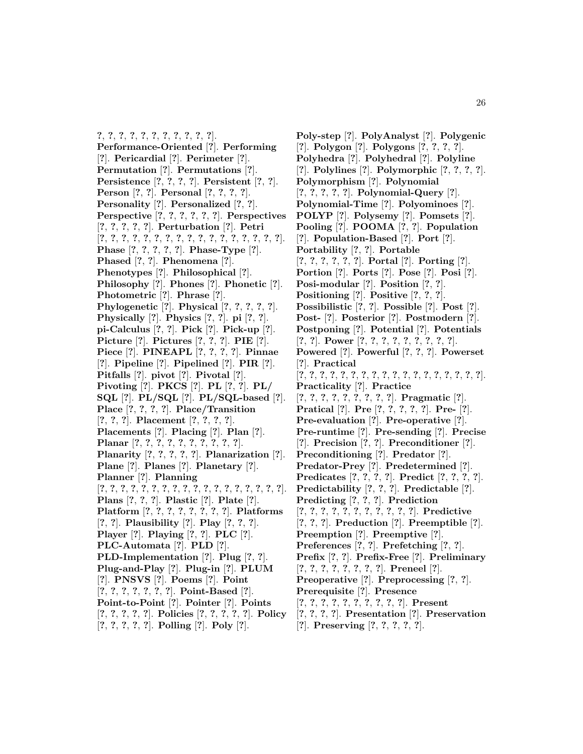**?**, **?**, **?**, **?**, **?**, **?**, **?**, **?**, **?**, **?**, **?**]. **Performance-Oriented** [**?**]. **Performing** [**?**]. **Pericardial** [**?**]. **Perimeter** [**?**]. **Permutation** [**?**]. **Permutations** [**?**]. **Persistence** [**?**, **?**, **?**, **?**]. **Persistent** [**?**, **?**]. **Person** [**?**, **?**]. **Personal** [**?**, **?**, **?**, **?**]. **Personality** [**?**]. **Personalized** [**?**, **?**]. **Perspective** [**?**, **?**, **?**, **?**, **?**, **?**]. **Perspectives** [**?**, **?**, **?**, **?**, **?**]. **Perturbation** [**?**]. **Petri** [**?**, **?**, **?**, **?**, **?**, **?**, **?**, **?**, **?**, **?**, **?**, **?**, **?**, **?**, **?**, **?**, **?**]. **Phase** [**?**, **?**, **?**, **?**, **?**]. **Phase-Type** [**?**]. **Phased** [**?**, **?**]. **Phenomena** [**?**]. **Phenotypes** [**?**]. **Philosophical** [**?**]. **Philosophy** [**?**]. **Phones** [**?**]. **Phonetic** [**?**]. **Photometric** [**?**]. **Phrase** [**?**]. **Phylogenetic** [**?**]. **Physical** [**?**, **?**, **?**, **?**, **?**]. **Physically** [**?**]. **Physics** [**?**, **?**]. **pi** [**?**, **?**]. **pi-Calculus** [**?**, **?**]. **Pick** [**?**]. **Pick-up** [**?**]. **Picture** [**?**]. **Pictures** [**?**, **?**, **?**]. **PIE** [**?**]. **Piece** [**?**]. **PINEAPL** [**?**, **?**, **?**, **?**]. **Pinnae** [**?**]. **Pipeline** [**?**]. **Pipelined** [**?**]. **PIR** [**?**]. **Pitfalls** [**?**]. **pivot** [**?**]. **Pivotal** [**?**]. **Pivoting** [**?**]. **PKCS** [**?**]. **PL** [**?**, **?**]. **PL/ SQL** [**?**]. **PL/SQL** [**?**]. **PL/SQL-based** [**?**]. **Place** [**?**, **?**, **?**, **?**]. **Place/Transition** [**?**, **?**, **?**]. **Placement** [**?**, **?**, **?**, **?**]. **Placements** [**?**]. **Placing** [**?**]. **Plan** [**?**]. **Planar** [**?**, **?**, **?**, **?**, **?**, **?**, **?**, **?**, **?**, **?**]. **Planarity** [**?**, **?**, **?**, **?**, **?**]. **Planarization** [**?**]. **Plane** [**?**]. **Planes** [**?**]. **Planetary** [**?**]. **Planner** [**?**]. **Planning** [**?**, **?**, **?**, **?**, **?**, **?**, **?**, **?**, **?**, **?**, **?**, **?**, **?**, **?**, **?**, **?**, **?**, **?**]. **Plans** [**?**, **?**, **?**]. **Plastic** [**?**]. **Plate** [**?**]. **Platform** [**?**, **?**, **?**, **?**, **?**, **?**, **?**, **?**]. **Platforms** [**?**, **?**]. **Plausibility** [**?**]. **Play** [**?**, **?**, **?**]. **Player** [**?**]. **Playing** [**?**, **?**]. **PLC** [**?**]. **PLC-Automata** [**?**]. **PLD** [**?**]. **PLD-Implementation** [**?**]. **Plug** [**?**, **?**]. **Plug-and-Play** [**?**]. **Plug-in** [**?**]. **PLUM** [**?**]. **PNSVS** [**?**]. **Poems** [**?**]. **Point** [**?**, **?**, **?**, **?**, **?**, **?**, **?**]. **Point-Based** [**?**]. **Point-to-Point** [**?**]. **Pointer** [**?**]. **Points** [**?**, **?**, **?**, **?**, **?**]. **Policies** [**?**, **?**, **?**, **?**, **?**]. **Policy** [**?**, **?**, **?**, **?**, **?**]. **Polling** [**?**]. **Poly** [**?**].

- **Poly-step** [**?**]. **PolyAnalyst** [**?**]. **Polygenic** [**?**]. **Polygon** [**?**]. **Polygons** [**?**, **?**, **?**, **?**]. **Polyhedra** [**?**]. **Polyhedral** [**?**]. **Polyline** [**?**]. **Polylines** [**?**]. **Polymorphic** [**?**, **?**, **?**, **?**]. **Polymorphism** [**?**]. **Polynomial** [**?**, **?**, **?**, **?**, **?**]. **Polynomial-Query** [**?**]. **Polynomial-Time** [**?**]. **Polyominoes** [**?**]. **POLYP** [**?**]. **Polysemy** [**?**]. **Pomsets** [**?**]. **Pooling** [**?**]. **POOMA** [**?**, **?**]. **Population** [**?**]. **Population-Based** [**?**]. **Port** [**?**]. **Portability** [**?**, **?**]. **Portable** [**?**, **?**, **?**, **?**, **?**, **?**]. **Portal** [**?**]. **Porting** [**?**]. **Portion** [**?**]. **Ports** [**?**]. **Pose** [**?**]. **Posi** [**?**]. **Posi-modular** [**?**]. **Position** [**?**, **?**]. **Positioning** [**?**]. **Positive** [**?**, **?**, **?**]. **Possibilistic** [**?**, **?**]. **Possible** [**?**]. **Post** [**?**]. **Post-** [**?**]. **Posterior** [**?**]. **Postmodern** [**?**]. **Postponing** [**?**]. **Potential** [**?**]. **Potentials** [**?**, **?**]. **Power** [**?**, **?**, **?**, **?**, **?**, **?**, **?**, **?**, **?**]. **Powered** [**?**]. **Powerful** [**?**, **?**, **?**]. **Powerset** [**?**]. **Practical** [**?**, **?**, **?**, **?**, **?**, **?**, **?**, **?**, **?**, **?**, **?**, **?**, **?**, **?**, **?**, **?**, **?**, **?**]. **Practicality** [**?**]. **Practice** [**?**, **?**, **?**, **?**, **?**, **?**, **?**, **?**, **?**]. **Pragmatic** [**?**]. **Pratical** [**?**]. **Pre** [**?**, **?**, **?**, **?**, **?**]. **Pre-** [**?**]. **Pre-evaluation** [**?**]. **Pre-operative** [**?**]. **Pre-runtime** [**?**]. **Pre-sending** [**?**]. **Precise** [**?**]. **Precision** [**?**, **?**]. **Preconditioner** [**?**]. **Preconditioning** [**?**]. **Predator** [**?**]. **Predator-Prey** [**?**]. **Predetermined** [**?**]. **Predicates** [**?**, **?**, **?**, **?**]. **Predict** [**?**, **?**, **?**, **?**]. **Predictability** [**?**, **?**, **?**]. **Predictable** [**?**]. **Predicting** [**?**, **?**, **?**]. **Prediction** [**?**, **?**, **?**, **?**, **?**, **?**, **?**, **?**, **?**, **?**, **?**]. **Predictive** [**?**, **?**, **?**]. **Preduction** [**?**]. **Preemptible** [**?**]. **Preemption** [**?**]. **Preemptive** [**?**]. **Preferences** [**?**, **?**]. **Prefetching** [**?**, **?**]. **Prefix** [**?**, **?**]. **Prefix-Free** [**?**]. **Preliminary** [**?**, **?**, **?**, **?**, **?**, **?**, **?**, **?**]. **Preneel** [**?**]. **Preoperative** [**?**]. **Preprocessing** [**?**, **?**]. **Prerequisite** [**?**]. **Presence** [**?**, **?**, **?**, **?**, **?**, **?**, **?**, **?**, **?**, **?**]. **Present** [**?**, **?**, **?**, **?**]. **Presentation** [**?**]. **Preservation**
- [**?**]. **Preserving** [**?**, **?**, **?**, **?**, **?**].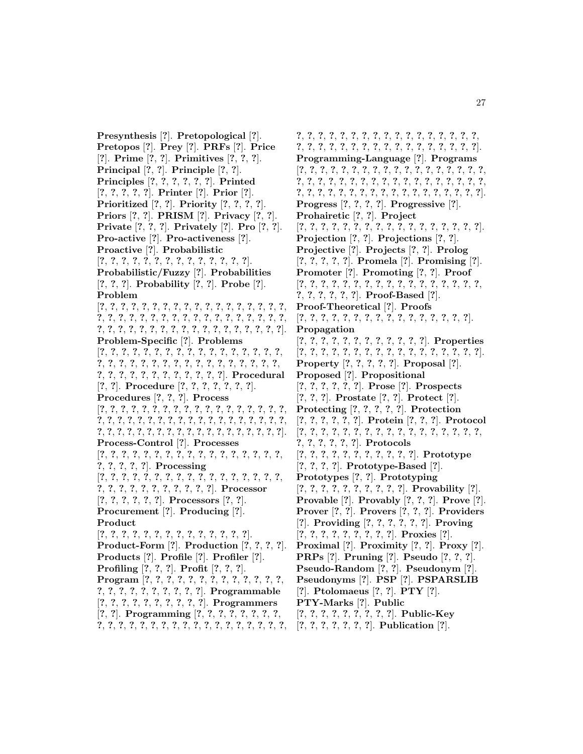**Presynthesis** [**?**]. **Pretopological** [**?**]. **Pretopos** [**?**]. **Prey** [**?**]. **PRFs** [**?**]. **Price** [**?**]. **Prime** [**?**, **?**]. **Primitives** [**?**, **?**, **?**]. **Principal** [**?**, **?**]. **Principle** [**?**, **?**]. **Principles** [**?**, **?**, **?**, **?**, **?**, **?**]. **Printed** [**?**, **?**, **?**, **?**, **?**]. **Printer** [**?**]. **Prior** [**?**]. **Prioritized** [**?**, **?**]. **Priority** [**?**, **?**, **?**, **?**]. **Priors** [**?**, **?**]. **PRISM** [**?**]. **Privacy** [**?**, **?**]. **Private** [**?**, **?**, **?**]. **Privately** [**?**]. **Pro** [**?**, **?**]. **Pro-active** [**?**]. **Pro-activeness** [**?**]. **Proactive** [**?**]. **Probabilistic** [**?**, **?**, **?**, **?**, **?**, **?**, **?**, **?**, **?**, **?**, **?**, **?**, **?**, **?**]. **Probabilistic/Fuzzy** [**?**]. **Probabilities** [**?**, **?**, **?**]. **Probability** [**?**, **?**]. **Probe** [**?**]. **Problem** [**?**, **?**, **?**, **?**, **?**, **?**, **?**, **?**, **?**, **?**, **?**, **?**, **?**, **?**, **?**, **?**, **?**, **?**, **?**, **?**, **?**, **?**, **?**, **?**, **?**, **?**, **?**, **?**, **?**, **?**, **?**, **?**, **?**, **?**, **?**, **?**, **?**, **?**, **?**, **?**, **?**, **?**, **?**, **?**, **?**, **?**, **?**, **?**, **?**, **?**, **?**, **?**, **?**, **?**]. **Problem-Specific** [**?**]. **Problems** [**?**, **?**, **?**, **?**, **?**, **?**, **?**, **?**, **?**, **?**, **?**, **?**, **?**, **?**, **?**, **?**, **?**, **?**, **?**, **?**, **?**, **?**, **?**, **?**, **?**, **?**, **?**, **?**, **?**, **?**, **?**, **?**, **?**, **?**, **?**, **?**, **?**, **?**, **?**, **?**, **?**, **?**, **?**, **?**, **?**, **?**]. **Procedural** [**?**, **?**]. **Procedure** [**?**, **?**, **?**, **?**, **?**, **?**, **?**]. **Procedures** [**?**, **?**, **?**]. **Process** [**?**, **?**, **?**, **?**, **?**, **?**, **?**, **?**, **?**, **?**, **?**, **?**, **?**, **?**, **?**, **?**, **?**, **?**, **?**, **?**, **?**, **?**, **?**, **?**, **?**, **?**, **?**, **?**, **?**, **?**, **?**, **?**, **?**, **?**, **?**, **?**, **?**, **?**, **?**, **?**, **?**, **?**, **?**, **?**, **?**, **?**, **?**, **?**, **?**, **?**, **?**, **?**, **?**, **?**, **?**, **?**]. **Process-Control** [**?**]. **Processes** [**?**, **?**, **?**, **?**, **?**, **?**, **?**, **?**, **?**, **?**, **?**, **?**, **?**, **?**, **?**, **?**, **?**, **?**, **?**, **?**, **?**, **?**]. **Processing** [**?**, **?**, **?**, **?**, **?**, **?**, **?**, **?**, **?**, **?**, **?**, **?**, **?**, **?**, **?**, **?**, **?**, **?**, **?**, **?**, **?**, **?**, **?**, **?**, **?**, **?**, **?**, **?**]. **Processor** [**?**, **?**, **?**, **?**, **?**, **?**]. **Processors** [**?**, **?**]. **Procurement** [**?**]. **Producing** [**?**]. **Product** [**?**, **?**, **?**, **?**, **?**, **?**, **?**, **?**, **?**, **?**, **?**, **?**, **?**, **?**]. **Product-Form** [**?**]. **Production** [**?**, **?**, **?**, **?**]. **Products** [**?**]. **Profile** [**?**]. **Profiler** [**?**]. **Profiling** [**?**, **?**, **?**]. **Profit** [**?**, **?**, **?**]. **Program** [**?**, **?**, **?**, **?**, **?**, **?**, **?**, **?**, **?**, **?**, **?**, **?**, **?**, **?**, **?**, **?**, **?**, **?**, **?**, **?**, **?**, **?**, **?**]. **Programmable** [**?**, **?**, **?**, **?**, **?**, **?**, **?**, **?**, **?**, **?**]. **Programmers** [**?**, **?**]. **Programming** [**?**, **?**, **?**, **?**, **?**, **?**, **?**, **?**, **?**, **?**, **?**, **?**, **?**, **?**, **?**, **?**, **?**, **?**, **?**, **?**, **?**, **?**, **?**, **?**, **?**, **?**,

**?**, **?**, **?**, **?**, **?**, **?**, **?**, **?**, **?**, **?**, **?**, **?**, **?**, **?**, **?**, **?**, **?**, **?**, **?**, **?**, **?**, **?**, **?**, **?**, **?**, **?**, **?**, **?**, **?**, **?**, **?**, **?**, **?**, **?**]. **Programming-Language** [**?**]. **Programs** [**?**, **?**, **?**, **?**, **?**, **?**, **?**, **?**, **?**, **?**, **?**, **?**, **?**, **?**, **?**, **?**, **?**, **?**, **?**, **?**, **?**, **?**, **?**, **?**, **?**, **?**, **?**, **?**, **?**, **?**, **?**, **?**, **?**, **?**, **?**, **?**, **?**, **?**, **?**, **?**, **?**, **?**, **?**, **?**, **?**, **?**, **?**, **?**, **?**, **?**, **?**, **?**, **?**, **?**]. **Progress** [**?**, **?**, **?**, **?**]. **Progressive** [**?**]. **Prohairetic** [**?**, **?**]. **Project** [**?**, **?**, **?**, **?**, **?**, **?**, **?**, **?**, **?**, **?**, **?**, **?**, **?**, **?**, **?**, **?**, **?**]. **Projection** [**?**, **?**]. **Projections** [**?**, **?**]. **Projective** [**?**]. **Projects** [**?**, **?**]. **Prolog** [**?**, **?**, **?**, **?**, **?**]. **Promela** [**?**]. **Promising** [**?**]. **Promoter** [**?**]. **Promoting** [**?**, **?**]. **Proof** [**?**, **?**, **?**, **?**, **?**, **?**, **?**, **?**, **?**, **?**, **?**, **?**, **?**, **?**, **?**, **?**, **?**, **?**, **?**, **?**, **?**, **?**, **?**]. **Proof-Based** [**?**]. **Proof-Theoretical** [**?**]. **Proofs** [**?**, **?**, **?**, **?**, **?**, **?**, **?**, **?**, **?**, **?**, **?**, **?**, **?**, **?**, **?**, **?**]. **Propagation** [**?**, **?**, **?**, **?**, **?**, **?**, **?**, **?**, **?**, **?**, **?**, **?**]. **Properties** [**?**, **?**, **?**, **?**, **?**, **?**, **?**, **?**, **?**, **?**, **?**, **?**, **?**, **?**, **?**, **?**, **?**]. **Property** [**?**, **?**, **?**, **?**, **?**]. **Proposal** [**?**]. **Proposed** [**?**]. **Propositional** [**?**, **?**, **?**, **?**, **?**, **?**]. **Prose** [**?**]. **Prospects** [**?**, **?**, **?**]. **Prostate** [**?**, **?**]. **Protect** [**?**]. **Protecting** [**?**, **?**, **?**, **?**, **?**]. **Protection** [**?**, **?**, **?**, **?**, **?**, **?**]. **Protein** [**?**, **?**, **?**]. **Protocol** [**?**, **?**, **?**, **?**, **?**, **?**, **?**, **?**, **?**, **?**, **?**, **?**, **?**, **?**, **?**, **?**, **?**, **?**, **?**, **?**, **?**, **?**, **?**]. **Protocols** [**?**, **?**, **?**, **?**, **?**, **?**, **?**, **?**, **?**, **?**, **?**]. **Prototype** [**?**, **?**, **?**, **?**]. **Prototype-Based** [**?**]. **Prototypes** [**?**, **?**]. **Prototyping** [**?**, **?**, **?**, **?**, **?**, **?**, **?**, **?**, **?**, **?**]. **Provability** [**?**]. **Provable** [**?**]. **Provably** [**?**, **?**, **?**]. **Prove** [**?**]. **Prover** [**?**, **?**]. **Provers** [**?**, **?**, **?**]. **Providers** [**?**]. **Providing** [**?**, **?**, **?**, **?**, **?**, **?**]. **Proving** [**?**, **?**, **?**, **?**, **?**, **?**, **?**, **?**, **?**]. **Proxies** [**?**]. **Proximal** [**?**]. **Proximity** [**?**, **?**]. **Proxy** [**?**]. **PRPs** [**?**]. **Pruning** [**?**]. **Pseudo** [**?**, **?**, **?**]. **Pseudo-Random** [**?**, **?**]. **Pseudonym** [**?**]. **Pseudonyms** [**?**]. **PSP** [**?**]. **PSPARSLIB** [**?**]. **Ptolomaeus** [**?**, **?**]. **PTY** [**?**]. **PTY-Marks** [**?**]. **Public** [**?**, **?**, **?**, **?**, **?**, **?**, **?**, **?**, **?**]. **Public-Key** [**?**, **?**, **?**, **?**, **?**, **?**, **?**]. **Publication** [**?**].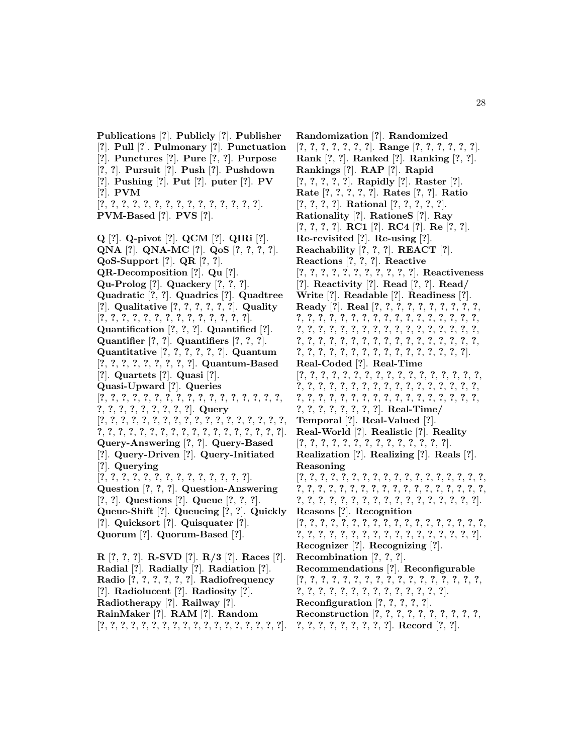**Publications** [**?**]. **Publicly** [**?**]. **Publisher** [**?**]. **Pull** [**?**]. **Pulmonary** [**?**]. **Punctuation** [**?**]. **Punctures** [**?**]. **Pure** [**?**, **?**]. **Purpose** [**?**, **?**]. **Pursuit** [**?**]. **Push** [**?**]. **Pushdown** [**?**]. **Pushing** [**?**]. **Put** [**?**]. **puter** [**?**]. **PV** [**?**]. **PVM** [**?**, **?**, **?**, **?**, **?**, **?**, **?**, **?**, **?**, **?**, **?**, **?**, **?**, **?**, **?**]. **PVM-Based** [**?**]. **PVS** [**?**]. **Q** [**?**]. **Q-pivot** [**?**]. **QCM** [**?**]. **QIRi** [**?**]. **QNA** [**?**]. **QNA-MC** [**?**]. **QoS** [**?**, **?**, **?**, **?**]. **QoS-Support** [**?**]. **QR** [**?**, **?**]. **QR-Decomposition** [**?**]. **Qu** [**?**]. **Qu-Prolog** [**?**]. **Quackery** [**?**, **?**, **?**]. **Quadratic** [**?**, **?**]. **Quadrics** [**?**]. **Quadtree** [**?**]. **Qualitative** [**?**, **?**, **?**, **?**, **?**, **?**]. **Quality** [**?**, **?**, **?**, **?**, **?**, **?**, **?**, **?**, **?**, **?**, **?**, **?**, **?**, **?**]. **Quantification** [**?**, **?**, **?**]. **Quantified** [**?**]. **Quantifier** [**?**, **?**]. **Quantifiers** [**?**, **?**, **?**]. **Quantitative** [**?**, **?**, **?**, **?**, **?**, **?**]. **Quantum** [**?**, **?**, **?**, **?**, **?**, **?**, **?**, **?**, **?**]. **Quantum-Based** [**?**]. **Quartets** [**?**]. **Quasi** [**?**]. **Quasi-Upward** [**?**]. **Queries** [**?**, **?**, **?**, **?**, **?**, **?**, **?**, **?**, **?**, **?**, **?**, **?**, **?**, **?**, **?**, **?**, **?**, **?**, **?**, **?**, **?**, **?**, **?**, **?**, **?**, **?**]. **Query** [**?**, **?**, **?**, **?**, **?**, **?**, **?**, **?**, **?**, **?**, **?**, **?**, **?**, **?**, **?**, **?**, **?**, **?**, **?**, **?**, **?**, **?**, **?**, **?**, **?**, **?**, **?**, **?**, **?**, **?**, **?**, **?**, **?**, **?**, **?**, **?**]. **Query-Answering** [**?**, **?**]. **Query-Based** [**?**]. **Query-Driven** [**?**]. **Query-Initiated** [**?**]. **Querying** [**?**, **?**, **?**, **?**, **?**, **?**, **?**, **?**, **?**, **?**, **?**, **?**, **?**, **?**]. **Question** [**?**, **?**, **?**]. **Question-Answering** [**?**, **?**]. **Questions** [**?**]. **Queue** [**?**, **?**, **?**]. **Queue-Shift** [**?**]. **Queueing** [**?**, **?**]. **Quickly** [**?**]. **Quicksort** [**?**]. **Quisquater** [**?**]. **Quorum** [**?**]. **Quorum-Based** [**?**]. **R** [**?**, **?**, **?**]. **R-SVD** [**?**]. **R/3** [**?**]. **Races** [**?**]. **Radial** [**?**]. **Radially** [**?**]. **Radiation** [**?**]. **Radio** [**?**, **?**, **?**, **?**, **?**, **?**]. **Radiofrequency** [**?**]. **Radiolucent** [**?**]. **Radiosity** [**?**].

**Radiotherapy** [**?**]. **Railway** [**?**].

**RainMaker** [**?**]. **RAM** [**?**]. **Random**

[**?**, **?**, **?**, **?**, **?**, **?**, **?**, **?**, **?**, **?**, **?**, **?**, **?**, **?**, **?**, **?**, **?**, **?**].

**Randomization** [**?**]. **Randomized** [**?**, **?**, **?**, **?**, **?**, **?**, **?**]. **Range** [**?**, **?**, **?**, **?**, **?**, **?**]. **Rank** [**?**, **?**]. **Ranked** [**?**]. **Ranking** [**?**, **?**]. **Rankings** [**?**]. **RAP** [**?**]. **Rapid** [**?**, **?**, **?**, **?**, **?**]. **Rapidly** [**?**]. **Raster** [**?**]. **Rate** [**?**, **?**, **?**, **?**, **?**]. **Rates** [**?**, **?**]. **Ratio** [**?**, **?**, **?**, **?**]. **Rational** [**?**, **?**, **?**, **?**, **?**]. **Rationality** [**?**]. **RationeS** [**?**]. **Ray** [**?**, **?**, **?**, **?**]. **RC1** [**?**]. **RC4** [**?**]. **Re** [**?**, **?**]. **Re-revisited** [**?**]. **Re-using** [**?**]. **Reachability** [**?**, **?**, **?**]. **REACT** [**?**]. **Reactions** [**?**, **?**, **?**]. **Reactive** [**?**, **?**, **?**, **?**, **?**, **?**, **?**, **?**, **?**, **?**, **?**]. **Reactiveness** [**?**]. **Reactivity** [**?**]. **Read** [**?**, **?**]. **Read/ Write** [**?**]. **Readable** [**?**]. **Readiness** [**?**]. **Ready** [**?**]. **Real** [**?**, **?**, **?**, **?**, **?**, **?**, **?**, **?**, **?**, **?**, **?**, **?**, **?**, **?**, **?**, **?**, **?**, **?**, **?**, **?**, **?**, **?**, **?**, **?**, **?**, **?**, **?**, **?**, **?**, **?**, **?**, **?**, **?**, **?**, **?**, **?**, **?**, **?**, **?**, **?**, **?**, **?**, **?**, **?**, **?**, **?**, **?**, **?**, **?**, **?**, **?**, **?**, **?**, **?**, **?**, **?**, **?**, **?**, **?**, **?**, **?**, **?**, **?**, **?**, **?**, **?**, **?**, **?**, **?**, **?**, **?**, **?**, **?**, **?**, **?**, **?**, **?**]. **Real-Coded** [**?**]. **Real-Time** [**?**, **?**, **?**, **?**, **?**, **?**, **?**, **?**, **?**, **?**, **?**, **?**, **?**, **?**, **?**, **?**, **?**, **?**, **?**, **?**, **?**, **?**, **?**, **?**, **?**, **?**, **?**, **?**, **?**, **?**, **?**, **?**, **?**, **?**, **?**, **?**, **?**, **?**, **?**, **?**, **?**, **?**, **?**, **?**, **?**, **?**, **?**, **?**, **?**, **?**, **?**, **?**, **?**, **?**, **?**, **?**, **?**, **?**, **?**]. **Real-Time/ Temporal** [**?**]. **Real-Valued** [**?**]. **Real-World** [**?**]. **Realistic** [**?**]. **Reality** [**?**, **?**, **?**, **?**, **?**, **?**, **?**, **?**, **?**, **?**, **?**, **?**, **?**, **?**]. **Realization** [**?**]. **Realizing** [**?**]. **Reals** [**?**]. **Reasoning** [**?**, **?**, **?**, **?**, **?**, **?**, **?**, **?**, **?**, **?**, **?**, **?**, **?**, **?**, **?**, **?**, **?**, **?**, **?**, **?**, **?**, **?**, **?**, **?**, **?**, **?**, **?**, **?**, **?**, **?**, **?**, **?**, **?**, **?**, **?**, **?**, **?**, **?**, **?**, **?**, **?**, **?**, **?**, **?**, **?**, **?**, **?**, **?**, **?**, **?**, **?**, **?**, **?**]. **Reasons** [**?**]. **Recognition** [**?**, **?**, **?**, **?**, **?**, **?**, **?**, **?**, **?**, **?**, **?**, **?**, **?**, **?**, **?**, **?**, **?**, **?**, **?**, **?**, **?**, **?**, **?**, **?**, **?**, **?**, **?**, **?**, **?**, **?**, **?**, **?**, **?**, **?**, **?**]. **Recognizer** [**?**]. **Recognizing** [**?**]. **Recombination** [**?**, **?**, **?**]. **Recommendations** [**?**]. **Reconfigurable** [**?**, **?**, **?**, **?**, **?**, **?**, **?**, **?**, **?**, **?**, **?**, **?**, **?**, **?**, **?**, **?**, **?**, **?**, **?**, **?**, **?**, **?**, **?**, **?**, **?**, **?**, **?**, **?**, **?**, **?**, **?**]. **Reconfiguration** [**?**, **?**, **?**, **?**, **?**]. **Reconstruction** [**?**, **?**, **?**, **?**, **?**, **?**, **?**, **?**, **?**, **?**, **?**, **?**, **?**, **?**, **?**, **?**, **?**, **?**, **?**]. **Record** [**?**, **?**].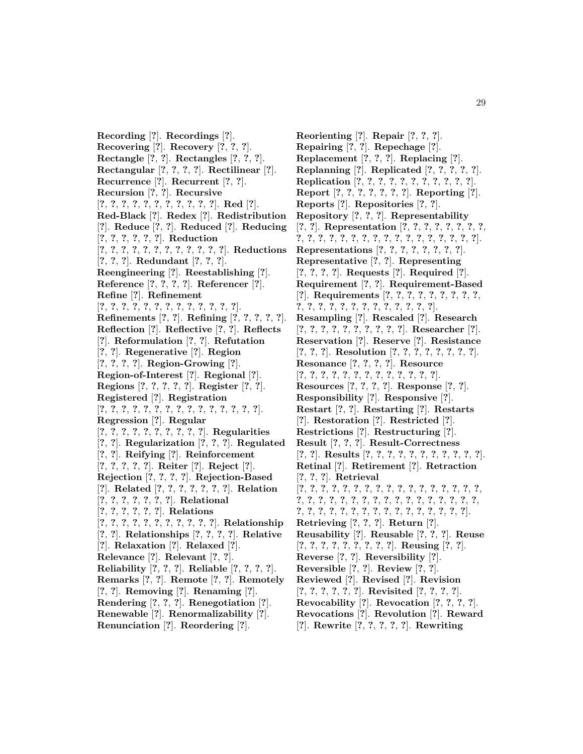**Recording** [**?**]. **Recordings** [**?**]. **Recovering** [**?**]. **Recovery** [**?**, **?**, **?**]. **Rectangle** [**?**, **?**]. **Rectangles** [**?**, **?**, **?**]. **Rectangular** [**?**, **?**, **?**, **?**]. **Rectilinear** [**?**]. **Recurrence** [**?**]. **Recurrent** [**?**, **?**]. **Recursion** [**?**, **?**]. **Recursive** [**?**, **?**, **?**, **?**, **?**, **?**, **?**, **?**, **?**, **?**, **?**]. **Red** [**?**]. **Red-Black** [**?**]. **Redex** [**?**]. **Redistribution** [**?**]. **Reduce** [**?**, **?**]. **Reduced** [**?**]. **Reducing** [**?**, **?**, **?**, **?**, **?**, **?**]. **Reduction** [**?**, **?**, **?**, **?**, **?**, **?**, **?**, **?**, **?**, **?**, **?**, **?**]. **Reductions** [**?**, **?**, **?**]. **Redundant** [**?**, **?**, **?**]. **Reengineering** [**?**]. **Reestablishing** [**?**]. **Reference** [**?**, **?**, **?**, **?**]. **Referencer** [**?**]. **Refine** [**?**]. **Refinement** [**?**, **?**, **?**, **?**, **?**, **?**, **?**, **?**, **?**, **?**, **?**, **?**, **?**]. **Refinements** [**?**, **?**]. **Refining** [**?**, **?**, **?**, **?**, **?**]. **Reflection** [**?**]. **Reflective** [**?**, **?**]. **Reflects** [**?**]. **Reformulation** [**?**, **?**]. **Refutation** [**?**, **?**]. **Regenerative** [**?**]. **Region** [**?**, **?**, **?**, **?**]. **Region-Growing** [**?**]. **Region-of-Interest** [**?**]. **Regional** [**?**]. **Regions** [**?**, **?**, **?**, **?**, **?**]. **Register** [**?**, **?**]. **Registered** [**?**]. **Registration** [**?**, **?**, **?**, **?**, **?**, **?**, **?**, **?**, **?**, **?**, **?**, **?**, **?**, **?**, **?**]. **Regression** [**?**]. **Regular** [**?**, **?**, **?**, **?**, **?**, **?**, **?**, **?**, **?**, **?**]. **Regularities** [**?**, **?**]. **Regularization** [**?**, **?**, **?**]. **Regulated** [**?**, **?**]. **Reifying** [**?**]. **Reinforcement** [**?**, **?**, **?**, **?**, **?**]. **Reiter** [**?**]. **Reject** [**?**]. **Rejection** [**?**, **?**, **?**, **?**]. **Rejection-Based** [**?**]. **Related** [**?**, **?**, **?**, **?**, **?**, **?**, **?**]. **Relation** [**?**, **?**, **?**, **?**, **?**, **?**, **?**]. **Relational** [**?**, **?**, **?**, **?**, **?**, **?**]. **Relations** [**?**, **?**, **?**, **?**, **?**, **?**, **?**, **?**, **?**, **?**, **?**]. **Relationship** [**?**, **?**]. **Relationships** [**?**, **?**, **?**, **?**]. **Relative** [**?**]. **Relaxation** [**?**]. **Relaxed** [**?**]. **Relevance** [**?**]. **Relevant** [**?**, **?**]. **Reliability** [**?**, **?**, **?**]. **Reliable** [**?**, **?**, **?**, **?**]. **Remarks** [**?**, **?**]. **Remote** [**?**, **?**]. **Remotely** [**?**, **?**]. **Removing** [**?**]. **Renaming** [**?**]. **Rendering** [**?**, **?**, **?**]. **Renegotiation** [**?**].

**Renewable** [**?**]. **Renormalizability** [**?**]. **Renunciation** [**?**]. **Reordering** [**?**].

**Reorienting** [**?**]. **Repair** [**?**, **?**, **?**]. **Repairing** [**?**, **?**]. **Repechage** [**?**]. **Replacement** [**?**, **?**, **?**]. **Replacing** [**?**]. **Replanning** [**?**]. **Replicated** [**?**, **?**, **?**, **?**, **?**]. **Replication** [**?**, **?**, **?**, **?**, **?**, **?**, **?**, **?**, **?**, **?**, **?**]. **Report** [**?**, **?**, **?**, **?**, **?**, **?**, **?**]. **Reporting** [**?**]. **Reports** [**?**]. **Repositories** [**?**, **?**]. **Repository** [**?**, **?**, **?**]. **Representability** [**?**, **?**]. **Representation** [**?**, **?**, **?**, **?**, **?**, **?**, **?**, **?**, **?**, **?**, **?**, **?**, **?**, **?**, **?**, **?**, **?**, **?**, **?**, **?**, **?**, **?**, **?**, **?**, **?**]. **Representations** [**?**, **?**, **?**, **?**, **?**, **?**, **?**, **?**]. **Representative** [**?**, **?**]. **Representing** [**?**, **?**, **?**, **?**]. **Requests** [**?**]. **Required** [**?**]. **Requirement** [**?**, **?**]. **Requirement-Based** [**?**]. **Requirements** [**?**, **?**, **?**, **?**, **?**, **?**, **?**, **?**, **?**, **?**, **?**, **?**, **?**, **?**, **?**, **?**, **?**, **?**, **?**, **?**, **?**, **?**]. **Resampling** [**?**]. **Rescaled** [**?**]. **Research** [**?**, **?**, **?**, **?**, **?**, **?**, **?**, **?**, **?**, **?**]. **Researcher** [**?**]. **Reservation** [**?**]. **Reserve** [**?**]. **Resistance** [**?**, **?**, **?**]. **Resolution** [**?**, **?**, **?**, **?**, **?**, **?**, **?**, **?**]. **Resonance** [**?**, **?**, **?**, **?**]. **Resource** [**?**, **?**, **?**, **?**, **?**, **?**, **?**, **?**, **?**, **?**, **?**, **?**, **?**]. **Resources** [**?**, **?**, **?**, **?**]. **Response** [**?**, **?**]. **Responsibility** [**?**]. **Responsive** [**?**]. **Restart** [**?**, **?**]. **Restarting** [**?**]. **Restarts** [**?**]. **Restoration** [**?**]. **Restricted** [**?**]. **Restrictions** [**?**]. **Restructuring** [**?**]. **Result** [**?**, **?**, **?**]. **Result-Correctness** [**?**, **?**]. **Results** [**?**, **?**, **?**, **?**, **?**, **?**, **?**, **?**, **?**, **?**, **?**]. **Retinal** [**?**]. **Retirement** [**?**]. **Retraction** [**?**, **?**, **?**]. **Retrieval** [**?**, **?**, **?**, **?**, **?**, **?**, **?**, **?**, **?**, **?**, **?**, **?**, **?**, **?**, **?**, **?**, **?**, **?**, **?**, **?**, **?**, **?**, **?**, **?**, **?**, **?**, **?**, **?**, **?**, **?**, **?**, **?**, **?**, **?**, **?**, **?**, **?**, **?**, **?**, **?**, **?**, **?**, **?**, **?**, **?**, **?**, **?**, **?**, **?**, **?**]. **Retrieving** [**?**, **?**, **?**]. **Return** [**?**]. **Reusability** [**?**]. **Reusable** [**?**, **?**, **?**]. **Reuse** [**?**, **?**, **?**, **?**, **?**, **?**, **?**, **?**, **?**]. **Reusing** [**?**, **?**]. **Reverse** [**?**, **?**]. **Reversibility** [**?**]. **Reversible** [**?**, **?**]. **Review** [**?**, **?**]. **Reviewed** [**?**]. **Revised** [**?**]. **Revision** [**?**, **?**, **?**, **?**, **?**, **?**]. **Revisited** [**?**, **?**, **?**, **?**]. **Revocability** [**?**]. **Revocation** [**?**, **?**, **?**, **?**]. **Revocations** [**?**]. **Revolution** [**?**]. **Reward** [**?**]. **Rewrite** [**?**, **?**, **?**, **?**, **?**]. **Rewriting**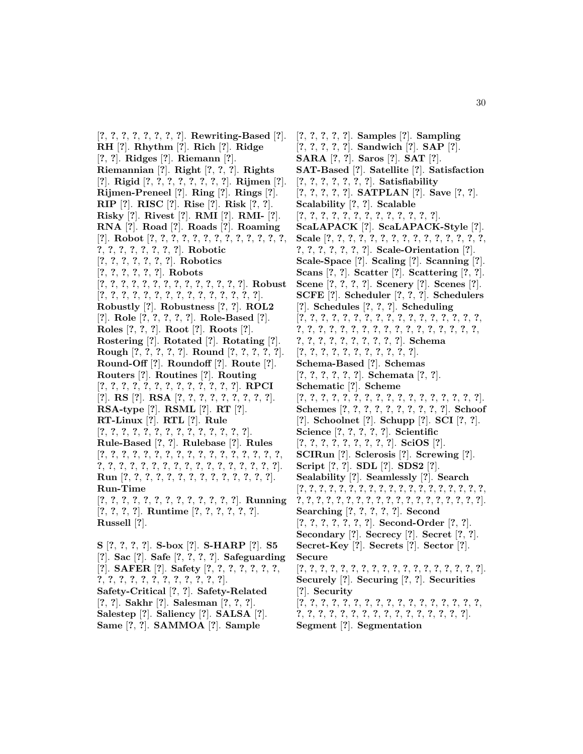[**?**, **?**, **?**, **?**, **?**, **?**, **?**, **?**]. **Rewriting-Based** [**?**]. **RH** [**?**]. **Rhythm** [**?**]. **Rich** [**?**]. **Ridge** [**?**, **?**]. **Ridges** [**?**]. **Riemann** [**?**]. **Riemannian** [**?**]. **Right** [**?**, **?**, **?**]. **Rights** [**?**]. **Rigid** [**?**, **?**, **?**, **?**, **?**, **?**, **?**, **?**]. **Rijmen** [**?**]. **Rijmen-Preneel** [**?**]. **Ring** [**?**]. **Rings** [**?**]. **RIP** [**?**]. **RISC** [**?**]. **Rise** [**?**]. **Risk** [**?**, **?**]. **Risky** [**?**]. **Rivest** [**?**]. **RMI** [**?**]. **RMI-** [**?**]. **RNA** [**?**]. **Road** [**?**]. **Roads** [**?**]. **Roaming** [**?**]. **Robot** [**?**, **?**, **?**, **?**, **?**, **?**, **?**, **?**, **?**, **?**, **?**, **?**, **?**, **?**, **?**, **?**, **?**, **?**, **?**, **?**, **?**]. **Robotic** [**?**, **?**, **?**, **?**, **?**, **?**, **?**]. **Robotics** [**?**, **?**, **?**, **?**, **?**, **?**]. **Robots** [**?**, **?**, **?**, **?**, **?**, **?**, **?**, **?**, **?**, **?**, **?**, **?**, **?**, **?**]. **Robust** [**?**, **?**, **?**, **?**, **?**, **?**, **?**, **?**, **?**, **?**, **?**, **?**, **?**, **?**, **?**]. **Robustly** [**?**]. **Robustness** [**?**, **?**]. **ROL2** [**?**]. **Role** [**?**, **?**, **?**, **?**, **?**]. **Role-Based** [**?**]. **Roles** [**?**, **?**, **?**]. **Root** [**?**]. **Roots** [**?**]. **Rostering** [**?**]. **Rotated** [**?**]. **Rotating** [**?**]. **Rough** [**?**, **?**, **?**, **?**, **?**]. **Round** [**?**, **?**, **?**, **?**, **?**]. **Round-Off** [**?**]. **Roundoff** [**?**]. **Route** [**?**]. **Routers** [**?**]. **Routines** [**?**]. **Routing** [**?**, **?**, **?**, **?**, **?**, **?**, **?**, **?**, **?**, **?**, **?**, **?**, **?**]. **RPCI** [**?**]. **RS** [**?**]. **RSA** [**?**, **?**, **?**, **?**, **?**, **?**, **?**, **?**, **?**]. **RSA-type** [**?**]. **RSML** [**?**]. **RT** [**?**]. **RT-Linux** [**?**]. **RTL** [**?**]. **Rule** [**?**, **?**, **?**, **?**, **?**, **?**, **?**, **?**, **?**, **?**, **?**, **?**, **?**, **?**]. **Rule-Based** [**?**, **?**]. **Rulebase** [**?**]. **Rules** [**?**, **?**, **?**, **?**, **?**, **?**, **?**, **?**, **?**, **?**, **?**, **?**, **?**, **?**, **?**, **?**, **?**, **?**, **?**, **?**, **?**, **?**, **?**, **?**, **?**, **?**, **?**, **?**, **?**, **?**, **?**, **?**, **?**, **?**]. **Run** [**?**, **?**, **?**, **?**, **?**, **?**, **?**, **?**, **?**, **?**, **?**, **?**, **?**, **?**]. **Run-Time** [**?**, **?**, **?**, **?**, **?**, **?**, **?**, **?**, **?**, **?**, **?**, **?**, **?**]. **Running** [**?**, **?**, **?**, **?**]. **Runtime** [**?**, **?**, **?**, **?**, **?**, **?**]. **Russell** [**?**]. **S** [**?**, **?**, **?**, **?**]. **S-box** [**?**]. **S-HARP** [**?**]. **S5**

[**?**]. **Sac** [**?**]. **Safe** [**?**, **?**, **?**, **?**]. **Safeguarding** [**?**]. **SAFER** [**?**]. **Safety** [**?**, **?**, **?**, **?**, **?**, **?**, **?**, **?**, **?**, **?**, **?**, **?**, **?**, **?**, **?**, **?**, **?**, **?**, **?**]. **Safety-Critical** [**?**, **?**]. **Safety-Related** [**?**, **?**]. **Sakhr** [**?**]. **Salesman** [**?**, **?**, **?**]. **Salestep** [**?**]. **Saliency** [**?**]. **SALSA** [**?**]. **Same** [**?**, **?**]. **SAMMOA** [**?**]. **Sample**

[**?**, **?**, **?**, **?**, **?**]. **Samples** [**?**]. **Sampling** [**?**, **?**, **?**, **?**, **?**]. **Sandwich** [**?**]. **SAP** [**?**]. **SARA** [**?**, **?**]. **Saros** [**?**]. **SAT** [**?**]. **SAT-Based** [**?**]. **Satellite** [**?**]. **Satisfaction** [**?**, **?**, **?**, **?**, **?**, **?**, **?**]. **Satisfiability** [**?**, **?**, **?**, **?**, **?**]. **SATPLAN** [**?**]. **Save** [**?**, **?**]. **Scalability** [**?**, **?**]. **Scalable** [**?**, **?**, **?**, **?**, **?**, **?**, **?**, **?**, **?**, **?**, **?**, **?**, **?**]. **ScaLAPACK** [**?**]. **ScaLAPACK-Style** [**?**]. **Scale** [**?**, **?**, **?**, **?**, **?**, **?**, **?**, **?**, **?**, **?**, **?**, **?**, **?**, **?**, **?**, **?**, **?**, **?**, **?**, **?**, **?**, **?**]. **Scale-Orientation** [**?**]. **Scale-Space** [**?**]. **Scaling** [**?**]. **Scanning** [**?**]. **Scans** [**?**, **?**]. **Scatter** [**?**]. **Scattering** [**?**, **?**]. **Scene** [**?**, **?**, **?**, **?**]. **Scenery** [**?**]. **Scenes** [**?**]. **SCFE** [**?**]. **Scheduler** [**?**, **?**, **?**]. **Schedulers** [**?**]. **Schedules** [**?**, **?**, **?**]. **Scheduling** [**?**, **?**, **?**, **?**, **?**, **?**, **?**, **?**, **?**, **?**, **?**, **?**, **?**, **?**, **?**, **?**, **?**, **?**, **?**, **?**, **?**, **?**, **?**, **?**, **?**, **?**, **?**, **?**, **?**, **?**, **?**, **?**, **?**, **?**, **?**, **?**, **?**, **?**, **?**, **?**, **?**, **?**, **?**, **?**]. **Schema** [**?**, **?**, **?**, **?**, **?**, **?**, **?**, **?**, **?**, **?**, **?**]. **Schema-Based** [**?**]. **Schemas** [**?**, **?**, **?**, **?**, **?**, **?**]. **Schemata** [**?**, **?**]. **Schematic** [**?**]. **Scheme** [**?**, **?**, **?**, **?**, **?**, **?**, **?**, **?**, **?**, **?**, **?**, **?**, **?**, **?**, **?**, **?**, **?**]. **Schemes** [**?**, **?**, **?**, **?**, **?**, **?**, **?**, **?**, **?**, **?**]. **Schoof** [**?**]. **Schoolnet** [**?**]. **Schupp** [**?**]. **SCI** [**?**, **?**]. **Science** [**?**, **?**, **?**, **?**, **?**]. **Scientific** [**?**, **?**, **?**, **?**, **?**, **?**, **?**, **?**, **?**]. **SciOS** [**?**]. **SCIRun** [**?**]. **Sclerosis** [**?**]. **Screwing** [**?**]. **Script** [**?**, **?**]. **SDL** [**?**]. **SDS2** [**?**]. **Sealability** [**?**]. **Seamlessly** [**?**]. **Search** [**?**, **?**, **?**, **?**, **?**, **?**, **?**, **?**, **?**, **?**, **?**, **?**, **?**, **?**, **?**, **?**, **?**, **?**, **?**, **?**, **?**, **?**, **?**, **?**, **?**, **?**, **?**, **?**, **?**, **?**, **?**, **?**, **?**, **?**, **?**, **?**, **?**, **?**]. **Searching** [**?**, **?**, **?**, **?**, **?**]. **Second** [**?**, **?**, **?**, **?**, **?**, **?**, **?**]. **Second-Order** [**?**, **?**]. **Secondary** [**?**]. **Secrecy** [**?**]. **Secret** [**?**, **?**]. **Secret-Key** [**?**]. **Secrets** [**?**]. **Sector** [**?**]. **Secure** [**?**, **?**, **?**, **?**, **?**, **?**, **?**, **?**, **?**, **?**, **?**, **?**, **?**, **?**, **?**, **?**, **?**, **?**]. **Securely** [**?**]. **Securing** [**?**, **?**]. **Securities** [**?**]. **Security** [**?**, **?**, **?**, **?**, **?**, **?**, **?**, **?**, **?**, **?**, **?**, **?**, **?**, **?**, **?**, **?**, **?**, **?**, **?**, **?**, **?**, **?**, **?**, **?**, **?**, **?**, **?**, **?**, **?**, **?**, **?**, **?**, **?**]. **Segment** [**?**]. **Segmentation**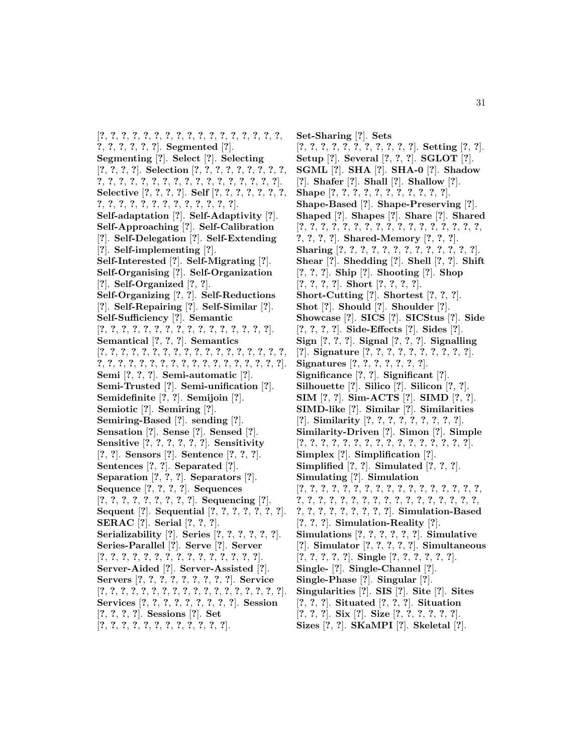[**?**, **?**, **?**, **?**, **?**, **?**, **?**, **?**, **?**, **?**, **?**, **?**, **?**, **?**, **?**, **?**, **?**, **?**, **?**, **?**, **?**, **?**, **?**]. **Segmented** [**?**]. **Segmenting** [**?**]. **Select** [**?**]. **Selecting** [**?**, **?**, **?**, **?**]. **Selection** [**?**, **?**, **?**, **?**, **?**, **?**, **?**, **?**, **?**, **?**, **?**, **?**, **?**, **?**, **?**, **?**, **?**, **?**, **?**, **?**, **?**, **?**, **?**, **?**, **?**, **?**]. **Selective** [**?**, **?**, **?**, **?**]. **Self** [**?**, **?**, **?**, **?**, **?**, **?**, **?**, **?**, **?**, **?**, **?**, **?**, **?**, **?**, **?**, **?**, **?**, **?**, **?**, **?**]. **Self-adaptation** [**?**]. **Self-Adaptivity** [**?**]. **Self-Approaching** [**?**]. **Self-Calibration** [**?**]. **Self-Delegation** [**?**]. **Self-Extending** [**?**]. **Self-implementing** [**?**]. **Self-Interested** [**?**]. **Self-Migrating** [**?**]. **Self-Organising** [**?**]. **Self-Organization** [**?**]. **Self-Organized** [**?**, **?**]. **Self-Organizing** [**?**, **?**]. **Self-Reductions** [**?**]. **Self-Repairing** [**?**]. **Self-Similar** [**?**]. **Self-Sufficiency** [**?**]. **Semantic** [**?**, **?**, **?**, **?**, **?**, **?**, **?**, **?**, **?**, **?**, **?**, **?**, **?**, **?**, **?**, **?**]. **Semantical** [**?**, **?**, **?**]. **Semantics** [**?**, **?**, **?**, **?**, **?**, **?**, **?**, **?**, **?**, **?**, **?**, **?**, **?**, **?**, **?**, **?**, **?**, **?**, **?**, **?**, **?**, **?**, **?**, **?**, **?**, **?**, **?**, **?**, **?**, **?**, **?**, **?**, **?**, **?**, **?**, **?**]. **Semi** [**?**, **?**, **?**]. **Semi-automatic** [**?**]. **Semi-Trusted** [**?**]. **Semi-unification** [**?**]. **Semidefinite** [**?**, **?**]. **Semijoin** [**?**]. **Semiotic** [**?**]. **Semiring** [**?**]. **Semiring-Based** [**?**]. **sending** [**?**]. **Sensation** [**?**]. **Sense** [**?**]. **Sensed** [**?**]. **Sensitive** [**?**, **?**, **?**, **?**, **?**, **?**]. **Sensitivity** [**?**, **?**]. **Sensors** [**?**]. **Sentence** [**?**, **?**, **?**]. **Sentences** [**?**, **?**]. **Separated** [**?**]. **Separation** [**?**, **?**, **?**]. **Separators** [**?**]. **Sequence** [**?**, **?**, **?**, **?**]. **Sequences** [**?**, **?**, **?**, **?**, **?**, **?**, **?**, **?**, **?**]. **Sequencing** [**?**]. **Sequent** [**?**]. **Sequential** [**?**, **?**, **?**, **?**, **?**, **?**, **?**]. **SERAC** [**?**]. **Serial** [**?**, **?**, **?**]. **Serializability** [**?**]. **Series** [**?**, **?**, **?**, **?**, **?**, **?**]. **Series-Parallel** [**?**]. **Serve** [**?**]. **Server** [**?**, **?**, **?**, **?**, **?**, **?**, **?**, **?**, **?**, **?**, **?**, **?**, **?**, **?**, **?**]. **Server-Aided** [**?**]. **Server-Assisted** [**?**]. **Servers** [**?**, **?**, **?**, **?**, **?**, **?**, **?**, **?**, **?**]. **Service** [**?**, **?**, **?**, **?**, **?**, **?**, **?**, **?**, **?**, **?**, **?**, **?**, **?**, **?**, **?**, **?**, **?**, **?**]. **Services** [**?**, **?**, **?**, **?**, **?**, **?**, **?**, **?**, **?**]. **Session** [**?**, **?**, **?**, **?**]. **Sessions** [**?**]. **Set** [**?**, **?**, **?**, **?**, **?**, **?**, **?**, **?**, **?**, **?**, **?**, **?**].

**Set-Sharing** [**?**]. **Sets** [**?**, **?**, **?**, **?**, **?**, **?**, **?**, **?**, **?**, **?**, **?**]. **Setting** [**?**, **?**]. **Setup** [**?**]. **Several** [**?**, **?**, **?**]. **SGLOT** [**?**]. **SGML** [**?**]. **SHA** [**?**]. **SHA-0** [**?**]. **Shadow** [**?**]. **Shafer** [**?**]. **Shall** [**?**]. **Shallow** [**?**]. **Shape** [**?**, **?**, **?**, **?**, **?**, **?**, **?**, **?**, **?**, **?**, **?**]. **Shape-Based** [**?**]. **Shape-Preserving** [**?**]. **Shaped** [**?**]. **Shapes** [**?**]. **Share** [**?**]. **Shared** [**?**, **?**, **?**, **?**, **?**, **?**, **?**, **?**, **?**, **?**, **?**, **?**, **?**, **?**, **?**, **?**, **?**, **?**, **?**, **?**, **?**]. **Shared-Memory** [**?**, **?**, **?**]. **Sharing** [**?**, **?**, **?**, **?**, **?**, **?**, **?**, **?**, **?**, **?**, **?**, **?**, **?**]. **Shear** [**?**]. **Shedding** [**?**]. **Shell** [**?**, **?**]. **Shift** [**?**, **?**, **?**]. **Ship** [**?**]. **Shooting** [**?**]. **Shop** [**?**, **?**, **?**, **?**]. **Short** [**?**, **?**, **?**, **?**]. **Short-Cutting** [**?**]. **Shortest** [**?**, **?**, **?**]. **Shot** [**?**]. **Should** [**?**]. **Shoulder** [**?**]. **Showcase** [**?**]. **SICS** [**?**]. **SICStus** [**?**]. **Side** [**?**, **?**, **?**, **?**]. **Side-Effects** [**?**]. **Sides** [**?**]. **Sign** [**?**, **?**, **?**]. **Signal** [**?**, **?**, **?**]. **Signalling** [**?**]. **Signature** [**?**, **?**, **?**, **?**, **?**, **?**, **?**, **?**, **?**, **?**]. **Signatures** [**?**, **?**, **?**, **?**, **?**, **?**, **?**]. **Significance** [**?**, **?**]. **Significant** [**?**]. **Silhouette** [**?**]. **Silico** [**?**]. **Silicon** [**?**, **?**]. **SIM** [**?**, **?**]. **Sim-ACTS** [**?**]. **SIMD** [**?**, **?**]. **SIMD-like** [**?**]. **Similar** [**?**]. **Similarities** [**?**]. **Similarity** [**?**, **?**, **?**, **?**, **?**, **?**, **?**, **?**, **?**]. **Similarity-Driven** [**?**]. **Simon** [**?**]. **Simple** [**?**, **?**, **?**, **?**, **?**, **?**, **?**, **?**, **?**, **?**, **?**, **?**, **?**, **?**, **?**, **?**]. **Simplex** [**?**]. **Simplification** [**?**]. **Simplified** [**?**, **?**]. **Simulated** [**?**, **?**, **?**]. **Simulating** [**?**]. **Simulation** [**?**, **?**, **?**, **?**, **?**, **?**, **?**, **?**, **?**, **?**, **?**, **?**, **?**, **?**, **?**, **?**, **?**, **?**, **?**, **?**, **?**, **?**, **?**, **?**, **?**, **?**, **?**, **?**, **?**, **?**, **?**, **?**, **?**, **?**, **?**, **?**, **?**, **?**, **?**, **?**, **?**, **?**, **?**]. **Simulation-Based** [**?**, **?**, **?**]. **Simulation-Reality** [**?**]. **Simulations** [**?**, **?**, **?**, **?**, **?**, **?**]. **Simulative** [**?**]. **Simulator** [**?**, **?**, **?**, **?**, **?**]. **Simultaneous** [**?**, **?**, **?**, **?**, **?**]. **Single** [**?**, **?**, **?**, **?**, **?**, **?**]. **Single-** [**?**]. **Single-Channel** [**?**]. **Single-Phase** [**?**]. **Singular** [**?**]. **Singularities** [**?**]. **SIS** [**?**]. **Site** [**?**]. **Sites** [**?**, **?**, **?**]. **Situated** [**?**, **?**, **?**]. **Situation** [**?**, **?**, **?**]. **Six** [**?**]. **Size** [**?**, **?**, **?**, **?**, **?**, **?**]. **Sizes** [**?**, **?**]. **SKaMPI** [**?**]. **Skeletal** [**?**].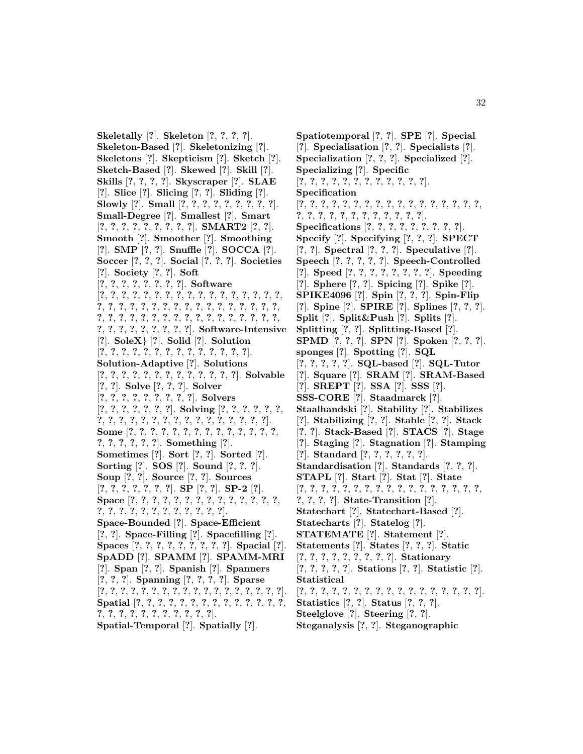**Skeletally** [**?**]. **Skeleton** [**?**, **?**, **?**, **?**]. **Skeleton-Based** [**?**]. **Skeletonizing** [**?**]. **Skeletons** [**?**]. **Skepticism** [**?**]. **Sketch** [**?**]. **Sketch-Based** [**?**]. **Skewed** [**?**]. **Skill** [**?**]. **Skills** [**?**, **?**, **?**, **?**]. **Skyscraper** [**?**]. **SLAE** [**?**]. **Slice** [**?**]. **Slicing** [**?**, **?**]. **Sliding** [**?**]. **Slowly** [**?**]. **Small** [**?**, **?**, **?**, **?**, **?**, **?**, **?**, **?**, **?**]. **Small-Degree** [**?**]. **Smallest** [**?**]. **Smart** [**?**, **?**, **?**, **?**, **?**, **?**, **?**, **?**, **?**]. **SMART2** [**?**, **?**]. **Smooth** [**?**]. **Smoother** [**?**]. **Smoothing** [**?**]. **SMP** [**?**, **?**]. **Snuffle** [**?**]. **SOCCA** [**?**]. **Soccer** [**?**, **?**, **?**]. **Social** [**?**, **?**, **?**]. **Societies** [**?**]. **Society** [**?**, **?**]. **Soft** [**?**, **?**, **?**, **?**, **?**, **?**, **?**, **?**]. **Software** [**?**, **?**, **?**, **?**, **?**, **?**, **?**, **?**, **?**, **?**, **?**, **?**, **?**, **?**, **?**, **?**, **?**, **?**, **?**, **?**, **?**, **?**, **?**, **?**, **?**, **?**, **?**, **?**, **?**, **?**, **?**, **?**, **?**, **?**, **?**, **?**, **?**, **?**, **?**, **?**, **?**, **?**, **?**, **?**, **?**, **?**, **?**, **?**, **?**, **?**, **?**, **?**, **?**, **?**, **?**, **?**, **?**, **?**, **?**, **?**]. **Software-Intensive** [**?**]. **SoleX**} [**?**]. **Solid** [**?**]. **Solution** [**?**, **?**, **?**, **?**, **?**, **?**, **?**, **?**, **?**, **?**, **?**, **?**, **?**, **?**]. **Solution-Adaptive** [**?**]. **Solutions** [**?**, **?**, **?**, **?**, **?**, **?**, **?**, **?**, **?**, **?**, **?**, **?**, **?**]. **Solvable** [**?**, **?**]. **Solve** [**?**, **?**, **?**]. **Solver** [**?**, **?**, **?**, **?**, **?**, **?**, **?**, **?**, **?**]. **Solvers** [**?**, **?**, **?**, **?**, **?**, **?**, **?**]. **Solving** [**?**, **?**, **?**, **?**, **?**, **?**, **?**, **?**, **?**, **?**, **?**, **?**, **?**, **?**, **?**, **?**, **?**, **?**, **?**, **?**, **?**, **?**]. **Some** [**?**, **?**, **?**, **?**, **?**, **?**, **?**, **?**, **?**, **?**, **?**, **?**, **?**, **?**, **?**, **?**, **?**, **?**, **?**, **?**]. **Something** [**?**]. **Sometimes** [**?**]. **Sort** [**?**, **?**]. **Sorted** [**?**]. **Sorting** [**?**]. **SOS** [**?**]. **Sound** [**?**, **?**, **?**]. **Soup** [**?**, **?**]. **Source** [**?**, **?**]. **Sources** [**?**, **?**, **?**, **?**, **?**, **?**, **?**]. **SP** [**?**, **?**]. **SP-2** [**?**]. **Space** [**?**, **?**, **?**, **?**, **?**, **?**, **?**, **?**, **?**, **?**, **?**, **?**, **?**, **?**, **?**, **?**, **?**, **?**, **?**, **?**, **?**, **?**, **?**, **?**, **?**, **?**]. **Space-Bounded** [**?**]. **Space-Efficient** [**?**, **?**]. **Space-Filling** [**?**]. **Spacefilling** [**?**]. **Spaces** [**?**, **?**, **?**, **?**, **?**, **?**, **?**, **?**, **?**]. **Spacial** [**?**]. **SpADD** [**?**]. **SPAMM** [**?**]. **SPAMM-MRI** [**?**]. **Span** [**?**, **?**]. **Spanish** [**?**]. **Spanners** [**?**, **?**, **?**]. **Spanning** [**?**, **?**, **?**, **?**]. **Sparse** [**?**, **?**, **?**, **?**, **?**, **?**, **?**, **?**, **?**, **?**, **?**, **?**, **?**, **?**, **?**, **?**, **?**, **?**]. **Spatial** [**?**, **?**, **?**, **?**, **?**, **?**, **?**, **?**, **?**, **?**, **?**, **?**, **?**, **?**, **?**, **?**, **?**, **?**, **?**, **?**, **?**, **?**, **?**, **?**, **?**]. **Spatial-Temporal** [**?**]. **Spatially** [**?**].

**Spatiotemporal** [**?**, **?**]. **SPE** [**?**]. **Special** [**?**]. **Specialisation** [**?**, **?**]. **Specialists** [**?**]. **Specialization** [**?**, **?**, **?**]. **Specialized** [**?**]. **Specializing** [**?**]. **Specific** [**?**, **?**, **?**, **?**, **?**, **?**, **?**, **?**, **?**, **?**, **?**, **?**]. **Specification** [**?**, **?**, **?**, **?**, **?**, **?**, **?**, **?**, **?**, **?**, **?**, **?**, **?**, **?**, **?**, **?**, **?**, **?**, **?**, **?**, **?**, **?**, **?**, **?**, **?**, **?**, **?**, **?**, **?**]. **Specifications** [**?**, **?**, **?**, **?**, **?**, **?**, **?**, **?**, **?**]. **Specify** [**?**]. **Specifying** [**?**, **?**, **?**]. **SPECT** [**?**, **?**]. **Spectral** [**?**, **?**, **?**]. **Speculative** [**?**]. **Speech** [**?**, **?**, **?**, **?**, **?**]. **Speech-Controlled** [**?**]. **Speed** [**?**, **?**, **?**, **?**, **?**, **?**, **?**, **?**]. **Speeding** [**?**]. **Sphere** [**?**, **?**]. **Spicing** [**?**]. **Spike** [**?**]. **SPIKE4096** [**?**]. **Spin** [**?**, **?**, **?**]. **Spin-Flip** [**?**]. **Spine** [**?**]. **SPIRE** [**?**]. **Splines** [**?**, **?**, **?**]. **Split** [**?**]. **Split&Push** [**?**]. **Splits** [**?**]. **Splitting** [**?**, **?**]. **Splitting-Based** [**?**]. **SPMD** [**?**, **?**, **?**]. **SPN** [**?**]. **Spoken** [**?**, **?**, **?**]. **sponges** [**?**]. **Spotting** [**?**]. **SQL** [**?**, **?**, **?**, **?**, **?**]. **SQL-based** [**?**]. **SQL-Tutor** [**?**]. **Square** [**?**]. **SRAM** [**?**]. **SRAM-Based** [**?**]. **SREPT** [**?**]. **SSA** [**?**]. **SSS** [**?**]. **SSS-CORE** [**?**]. **Staadmarck** [**?**]. **Staalhandski** [**?**]. **Stability** [**?**]. **Stabilizes** [**?**]. **Stabilizing** [**?**, **?**]. **Stable** [**?**, **?**]. **Stack** [**?**, **?**]. **Stack-Based** [**?**]. **STACS** [**?**]. **Stage** [**?**]. **Staging** [**?**]. **Stagnation** [**?**]. **Stamping** [**?**]. **Standard** [**?**, **?**, **?**, **?**, **?**, **?**]. **Standardisation** [**?**]. **Standards** [**?**, **?**, **?**]. **STAPL** [**?**]. **Start** [**?**]. **Stat** [**?**]. **State** [**?**, **?**, **?**, **?**, **?**, **?**, **?**, **?**, **?**, **?**, **?**, **?**, **?**, **?**, **?**, **?**, **?**, **?**, **?**, **?**, **?**]. **State-Transition** [**?**]. **Statechart** [**?**]. **Statechart-Based** [**?**]. **Statecharts** [**?**]. **Statelog** [**?**]. **STATEMATE** [**?**]. **Statement** [**?**]. **Statements** [**?**]. **States** [**?**, **?**, **?**]. **Static** [**?**, **?**, **?**, **?**, **?**, **?**, **?**, **?**, **?**]. **Stationary** [**?**, **?**, **?**, **?**, **?**]. **Stations** [**?**, **?**]. **Statistic** [**?**]. **Statistical** [**?**, **?**, **?**, **?**, **?**, **?**, **?**, **?**, **?**, **?**, **?**, **?**, **?**, **?**, **?**, **?**, **?**]. **Statistics** [**?**, **?**]. **Status** [**?**, **?**, **?**]. **Steelglove** [**?**]. **Steering** [**?**, **?**].

**Steganalysis** [**?**, **?**]. **Steganographic**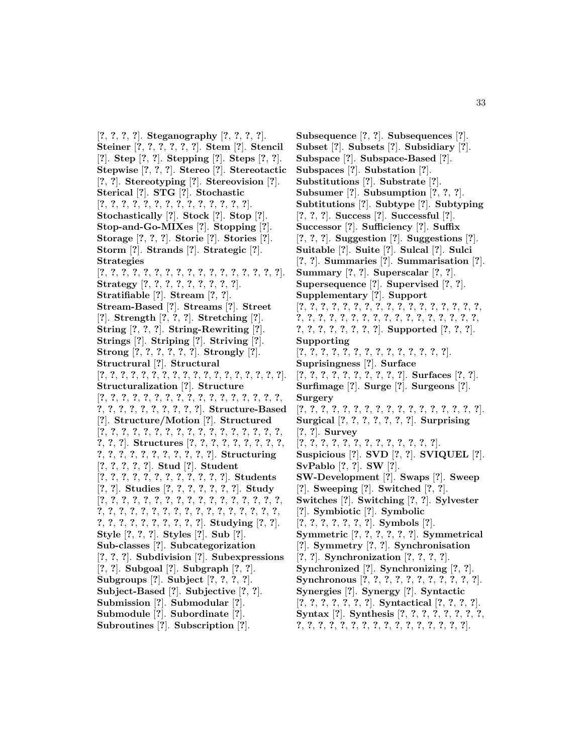[**?**, **?**, **?**, **?**]. **Steganography** [**?**, **?**, **?**, **?**]. **Steiner** [**?**, **?**, **?**, **?**, **?**, **?**]. **Stem** [**?**]. **Stencil** [**?**]. **Step** [**?**, **?**]. **Stepping** [**?**]. **Steps** [**?**, **?**]. **Stepwise** [**?**, **?**, **?**]. **Stereo** [**?**]. **Stereotactic** [**?**, **?**]. **Stereotyping** [**?**]. **Stereovision** [**?**]. **Sterical** [**?**]. **STG** [**?**]. **Stochastic** [**?**, **?**, **?**, **?**, **?**, **?**, **?**, **?**, **?**, **?**, **?**, **?**, **?**, **?**]. **Stochastically** [**?**]. **Stock** [**?**]. **Stop** [**?**]. **Stop-and-Go-MIXes** [**?**]. **Stopping** [**?**]. **Storage** [**?**, **?**, **?**]. **Storie** [**?**]. **Stories** [**?**]. **Storm** [**?**]. **Strands** [**?**]. **Strategic** [**?**]. **Strategies** [**?**, **?**, **?**, **?**, **?**, **?**, **?**, **?**, **?**, **?**, **?**, **?**, **?**, **?**, **?**, **?**, **?**]. **Strategy** [**?**, **?**, **?**, **?**, **?**, **?**, **?**, **?**, **?**]. **Stratifiable** [**?**]. **Stream** [**?**, **?**]. **Stream-Based** [**?**]. **Streams** [**?**]. **Street** [**?**]. **Strength** [**?**, **?**, **?**]. **Stretching** [**?**]. **String** [**?**, **?**, **?**]. **String-Rewriting** [**?**]. **Strings** [**?**]. **Striping** [**?**]. **Striving** [**?**]. **Strong** [**?**, **?**, **?**, **?**, **?**, **?**]. **Strongly** [**?**]. **Structrural** [**?**]. **Structural** [**?**, **?**, **?**, **?**, **?**, **?**, **?**, **?**, **?**, **?**, **?**, **?**, **?**, **?**, **?**, **?**, **?**, **?**]. **Structuralization** [**?**]. **Structure** [**?**, **?**, **?**, **?**, **?**, **?**, **?**, **?**, **?**, **?**, **?**, **?**, **?**, **?**, **?**, **?**, **?**, **?**, **?**, **?**, **?**, **?**, **?**, **?**, **?**, **?**, **?**]. **Structure-Based** [**?**]. **Structure/Motion** [**?**]. **Structured** [**?**, **?**, **?**, **?**, **?**, **?**, **?**, **?**, **?**, **?**, **?**, **?**, **?**, **?**, **?**, **?**, **?**, **?**, **?**, **?**]. **Structures** [**?**, **?**, **?**, **?**, **?**, **?**, **?**, **?**, **?**, **?**, **?**, **?**, **?**, **?**, **?**, **?**, **?**, **?**, **?**, **?**]. **Structuring** [**?**, **?**, **?**, **?**, **?**]. **Stud** [**?**]. **Student** [**?**, **?**, **?**, **?**, **?**, **?**, **?**, **?**, **?**, **?**, **?**, **?**]. **Students** [**?**, **?**]. **Studies** [**?**, **?**, **?**, **?**, **?**, **?**, **?**]. **Study** [**?**, **?**, **?**, **?**, **?**, **?**, **?**, **?**, **?**, **?**, **?**, **?**, **?**, **?**, **?**, **?**, **?**, **?**, **?**, **?**, **?**, **?**, **?**, **?**, **?**, **?**, **?**, **?**, **?**, **?**, **?**, **?**, **?**, **?**, **?**, **?**, **?**, **?**, **?**, **?**, **?**, **?**, **?**, **?**]. **Studying** [**?**, **?**]. **Style** [**?**, **?**, **?**]. **Styles** [**?**]. **Sub** [**?**]. **Sub-classes** [**?**]. **Subcategorization** [**?**, **?**, **?**]. **Subdivision** [**?**]. **Subexpressions** [**?**, **?**]. **Subgoal** [**?**]. **Subgraph** [**?**, **?**]. **Subgroups** [**?**]. **Subject** [**?**, **?**, **?**, **?**]. **Subject-Based** [**?**]. **Subjective** [**?**, **?**]. **Submission** [**?**]. **Submodular** [**?**]. **Submodule** [**?**]. **Subordinate** [**?**]. **Subroutines** [**?**]. **Subscription** [**?**].

**Subsequence** [**?**, **?**]. **Subsequences** [**?**]. **Subset** [**?**]. **Subsets** [**?**]. **Subsidiary** [**?**]. **Subspace** [**?**]. **Subspace-Based** [**?**]. **Subspaces** [**?**]. **Substation** [**?**]. **Substitutions** [**?**]. **Substrate** [**?**]. **Subsumer** [**?**]. **Subsumption** [**?**, **?**, **?**]. **Subtitutions** [**?**]. **Subtype** [**?**]. **Subtyping** [**?**, **?**, **?**]. **Success** [**?**]. **Successful** [**?**]. **Successor** [**?**]. **Sufficiency** [**?**]. **Suffix** [**?**, **?**, **?**]. **Suggestion** [**?**]. **Suggestions** [**?**]. **Suitable** [**?**]. **Suite** [**?**]. **Sulcal** [**?**]. **Sulci** [**?**, **?**]. **Summaries** [**?**]. **Summarisation** [**?**]. **Summary** [**?**, **?**]. **Superscalar** [**?**, **?**]. **Supersequence** [**?**]. **Supervised** [**?**, **?**]. **Supplementary** [**?**]. **Support** [**?**, **?**, **?**, **?**, **?**, **?**, **?**, **?**, **?**, **?**, **?**, **?**, **?**, **?**, **?**, **?**, **?**, **?**, **?**, **?**, **?**, **?**, **?**, **?**, **?**, **?**, **?**, **?**, **?**, **?**, **?**, **?**, **?**, **?**, **?**, **?**, **?**, **?**, **?**, **?**, **?**, **?**]. **Supported** [**?**, **?**, **?**]. **Supporting** [**?**, **?**, **?**, **?**, **?**, **?**, **?**, **?**, **?**, **?**, **?**, **?**, **?**, **?**]. **Suprisingness** [**?**]. **Surface** [**?**, **?**, **?**, **?**, **?**, **?**, **?**, **?**, **?**, **?**]. **Surfaces** [**?**, **?**]. **Surfimage** [**?**]. **Surge** [**?**]. **Surgeons** [**?**]. **Surgery** [**?**, **?**, **?**, **?**, **?**, **?**, **?**, **?**, **?**, **?**, **?**, **?**, **?**, **?**, **?**, **?**, **?**]. **Surgical** [**?**, **?**, **?**, **?**, **?**, **?**, **?**]. **Surprising** [**?**, **?**]. **Survey** [**?**, **?**, **?**, **?**, **?**, **?**, **?**, **?**, **?**, **?**, **?**, **?**, **?**]. **Suspicious** [**?**]. **SVD** [**?**, **?**]. **SVIQUEL** [**?**]. **SvPablo** [**?**, **?**]. **SW** [**?**]. **SW-Development** [**?**]. **Swaps** [**?**]. **Sweep** [**?**]. **Sweeping** [**?**]. **Switched** [**?**, **?**]. **Switches** [**?**]. **Switching** [**?**, **?**]. **Sylvester** [**?**]. **Symbiotic** [**?**]. **Symbolic** [**?**, **?**, **?**, **?**, **?**, **?**, **?**]. **Symbols** [**?**]. **Symmetric** [**?**, **?**, **?**, **?**, **?**, **?**]. **Symmetrical** [**?**]. **Symmetry** [**?**, **?**]. **Synchronisation** [**?**, **?**]. **Synchronization** [**?**, **?**, **?**, **?**]. **Synchronized** [**?**]. **Synchronizing** [**?**, **?**]. **Synchronous** [**?**, **?**, **?**, **?**, **?**, **?**, **?**, **?**, **?**, **?**, **?**]. **Synergies** [**?**]. **Synergy** [**?**]. **Syntactic** [**?**, **?**, **?**, **?**, **?**, **?**, **?**]. **Syntactical** [**?**, **?**, **?**, **?**]. **Syntax** [**?**]. **Synthesis** [**?**, **?**, **?**, **?**, **?**, **?**, **?**, **?**, **?**, **?**, **?**, **?**, **?**, **?**, **?**, **?**, **?**, **?**, **?**, **?**, **?**, **?**, **?**, **?**].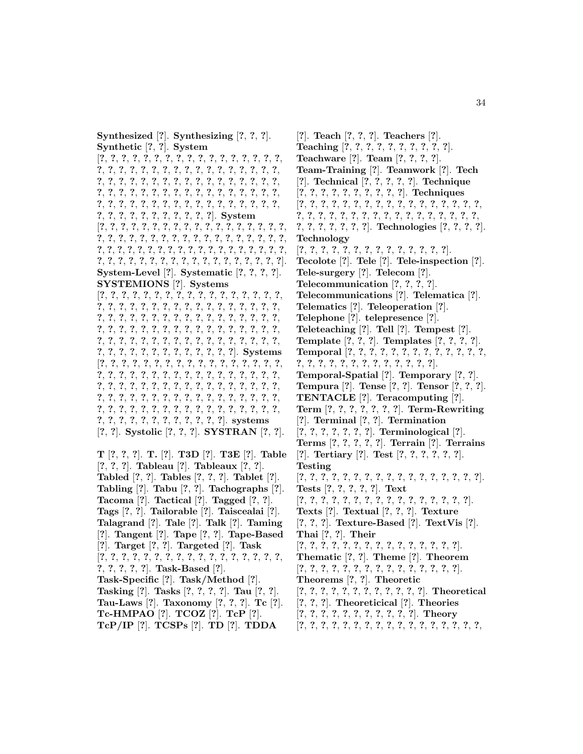**Synthesized** [**?**]. **Synthesizing** [**?**, **?**, **?**]. **Synthetic** [**?**, **?**]. **System**

[**?**, **?**, **?**, **?**, **?**, **?**, **?**, **?**, **?**, **?**, **?**, **?**, **?**, **?**, **?**, **?**, **?**, **?**, **?**, **?**, **?**, **?**, **?**, **?**, **?**, **?**, **?**, **?**, **?**, **?**, **?**, **?**, **?**, **?**, **?**, **?**, **?**, **?**, **?**, **?**, **?**, **?**, **?**, **?**, **?**, **?**, **?**, **?**, **?**, **?**, **?**, **?**, **?**, **?**, **?**, **?**, **?**, **?**, **?**, **?**, **?**, **?**, **?**, **?**, **?**, **?**, **?**, **?**, **?**, **?**, **?**, **?**, **?**, **?**, **?**, **?**, **?**, **?**, **?**, **?**, **?**, **?**, **?**, **?**, **?**, **?**, **?**, **?**, **?**, **?**, **?**, **?**, **?**, **?**, **?**, **?**]. **System** [**?**, **?**, **?**, **?**, **?**, **?**, **?**, **?**, **?**, **?**, **?**, **?**, **?**, **?**, **?**, **?**, **?**, **?**, **?**, **?**, **?**, **?**, **?**, **?**, **?**, **?**, **?**, **?**, **?**, **?**, **?**, **?**, **?**, **?**, **?**, **?**, **?**, **?**, **?**, **?**, **?**, **?**, **?**, **?**, **?**, **?**, **?**, **?**, **?**, **?**, **?**, **?**, **?**, **?**, **?**, **?**, **?**, **?**, **?**, **?**, **?**, **?**, **?**, **?**, **?**, **?**, **?**, **?**, **?**, **?**, **?**, **?**, **?**]. **System-Level** [**?**]. **Systematic** [**?**, **?**, **?**, **?**]. **SYSTEMIONS** [**?**]. **Systems** [**?**, **?**, **?**, **?**, **?**, **?**, **?**, **?**, **?**, **?**, **?**, **?**, **?**, **?**, **?**, **?**, **?**, **?**, **?**, **?**, **?**, **?**, **?**, **?**, **?**, **?**, **?**, **?**, **?**, **?**, **?**, **?**, **?**, **?**, **?**, **?**, **?**, **?**, **?**, **?**, **?**, **?**, **?**, **?**, **?**, **?**, **?**, **?**, **?**, **?**, **?**, **?**, **?**, **?**, **?**, **?**, **?**, **?**, **?**, **?**, **?**, **?**, **?**, **?**, **?**, **?**, **?**, **?**, **?**, **?**, **?**, **?**, **?**, **?**, **?**, **?**, **?**, **?**, **?**, **?**, **?**, **?**, **?**, **?**, **?**, **?**, **?**, **?**, **?**, **?**, **?**, **?**, **?**, **?**, **?**, **?**, **?**, **?**]. **Systems** [**?**, **?**, **?**, **?**, **?**, **?**, **?**, **?**, **?**, **?**, **?**, **?**, **?**, **?**, **?**, **?**, **?**, **?**, **?**, **?**, **?**, **?**, **?**, **?**, **?**, **?**, **?**, **?**, **?**, **?**, **?**, **?**, **?**, **?**, **?**, **?**, **?**, **?**, **?**, **?**, **?**, **?**, **?**, **?**, **?**, **?**, **?**, **?**, **?**, **?**, **?**, **?**, **?**, **?**, **?**, **?**, **?**, **?**, **?**, **?**, **?**, **?**, **?**, **?**, **?**, **?**, **?**, **?**, **?**, **?**, **?**, **?**, **?**, **?**, **?**, **?**, **?**, **?**, **?**, **?**, **?**, **?**, **?**, **?**, **?**, **?**, **?**, **?**, **?**, **?**, **?**, **?**, **?**, **?**, **?**, **?**, **?**]. **systems** [**?**, **?**]. **Systolic** [**?**, **?**, **?**]. **SYSTRAN** [**?**, **?**].

**T** [**?**, **?**, **?**]. **T.** [**?**]. **T3D** [**?**]. **T3E** [**?**]. **Table** [**?**, **?**, **?**]. **Tableau** [**?**]. **Tableaux** [**?**, **?**]. **Tabled** [**?**, **?**]. **Tables** [**?**, **?**, **?**]. **Tablet** [**?**]. **Tabling** [**?**]. **Tabu** [**?**, **?**]. **Tachographs** [**?**]. **Tacoma** [**?**]. **Tactical** [**?**]. **Tagged** [**?**, **?**]. **Tags** [**?**, **?**]. **Tailorable** [**?**]. **Taiscealai** [**?**]. **Talagrand** [**?**]. **Tale** [**?**]. **Talk** [**?**]. **Taming** [**?**]. **Tangent** [**?**]. **Tape** [**?**, **?**]. **Tape-Based** [**?**]. **Target** [**?**, **?**]. **Targeted** [**?**]. **Task** [**?**, **?**, **?**, **?**, **?**, **?**, **?**, **?**, **?**, **?**, **?**, **?**, **?**, **?**, **?**, **?**, **?**, **?**, **?**, **?**, **?**, **?**]. **Task-Based** [**?**]. **Task-Specific** [**?**]. **Task/Method** [**?**]. **Tasking** [**?**]. **Tasks** [**?**, **?**, **?**, **?**]. **Tau** [**?**, **?**]. **Tau-Laws** [**?**]. **Taxonomy** [**?**, **?**, **?**]. **Tc** [**?**]. **Tc-HMPAO** [**?**]. **TCOZ** [**?**]. **TcP** [**?**]. **TcP/IP** [**?**]. **TCSPs** [**?**]. **TD** [**?**]. **TDDA**

[**?**]. **Teach** [**?**, **?**, **?**]. **Teachers** [**?**]. **Teaching** [**?**, **?**, **?**, **?**, **?**, **?**, **?**, **?**, **?**, **?**]. **Teachware** [**?**]. **Team** [**?**, **?**, **?**, **?**]. **Team-Training** [**?**]. **Teamwork** [**?**]. **Tech** [**?**]. **Technical** [**?**, **?**, **?**, **?**, **?**]. **Technique** [**?**, **?**, **?**, **?**, **?**, **?**, **?**, **?**, **?**, **?**]. **Techniques** [**?**, **?**, **?**, **?**, **?**, **?**, **?**, **?**, **?**, **?**, **?**, **?**, **?**, **?**, **?**, **?**, **?**, **?**, **?**, **?**, **?**, **?**, **?**, **?**, **?**, **?**, **?**, **?**, **?**, **?**, **?**, **?**, **?**, **?**, **?**, **?**, **?**, **?**, **?**, **?**, **?**]. **Technologies** [**?**, **?**, **?**, **?**]. **Technology** [**?**, **?**, **?**, **?**, **?**, **?**, **?**, **?**, **?**, **?**, **?**, **?**, **?**, **?**]. **Tecolote** [**?**]. **Tele** [**?**]. **Tele-inspection** [**?**]. **Tele-surgery** [**?**]. **Telecom** [**?**]. **Telecommunication** [**?**, **?**, **?**, **?**]. **Telecommunications** [**?**]. **Telematica** [**?**]. **Telematics** [**?**]. **Teleoperation** [**?**]. **Telephone** [**?**]. **telepresence** [**?**]. **Teleteaching** [**?**]. **Tell** [**?**]. **Tempest** [**?**]. **Template** [**?**, **?**, **?**]. **Templates** [**?**, **?**, **?**, **?**]. **Temporal** [**?**, **?**, **?**, **?**, **?**, **?**, **?**, **?**, **?**, **?**, **?**, **?**, **?**, **?**, **?**, **?**, **?**, **?**, **?**, **?**, **?**, **?**, **?**, **?**, **?**, **?**]. **Temporal-Spatial** [**?**]. **Temporary** [**?**, **?**]. **Tempura** [**?**]. **Tense** [**?**, **?**]. **Tensor** [**?**, **?**, **?**]. **TENTACLE** [**?**]. **Teracomputing** [**?**]. **Term** [**?**, **?**, **?**, **?**, **?**, **?**, **?**]. **Term-Rewriting** [**?**]. **Terminal** [**?**, **?**]. **Termination** [**?**, **?**, **?**, **?**, **?**, **?**, **?**]. **Terminological** [**?**]. **Terms** [**?**, **?**, **?**, **?**, **?**]. **Terrain** [**?**]. **Terrains** [**?**]. **Tertiary** [**?**]. **Test** [**?**, **?**, **?**, **?**, **?**, **?**]. **Testing** [**?**, **?**, **?**, **?**, **?**, **?**, **?**, **?**, **?**, **?**, **?**, **?**, **?**, **?**, **?**, **?**, **?**]. **Tests** [**?**, **?**, **?**, **?**, **?**]. **Text** [**?**, **?**, **?**, **?**, **?**, **?**, **?**, **?**, **?**, **?**, **?**, **?**, **?**, **?**, **?**, **?**]. **Texts** [**?**]. **Textual** [**?**, **?**, **?**]. **Texture** [**?**, **?**, **?**]. **Texture-Based** [**?**]. **TextVis** [**?**]. **Thai** [**?**, **?**]. **Their** [**?**, **?**, **?**, **?**, **?**, **?**, **?**, **?**, **?**, **?**, **?**, **?**, **?**, **?**, **?**]. **Thematic** [**?**, **?**]. **Theme** [**?**]. **Theorem** [**?**, **?**, **?**, **?**, **?**, **?**, **?**, **?**, **?**, **?**, **?**, **?**, **?**, **?**, **?**]. **Theorems** [**?**, **?**]. **Theoretic** [**?**, **?**, **?**, **?**, **?**, **?**, **?**, **?**, **?**, **?**, **?**, **?**]. **Theoretical** [**?**, **?**, **?**]. **Theoreticical** [**?**]. **Theories** [**?**, **?**, **?**, **?**, **?**, **?**, **?**, **?**, **?**, **?**, **?**]. **Theory** [**?**, **?**, **?**, **?**, **?**, **?**, **?**, **?**, **?**, **?**, **?**, **?**, **?**, **?**, **?**, **?**, **?**,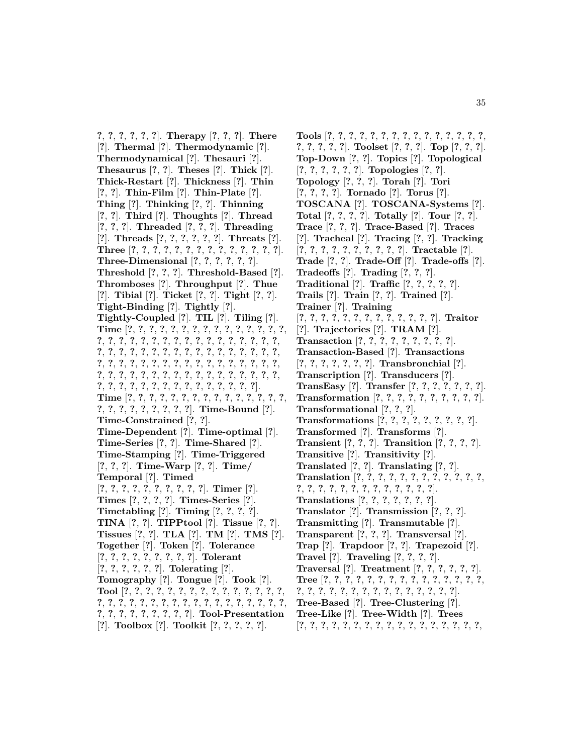**?**, **?**, **?**, **?**, **?**, **?**]. **Therapy** [**?**, **?**, **?**]. **There** [**?**]. **Thermal** [**?**]. **Thermodynamic** [**?**]. **Thermodynamical** [**?**]. **Thesauri** [**?**]. **Thesaurus** [**?**, **?**]. **Theses** [**?**]. **Thick** [**?**]. **Thick-Restart** [**?**]. **Thickness** [**?**]. **Thin** [**?**, **?**]. **Thin-Film** [**?**]. **Thin-Plate** [**?**]. **Thing** [**?**]. **Thinking** [**?**, **?**]. **Thinning** [**?**, **?**]. **Third** [**?**]. **Thoughts** [**?**]. **Thread** [**?**, **?**, **?**]. **Threaded** [**?**, **?**, **?**]. **Threading** [**?**]. **Threads** [**?**, **?**, **?**, **?**, **?**, **?**]. **Threats** [**?**]. **Three** [**?**, **?**, **?**, **?**, **?**, **?**, **?**, **?**, **?**, **?**, **?**, **?**, **?**, **?**]. **Three-Dimensional** [**?**, **?**, **?**, **?**, **?**, **?**]. **Threshold** [**?**, **?**, **?**]. **Threshold-Based** [**?**]. **Thromboses** [**?**]. **Throughput** [**?**]. **Thue** [**?**]. **Tibial** [**?**]. **Ticket** [**?**, **?**]. **Tight** [**?**, **?**]. **Tight-Binding** [**?**]. **Tightly** [**?**]. **Tightly-Coupled** [**?**]. **TIL** [**?**]. **Tiling** [**?**]. **Time** [**?**, **?**, **?**, **?**, **?**, **?**, **?**, **?**, **?**, **?**, **?**, **?**, **?**, **?**, **?**, **?**, **?**, **?**, **?**, **?**, **?**, **?**, **?**, **?**, **?**, **?**, **?**, **?**, **?**, **?**, **?**, **?**, **?**, **?**, **?**, **?**, **?**, **?**, **?**, **?**, **?**, **?**, **?**, **?**, **?**, **?**, **?**, **?**, **?**, **?**, **?**, **?**, **?**, **?**, **?**, **?**, **?**, **?**, **?**, **?**, **?**, **?**, **?**, **?**, **?**, **?**, **?**, **?**, **?**, **?**, **?**, **?**, **?**, **?**, **?**, **?**, **?**, **?**, **?**, **?**, **?**, **?**, **?**, **?**, **?**, **?**, **?**, **?**, **?**, **?**, **?**, **?**, **?**, **?**, **?**, **?**, **?**, **?**]. **Time** [**?**, **?**, **?**, **?**, **?**, **?**, **?**, **?**, **?**, **?**, **?**, **?**, **?**, **?**, **?**, **?**, **?**, **?**, **?**, **?**, **?**, **?**, **?**, **?**]. **Time-Bound** [**?**]. **Time-Constrained** [**?**, **?**]. **Time-Dependent** [**?**]. **Time-optimal** [**?**]. **Time-Series** [**?**, **?**]. **Time-Shared** [**?**]. **Time-Stamping** [**?**]. **Time-Triggered** [**?**, **?**, **?**]. **Time-Warp** [**?**, **?**]. **Time/ Temporal** [**?**]. **Timed** [**?**, **?**, **?**, **?**, **?**, **?**, **?**, **?**, **?**, **?**]. **Timer** [**?**]. **Times** [**?**, **?**, **?**, **?**]. **Times-Series** [**?**]. **Timetabling** [**?**]. **Timing** [**?**, **?**, **?**, **?**]. **TINA** [**?**, **?**]. **TIPPtool** [**?**]. **Tissue** [**?**, **?**]. **Tissues** [**?**, **?**]. **TLA** [**?**]. **TM** [**?**]. **TMS** [**?**]. **Together** [**?**]. **Token** [**?**]. **Tolerance** [**?**, **?**, **?**, **?**, **?**, **?**, **?**, **?**, **?**]. **Tolerant** [**?**, **?**, **?**, **?**, **?**, **?**]. **Tolerating** [**?**]. **Tomography** [**?**]. **Tongue** [**?**]. **Took** [**?**]. **Tool** [**?**, **?**, **?**, **?**, **?**, **?**, **?**, **?**, **?**, **?**, **?**, **?**, **?**, **?**, **?**, **?**, **?**, **?**, **?**, **?**, **?**, **?**, **?**, **?**, **?**, **?**, **?**, **?**, **?**, **?**, **?**, **?**, **?**, **?**, **?**, **?**, **?**, **?**, **?**, **?**, **?**, **?**]. **Tool-Presentation** [**?**]. **Toolbox** [**?**]. **Toolkit** [**?**, **?**, **?**, **?**, **?**].

**Tools** [**?**, **?**, **?**, **?**, **?**, **?**, **?**, **?**, **?**, **?**, **?**, **?**, **?**, **?**, **?**, **?**, **?**, **?**, **?**, **?**]. **Toolset** [**?**, **?**, **?**]. **Top** [**?**, **?**, **?**]. **Top-Down** [**?**, **?**]. **Topics** [**?**]. **Topological** [**?**, **?**, **?**, **?**, **?**, **?**]. **Topologies** [**?**, **?**]. **Topology** [**?**, **?**, **?**]. **Torah** [**?**]. **Tori** [**?**, **?**, **?**, **?**]. **Tornado** [**?**]. **Torus** [**?**]. **TOSCANA** [**?**]. **TOSCANA-Systems** [**?**]. **Total** [**?**, **?**, **?**, **?**]. **Totally** [**?**]. **Tour** [**?**, **?**]. **Trace** [**?**, **?**, **?**]. **Trace-Based** [**?**]. **Traces** [**?**]. **Tracheal** [**?**]. **Tracing** [**?**, **?**]. **Tracking** [**?**, **?**, **?**, **?**, **?**, **?**, **?**, **?**, **?**, **?**]. **Tractable** [**?**]. **Trade** [**?**, **?**]. **Trade-Off** [**?**]. **Trade-offs** [**?**]. **Tradeoffs** [**?**]. **Trading** [**?**, **?**, **?**]. **Traditional** [**?**]. **Traffic** [**?**, **?**, **?**, **?**, **?**]. **Trails** [**?**]. **Train** [**?**, **?**]. **Trained** [**?**]. **Trainer** [**?**]. **Training** [**?**, **?**, **?**, **?**, **?**, **?**, **?**, **?**, **?**, **?**, **?**, **?**, **?**]. **Traitor** [**?**]. **Trajectories** [**?**]. **TRAM** [**?**]. **Transaction** [**?**, **?**, **?**, **?**, **?**, **?**, **?**, **?**, **?**]. **Transaction-Based** [**?**]. **Transactions** [**?**, **?**, **?**, **?**, **?**, **?**, **?**]. **Transbronchial** [**?**]. **Transcription** [**?**]. **Transducers** [**?**]. **TransEasy** [**?**]. **Transfer** [**?**, **?**, **?**, **?**, **?**, **?**, **?**]. **Transformation** [**?**, **?**, **?**, **?**, **?**, **?**, **?**, **?**, **?**, **?**]. **Transformational** [**?**, **?**, **?**]. **Transformations** [**?**, **?**, **?**, **?**, **?**, **?**, **?**, **?**, **?**]. **Transformed** [**?**]. **Transforms** [**?**]. **Transient** [**?**, **?**, **?**]. **Transition** [**?**, **?**, **?**, **?**]. **Transitive** [**?**]. **Transitivity** [**?**]. **Translated** [**?**, **?**]. **Translating** [**?**, **?**]. **Translation** [**?**, **?**, **?**, **?**, **?**, **?**, **?**, **?**, **?**, **?**, **?**, **?**, **?**, **?**, **?**, **?**, **?**, **?**, **?**, **?**, **?**, **?**, **?**, **?**, **?**]. **Translations** [**?**, **?**, **?**, **?**, **?**, **?**, **?**]. **Translator** [**?**]. **Transmission** [**?**, **?**, **?**]. **Transmitting** [**?**]. **Transmutable** [**?**]. **Transparent** [**?**, **?**, **?**]. **Transversal** [**?**]. **Trap** [**?**]. **Trapdoor** [**?**, **?**]. **Trapezoid** [**?**]. **Travel** [**?**]. **Traveling** [**?**, **?**, **?**, **?**]. **Traversal** [**?**]. **Treatment** [**?**, **?**, **?**, **?**, **?**, **?**]. **Tree** [**?**, **?**, **?**, **?**, **?**, **?**, **?**, **?**, **?**, **?**, **?**, **?**, **?**, **?**, **?**, **?**, **?**, **?**, **?**, **?**, **?**, **?**, **?**, **?**, **?**, **?**, **?**, **?**, **?**, **?**]. **Tree-Based** [**?**]. **Tree-Clustering** [**?**]. **Tree-Like** [**?**]. **Tree-Width** [**?**]. **Trees** [**?**, **?**, **?**, **?**, **?**, **?**, **?**, **?**, **?**, **?**, **?**, **?**, **?**, **?**, **?**, **?**, **?**,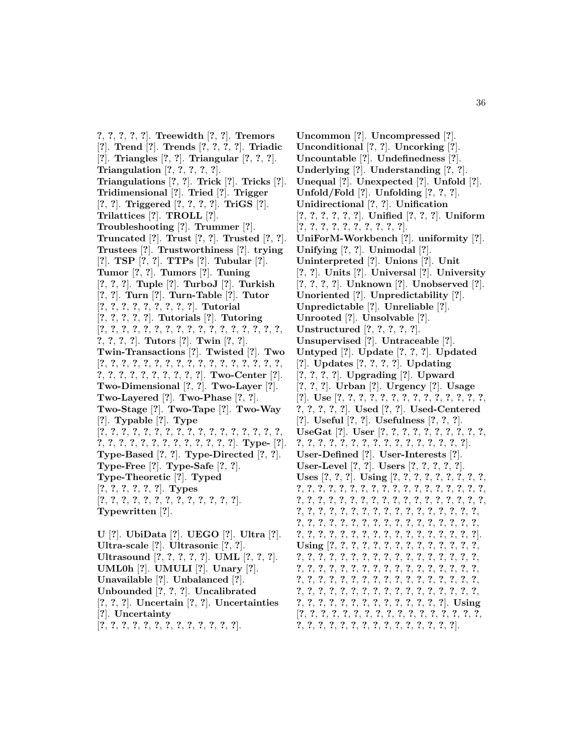**?**, **?**, **?**, **?**, **?**]. **Treewidth** [**?**, **?**]. **Tremors** [**?**]. **Trend** [**?**]. **Trends** [**?**, **?**, **?**, **?**]. **Triadic** [**?**]. **Triangles** [**?**, **?**]. **Triangular** [**?**, **?**, **?**]. **Triangulation** [**?**, **?**, **?**, **?**, **?**]. **Triangulations** [**?**, **?**]. **Trick** [**?**]. **Tricks** [**?**]. **Tridimensional** [**?**]. **Tried** [**?**]. **Trigger** [**?**, **?**]. **Triggered** [**?**, **?**, **?**, **?**]. **TriGS** [**?**]. **Trilattices** [**?**]. **TROLL** [**?**]. **Troubleshooting** [**?**]. **Trummer** [**?**]. **Truncated** [**?**]. **Trust** [**?**, **?**]. **Trusted** [**?**, **?**]. **Trustees** [**?**]. **Trustworthiness** [**?**]. **trying** [**?**]. **TSP** [**?**, **?**]. **TTPs** [**?**]. **Tubular** [**?**]. **Tumor** [**?**, **?**]. **Tumors** [**?**]. **Tuning** [**?**, **?**, **?**]. **Tuple** [**?**]. **TurboJ** [**?**]. **Turkish** [**?**, **?**]. **Turn** [**?**]. **Turn-Table** [**?**]. **Tutor** [**?**, **?**, **?**, **?**, **?**, **?**, **?**, **?**, **?**]. **Tutorial** [**?**, **?**, **?**, **?**, **?**]. **Tutorials** [**?**]. **Tutoring** [**?**, **?**, **?**, **?**, **?**, **?**, **?**, **?**, **?**, **?**, **?**, **?**, **?**, **?**, **?**, **?**, **?**, **?**, **?**, **?**, **?**]. **Tutors** [**?**]. **Twin** [**?**, **?**]. **Twin-Transactions** [**?**]. **Twisted** [**?**]. **Two** [**?**, **?**, **?**, **?**, **?**, **?**, **?**, **?**, **?**, **?**, **?**, **?**, **?**, **?**, **?**, **?**, **?**, **?**, **?**, **?**, **?**, **?**, **?**, **?**, **?**, **?**, **?**]. **Two-Center** [**?**]. **Two-Dimensional** [**?**, **?**]. **Two-Layer** [**?**]. **Two-Layered** [**?**]. **Two-Phase** [**?**, **?**]. **Two-Stage** [**?**]. **Two-Tape** [**?**]. **Two-Way** [**?**]. **Typable** [**?**]. **Type** [**?**, **?**, **?**, **?**, **?**, **?**, **?**, **?**, **?**, **?**, **?**, **?**, **?**, **?**, **?**, **?**, **?**, **?**, **?**, **?**, **?**, **?**, **?**, **?**, **?**, **?**, **?**, **?**, **?**, **?**]. **Type-** [**?**]. **Type-Based** [**?**, **?**]. **Type-Directed** [**?**, **?**]. **Type-Free** [**?**]. **Type-Safe** [**?**, **?**]. **Type-Theoretic** [**?**]. **Typed** [**?**, **?**, **?**, **?**, **?**, **?**]. **Types** [**?**, **?**, **?**, **?**, **?**, **?**, **?**, **?**, **?**, **?**, **?**, **?**, **?**]. **Typewritten** [**?**]. **U** [**?**]. **UbiData** [**?**]. **UEGO** [**?**]. **Ultra** [**?**]. **Ultra-scale** [**?**]. **Ultrasonic** [**?**, **?**]. **Ultrasound** [**?**, **?**, **?**, **?**, **?**]. **UML** [**?**, **?**, **?**]. **UML0h** [**?**]. **UMULI** [**?**]. **Unary** [**?**].

**Unavailable** [**?**]. **Unbalanced** [**?**]. **Unbounded** [**?**, **?**, **?**]. **Uncalibrated** [**?**, **?**, **?**]. **Uncertain** [**?**, **?**]. **Uncertainties**

- [**?**]. **Uncertainty**
- [**?**, **?**, **?**, **?**, **?**, **?**, **?**, **?**, **?**, **?**, **?**, **?**, **?**].

**Uncommon** [**?**]. **Uncompressed** [**?**]. **Unconditional** [**?**, **?**]. **Uncorking** [**?**]. **Uncountable** [**?**]. **Undefinedness** [**?**]. **Underlying** [**?**]. **Understanding** [**?**, **?**]. **Unequal** [**?**]. **Unexpected** [**?**]. **Unfold** [**?**]. **Unfold/Fold** [**?**]. **Unfolding** [**?**, **?**, **?**]. **Unidirectional** [**?**, **?**]. **Unification** [**?**, **?**, **?**, **?**, **?**, **?**]. **Unified** [**?**, **?**, **?**]. **Uniform** [**?**, **?**, **?**, **?**, **?**, **?**, **?**, **?**, **?**, **?**]. **UniForM-Workbench** [**?**]. **uniformity** [**?**]. **Unifying** [**?**, **?**]. **Unimodal** [**?**]. **Uninterpreted** [**?**]. **Unions** [**?**]. **Unit** [**?**, **?**]. **Units** [**?**]. **Universal** [**?**]. **University** [**?**, **?**, **?**, **?**]. **Unknown** [**?**]. **Unobserved** [**?**]. **Unoriented** [**?**]. **Unpredictability** [**?**]. **Unpredictable** [**?**]. **Unreliable** [**?**]. **Unrooted** [**?**]. **Unsolvable** [**?**]. **Unstructured** [**?**, **?**, **?**, **?**, **?**]. **Unsupervised** [**?**]. **Untraceable** [**?**]. **Untyped** [**?**]. **Update** [**?**, **?**, **?**]. **Updated** [**?**]. **Updates** [**?**, **?**, **?**, **?**]. **Updating** [**?**, **?**, **?**, **?**]. **Upgrading** [**?**]. **Upward** [**?**, **?**, **?**]. **Urban** [**?**]. **Urgency** [**?**]. **Usage** [**?**]. **Use** [**?**, **?**, **?**, **?**, **?**, **?**, **?**, **?**, **?**, **?**, **?**, **?**, **?**, **?**, **?**, **?**, **?**, **?**, **?**]. **Used** [**?**, **?**]. **Used-Centered** [**?**]. **Useful** [**?**, **?**]. **Usefulness** [**?**, **?**, **?**]. **UseGat** [**?**]. **User** [**?**, **?**, **?**, **?**, **?**, **?**, **?**, **?**, **?**, **?**, **?**, **?**, **?**, **?**, **?**, **?**, **?**, **?**, **?**, **?**, **?**, **?**, **?**, **?**, **?**, **?**]. **User-Defined** [**?**]. **User-Interests** [**?**]. **User-Level** [**?**, **?**]. **Users** [**?**, **?**, **?**, **?**, **?**]. **Uses** [**?**, **?**, **?**]. **Using** [**?**, **?**, **?**, **?**, **?**, **?**, **?**, **?**, **?**, **?**, **?**, **?**, **?**, **?**, **?**, **?**, **?**, **?**, **?**, **?**, **?**, **?**, **?**, **?**, **?**, **?**, **?**, **?**, **?**, **?**, **?**, **?**, **?**, **?**, **?**, **?**, **?**, **?**, **?**, **?**, **?**, **?**, **?**, **?**, **?**, **?**, **?**, **?**, **?**, **?**, **?**, **?**, **?**, **?**, **?**, **?**, **?**, **?**, **?**, **?**, **?**, **?**, **?**, **?**, **?**, **?**, **?**, **?**, **?**, **?**, **?**, **?**, **?**, **?**, **?**, **?**, **?**, **?**, **?**, **?**, **?**, **?**, **?**, **?**, **?**, **?**, **?**, **?**, **?**, **?**, **?**, **?**, **?**, **?**, **?**, **?**]. **Using** [**?**, **?**, **?**, **?**, **?**, **?**, **?**, **?**, **?**, **?**, **?**, **?**, **?**, **?**, **?**, **?**, **?**, **?**, **?**, **?**, **?**, **?**, **?**, **?**, **?**, **?**, **?**, **?**, **?**, **?**, **?**, **?**, **?**, **?**, **?**, **?**, **?**, **?**, **?**, **?**, **?**, **?**, **?**, **?**, **?**, **?**, **?**, **?**, **?**, **?**, **?**, **?**, **?**, **?**, **?**, **?**, **?**, **?**, **?**, **?**, **?**, **?**, **?**, **?**, **?**, **?**, **?**, **?**, **?**, **?**, **?**, **?**, **?**, **?**, **?**, **?**, **?**, **?**, **?**, **?**, **?**, **?**, **?**, **?**, **?**, **?**, **?**, **?**, **?**, **?**, **?**, **?**, **?**, **?**, **?**, **?**]. **Using** [**?**, **?**, **?**, **?**, **?**, **?**, **?**, **?**, **?**, **?**, **?**, **?**, **?**, **?**, **?**, **?**, **?**, **?**, **?**, **?**, **?**, **?**, **?**, **?**, **?**, **?**, **?**, **?**, **?**, **?**, **?**, **?**].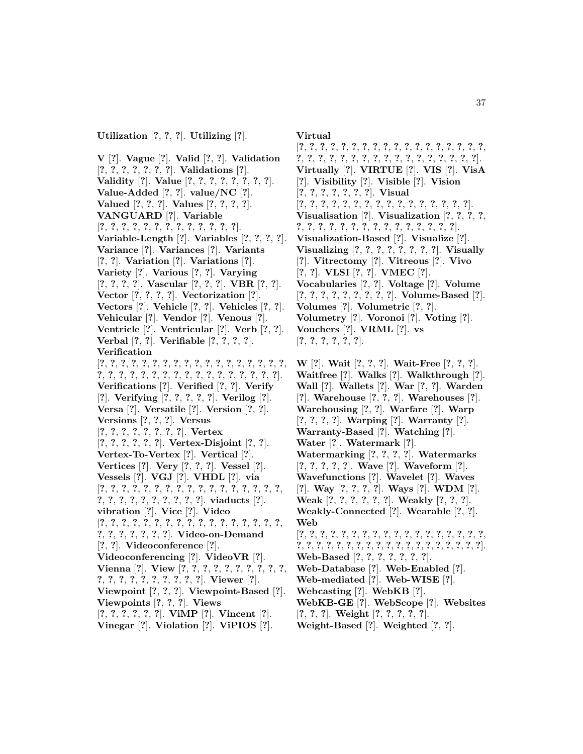**V** [**?**]. **Vague** [**?**]. **Valid** [**?**, **?**]. **Validation** [**?**, **?**, **?**, **?**, **?**, **?**, **?**]. **Validations** [**?**]. **Validity** [**?**]. **Value** [**?**, **?**, **?**, **?**, **?**, **?**, **?**, **?**]. **Value-Added** [**?**, **?**]. **value/NC** [**?**]. **Valued** [**?**, **?**, **?**]. **Values** [**?**, **?**, **?**, **?**]. **VANGUARD** [**?**]. **Variable** [**?**, **?**, **?**, **?**, **?**, **?**, **?**, **?**, **?**, **?**, **?**, **?**, **?**]. **Variable-Length** [**?**]. **Variables** [**?**, **?**, **?**, **?**]. **Variance** [**?**]. **Variances** [**?**]. **Variants** [**?**, **?**]. **Variation** [**?**]. **Variations** [**?**]. **Variety** [**?**]. **Various** [**?**, **?**]. **Varying** [**?**, **?**, **?**, **?**]. **Vascular** [**?**, **?**, **?**]. **VBR** [**?**, **?**]. **Vector** [**?**, **?**, **?**, **?**]. **Vectorization** [**?**]. **Vectors** [**?**]. **Vehicle** [**?**, **?**]. **Vehicles** [**?**, **?**]. **Vehicular** [**?**]. **Vendor** [**?**]. **Venous** [**?**]. **Ventricle** [**?**]. **Ventricular** [**?**]. **Verb** [**?**, **?**]. **Verbal** [**?**, **?**]. **Verifiable** [**?**, **?**, **?**, **?**]. **Verification** [**?**, **?**, **?**, **?**, **?**, **?**, **?**, **?**, **?**, **?**, **?**, **?**, **?**, **?**, **?**, **?**, **?**, **?**, **?**, **?**, **?**, **?**, **?**, **?**, **?**, **?**, **?**, **?**, **?**, **?**, **?**, **?**, **?**, **?**, **?**]. **Verifications** [**?**]. **Verified** [**?**, **?**]. **Verify** [**?**]. **Verifying** [**?**, **?**, **?**, **?**, **?**]. **Verilog** [**?**]. **Versa** [**?**]. **Versatile** [**?**]. **Version** [**?**, **?**]. **Versions** [**?**, **?**, **?**]. **Versus** [**?**, **?**, **?**, **?**, **?**, **?**, **?**, **?**]. **Vertex** [**?**, **?**, **?**, **?**, **?**, **?**]. **Vertex-Disjoint** [**?**, **?**]. **Vertex-To-Vertex** [**?**]. **Vertical** [**?**]. **Vertices** [**?**]. **Very** [**?**, **?**, **?**]. **Vessel** [**?**]. **Vessels** [**?**]. **VGJ** [**?**]. **VHDL** [**?**]. **via** [**?**, **?**, **?**, **?**, **?**, **?**, **?**, **?**, **?**, **?**, **?**, **?**, **?**, **?**, **?**, **?**, **?**, **?**, **?**, **?**, **?**, **?**, **?**, **?**, **?**, **?**, **?**]. **viaducts** [**?**]. **vibration** [**?**]. **Vice** [**?**]. **Video** [**?**, **?**, **?**, **?**, **?**, **?**, **?**, **?**, **?**, **?**, **?**, **?**, **?**, **?**, **?**, **?**, **?**, **?**, **?**, **?**, **?**, **?**, **?**, **?**]. **Video-on-Demand** [**?**, **?**]. **Videoconference** [**?**]. **Videoconferencing** [**?**]. **VideoVR** [**?**]. **Vienna** [**?**]. **View** [**?**, **?**, **?**, **?**, **?**, **?**, **?**, **?**, **?**, **?**, **?**, **?**, **?**, **?**, **?**, **?**, **?**, **?**, **?**, **?**]. **Viewer** [**?**]. **Viewpoint** [**?**, **?**, **?**]. **Viewpoint-Based** [**?**]. **Viewpoints** [**?**, **?**, **?**]. **Views** [**?**, **?**, **?**, **?**, **?**, **?**]. **ViMP** [**?**]. **Vincent** [**?**]. **Vinegar** [**?**]. **Violation** [**?**]. **ViPIOS** [**?**].

**Virtual**

[**?**, **?**, **?**, **?**, **?**, **?**, **?**, **?**, **?**, **?**, **?**, **?**, **?**, **?**, **?**, **?**, **?**, **?**, **?**, **?**, **?**, **?**, **?**, **?**, **?**, **?**, **?**, **?**, **?**, **?**, **?**, **?**, **?**, **?**, **?**]. **Virtually** [**?**]. **VIRTUE** [**?**]. **VIS** [**?**]. **VisA** [**?**]. **Visibility** [**?**]. **Visible** [**?**]. **Vision** [**?**, **?**, **?**, **?**, **?**, **?**, **?**]. **Visual** [**?**, **?**, **?**, **?**, **?**, **?**, **?**, **?**, **?**, **?**, **?**, **?**, **?**, **?**, **?**, **?**]. **Visualisation** [**?**]. **Visualization** [**?**, **?**, **?**, **?**, **?**, **?**, **?**, **?**, **?**, **?**, **?**, **?**, **?**, **?**, **?**, **?**, **?**, **?**, **?**]. **Visualization-Based** [**?**]. **Visualize** [**?**]. **Visualizing** [**?**, **?**, **?**, **?**, **?**, **?**, **?**, **?**]. **Visually** [**?**]. **Vitrectomy** [**?**]. **Vitreous** [**?**]. **Vivo** [**?**, **?**]. **VLSI** [**?**, **?**]. **VMEC** [**?**]. **Vocabularies** [**?**, **?**]. **Voltage** [**?**]. **Volume** [**?**, **?**, **?**, **?**, **?**, **?**, **?**, **?**, **?**]. **Volume-Based** [**?**]. **Volumes** [**?**]. **Volumetric** [**?**, **?**]. **Volumetry** [**?**]. **Voronoi** [**?**]. **Voting** [**?**]. **Vouchers** [**?**]. **VRML** [**?**]. **vs** [**?**, **?**, **?**, **?**, **?**, **?**].

**W** [**?**]. **Wait** [**?**, **?**, **?**]. **Wait-Free** [**?**, **?**, **?**]. **Waitfree** [**?**]. **Walks** [**?**]. **Walkthrough** [**?**]. **Wall** [**?**]. **Wallets** [**?**]. **War** [**?**, **?**]. **Warden** [**?**]. **Warehouse** [**?**, **?**, **?**]. **Warehouses** [**?**]. **Warehousing** [**?**, **?**]. **Warfare** [**?**]. **Warp** [**?**, **?**, **?**, **?**]. **Warping** [**?**]. **Warranty** [**?**]. **Warranty-Based** [**?**]. **Watching** [**?**]. **Water** [**?**]. **Watermark** [**?**]. **Watermarking** [**?**, **?**, **?**, **?**]. **Watermarks** [**?**, **?**, **?**, **?**, **?**]. **Wave** [**?**]. **Waveform** [**?**]. **Wavefunctions** [**?**]. **Wavelet** [**?**]. **Waves** [**?**]. **Way** [**?**, **?**, **?**, **?**]. **Ways** [**?**]. **WDM** [**?**]. **Weak** [**?**, **?**, **?**, **?**, **?**, **?**]. **Weakly** [**?**, **?**, **?**]. **Weakly-Connected** [**?**]. **Wearable** [**?**, **?**]. **Web** [**?**, **?**, **?**, **?**, **?**, **?**, **?**, **?**, **?**, **?**, **?**, **?**, **?**, **?**, **?**, **?**, **?**, **?**, **?**, **?**, **?**, **?**, **?**, **?**, **?**, **?**, **?**, **?**, **?**, **?**, **?**, **?**, **?**, **?**, **?**, **?**, **?**]. **Web-Based** [**?**, **?**, **?**, **?**, **?**, **?**, **?**]. **Web-Database** [**?**]. **Web-Enabled** [**?**]. **Web-mediated** [**?**]. **Web-WISE** [**?**]. **Webcasting** [**?**]. **WebKB** [**?**]. **WebKB-GE** [**?**]. **WebScope** [**?**]. **Websites** [**?**, **?**, **?**]. **Weight** [**?**, **?**, **?**, **?**, **?**]. **Weight-Based** [**?**]. **Weighted** [**?**, **?**].